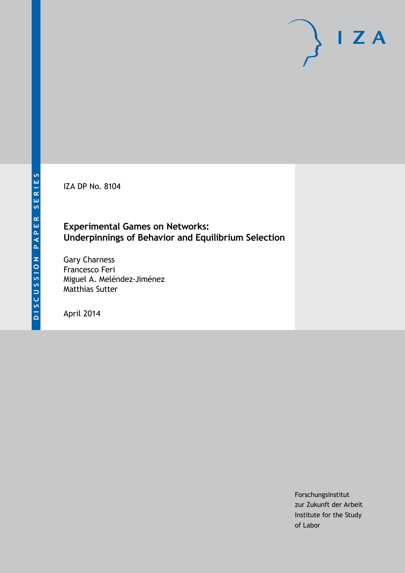IZA DP No. 8104

## **Experimental Games on Networks: Underpinnings of Behavior and Equilibrium Selection**

Gary Charness Francesco Feri Miguel A. Meléndez-Jiménez Matthias Sutter

April 2014

Forschungsinstitut zur Zukunft der Arbeit Institute for the Study of Labor

 $I Z A$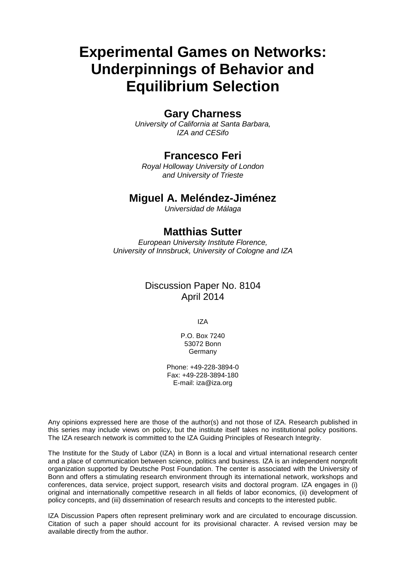# **Experimental Games on Networks: Underpinnings of Behavior and Equilibrium Selection**

### **Gary Charness**

*University of California at Santa Barbara, IZA and CESifo*

### **Francesco Feri**

*Royal Holloway University of London and University of Trieste*

### **Miguel A. Meléndez-Jiménez**

*Universidad de Málaga*

### **Matthias Sutter**

*European University Institute Florence, University of Innsbruck, University of Cologne and IZA*

### Discussion Paper No. 8104 April 2014

IZA

P.O. Box 7240 53072 Bonn Germany

Phone: +49-228-3894-0 Fax: +49-228-3894-180 E-mail: [iza@iza.org](mailto:iza@iza.org)

Any opinions expressed here are those of the author(s) and not those of IZA. Research published in this series may include views on policy, but the institute itself takes no institutional policy positions. The IZA research network is committed to the IZA Guiding Principles of Research Integrity.

The Institute for the Study of Labor (IZA) in Bonn is a local and virtual international research center and a place of communication between science, politics and business. IZA is an independent nonprofit organization supported by Deutsche Post Foundation. The center is associated with the University of Bonn and offers a stimulating research environment through its international network, workshops and conferences, data service, project support, research visits and doctoral program. IZA engages in (i) original and internationally competitive research in all fields of labor economics, (ii) development of policy concepts, and (iii) dissemination of research results and concepts to the interested public.

<span id="page-1-0"></span>IZA Discussion Papers often represent preliminary work and are circulated to encourage discussion. Citation of such a paper should account for its provisional character. A revised version may be available directly from the author.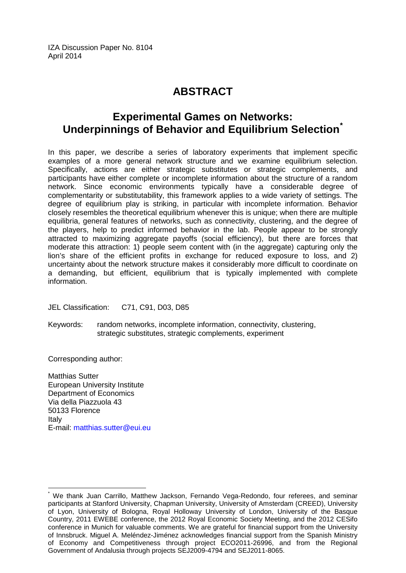IZA Discussion Paper No. 8104 April 2014

# **ABSTRACT**

# **Experimental Games on Networks: Underpinnings of Behavior and Equilibrium Selection[\\*](#page-1-0)**

In this paper, we describe a series of laboratory experiments that implement specific examples of a more general network structure and we examine equilibrium selection. Specifically, actions are either strategic substitutes or strategic complements, and participants have either complete or incomplete information about the structure of a random network. Since economic environments typically have a considerable degree of complementarity or substitutability, this framework applies to a wide variety of settings. The degree of equilibrium play is striking, in particular with incomplete information. Behavior closely resembles the theoretical equilibrium whenever this is unique; when there are multiple equilibria, general features of networks, such as connectivity, clustering, and the degree of the players, help to predict informed behavior in the lab. People appear to be strongly attracted to maximizing aggregate payoffs (social efficiency), but there are forces that moderate this attraction: 1) people seem content with (in the aggregate) capturing only the lion's share of the efficient profits in exchange for reduced exposure to loss, and 2) uncertainty about the network structure makes it considerably more difficult to coordinate on a demanding, but efficient, equilibrium that is typically implemented with complete information.

JEL Classification: C71, C91, D03, D85

Keywords: random networks, incomplete information, connectivity, clustering, strategic substitutes, strategic complements, experiment

Corresponding author:

Matthias Sutter European University Institute Department of Economics Via della Piazzuola 43 50133 Florence Italy E-mail: [matthias.sutter@eui.eu](mailto:matthias.sutter@eui.eu)

We thank Juan Carrillo, Matthew Jackson, Fernando Vega-Redondo, four referees, and seminar participants at Stanford University, Chapman University, University of Amsterdam (CREED), University of Lyon, University of Bologna, Royal Holloway University of London, University of the Basque Country, 2011 EWEBE conference, the 2012 Royal Economic Society Meeting, and the 2012 CESifo conference in Munich for valuable comments. We are grateful for financial support from the University of Innsbruck. Miguel A. Meléndez-Jiménez acknowledges financial support from the Spanish Ministry of Economy and Competitiveness through project ECO2011-26996, and from the Regional Government of Andalusia through projects SEJ2009-4794 and SEJ2011-8065.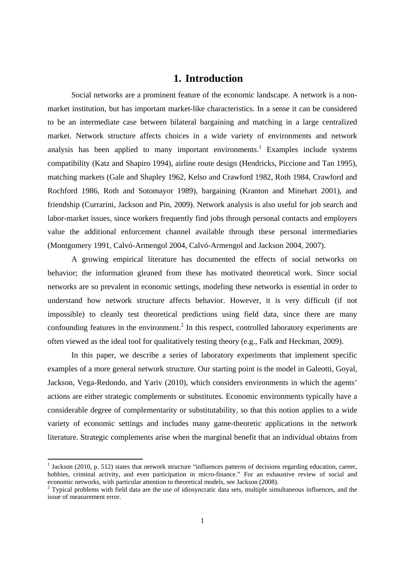### **1. Introduction**

Social networks are a prominent feature of the economic landscape. A network is a nonmarket institution, but has important market-like characteristics. In a sense it can be considered to be an intermediate case between bilateral bargaining and matching in a large centralized market. Network structure affects choices in a wide variety of environments and network analysis has been applied to many important environments.<sup>1</sup> Examples include systems compatibility (Katz and Shapiro 1994), airline route design (Hendricks, Piccione and Tan 1995), matching markets (Gale and Shapley 1962, Kelso and Crawford 1982, Roth 1984, Crawford and Rochford 1986, Roth and Sotomayor 1989), bargaining (Kranton and Minehart 2001), and friendship (Currarini, Jackson and Pin, 2009). Network analysis is also useful for job search and labor-market issues, since workers frequently find jobs through personal contacts and employers value the additional enforcement channel available through these personal intermediaries (Montgomery 1991, Calvó-Armengol 2004, Calvó-Armengol and Jackson 2004, 2007).

A growing empirical literature has documented the effects of social networks on behavior; the information gleaned from these has motivated theoretical work. Since social networks are so prevalent in economic settings, modeling these networks is essential in order to understand how network structure affects behavior. However, it is very difficult (if not impossible) to cleanly test theoretical predictions using field data, since there are many confounding features in the environment.<sup>2</sup> In this respect, controlled laboratory experiments are often viewed as the ideal tool for qualitatively testing theory (e.g., Falk and Heckman, 2009).

In this paper, we describe a series of laboratory experiments that implement specific examples of a more general network structure. Our starting point is the model in Galeotti, Goyal, Jackson, Vega-Redondo, and Yariv (2010), which considers environments in which the agents' actions are either strategic complements or substitutes. Economic environments typically have a considerable degree of complementarity or substitutability, so that this notion applies to a wide variety of economic settings and includes many game-theoretic applications in the network literature. Strategic complements arise when the marginal benefit that an individual obtains from

<sup>&</sup>lt;sup>1</sup> Jackson (2010, p. 512) states that network structure "influences patterns of decisions regarding education, career, hobbies, criminal activity, and even participation in micro-finance." For an exhaustive review of social and economic networks, with particular attention to theoretical models, see Jackson (2008).<br><sup>2</sup> Typical problems with field data are the use of idiosyncratic data sets, multiple simultaneous influences, and the

issue of measurement error.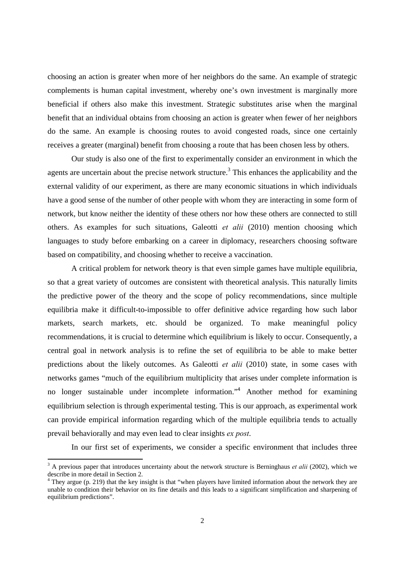choosing an action is greater when more of her neighbors do the same. An example of strategic complements is human capital investment, whereby one's own investment is marginally more beneficial if others also make this investment. Strategic substitutes arise when the marginal benefit that an individual obtains from choosing an action is greater when fewer of her neighbors do the same. An example is choosing routes to avoid congested roads, since one certainly receives a greater (marginal) benefit from choosing a route that has been chosen less by others.

Our study is also one of the first to experimentally consider an environment in which the agents are uncertain about the precise network structure.<sup>3</sup> This enhances the applicability and the external validity of our experiment, as there are many economic situations in which individuals have a good sense of the number of other people with whom they are interacting in some form of network, but know neither the identity of these others nor how these others are connected to still others. As examples for such situations, Galeotti *et alii* (2010) mention choosing which languages to study before embarking on a career in diplomacy, researchers choosing software based on compatibility, and choosing whether to receive a vaccination.

A critical problem for network theory is that even simple games have multiple equilibria, so that a great variety of outcomes are consistent with theoretical analysis. This naturally limits the predictive power of the theory and the scope of policy recommendations, since multiple equilibria make it difficult-to-impossible to offer definitive advice regarding how such labor markets, search markets, etc. should be organized. To make meaningful policy recommendations, it is crucial to determine which equilibrium is likely to occur. Consequently, a central goal in network analysis is to refine the set of equilibria to be able to make better predictions about the likely outcomes. As Galeotti *et alii* (2010) state, in some cases with networks games "much of the equilibrium multiplicity that arises under complete information is no longer sustainable under incomplete information.<sup>4</sup> Another method for examining equilibrium selection is through experimental testing. This is our approach, as experimental work can provide empirical information regarding which of the multiple equilibria tends to actually prevail behaviorally and may even lead to clear insights *ex post*.

In our first set of experiments, we consider a specific environment that includes three

<sup>&</sup>lt;sup>3</sup> A previous paper that introduces uncertainty about the network structure is Berninghaus *et alii* (2002), which we describe in more detail in Section 2.

<sup>&</sup>lt;sup>4</sup> They argue (p. 219) that the key insight is that "when players have limited information about the network they are unable to condition their behavior on its fine details and this leads to a significant simplification and sharpening of equilibrium predictions".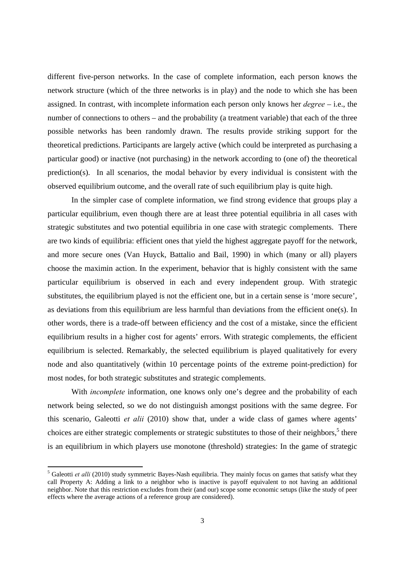different five-person networks. In the case of complete information, each person knows the network structure (which of the three networks is in play) and the node to which she has been assigned. In contrast, with incomplete information each person only knows her *degree* – i.e., the number of connections to others – and the probability (a treatment variable) that each of the three possible networks has been randomly drawn. The results provide striking support for the theoretical predictions. Participants are largely active (which could be interpreted as purchasing a particular good) or inactive (not purchasing) in the network according to (one of) the theoretical prediction(s). In all scenarios, the modal behavior by every individual is consistent with the observed equilibrium outcome, and the overall rate of such equilibrium play is quite high.

In the simpler case of complete information, we find strong evidence that groups play a particular equilibrium, even though there are at least three potential equilibria in all cases with strategic substitutes and two potential equilibria in one case with strategic complements. There are two kinds of equilibria: efficient ones that yield the highest aggregate payoff for the network, and more secure ones (Van Huyck, Battalio and Bail, 1990) in which (many or all) players choose the maximin action. In the experiment, behavior that is highly consistent with the same particular equilibrium is observed in each and every independent group. With strategic substitutes, the equilibrium played is not the efficient one, but in a certain sense is 'more secure', as deviations from this equilibrium are less harmful than deviations from the efficient one(s). In other words, there is a trade-off between efficiency and the cost of a mistake, since the efficient equilibrium results in a higher cost for agents' errors. With strategic complements, the efficient equilibrium is selected. Remarkably, the selected equilibrium is played qualitatively for every node and also quantitatively (within 10 percentage points of the extreme point-prediction) for most nodes, for both strategic substitutes and strategic complements.

With *incomplete* information, one knows only one's degree and the probability of each network being selected, so we do not distinguish amongst positions with the same degree. For this scenario, Galeotti *et alii* (2010) show that, under a wide class of games where agents' choices are either strategic complements or strategic substitutes to those of their neighbors, $5$  there is an equilibrium in which players use monotone (threshold) strategies: In the game of strategic

<sup>&</sup>lt;sup>5</sup> Galeotti *et alli* (2010) study symmetric Bayes-Nash equilibria. They mainly focus on games that satisfy what they call Property A: Adding a link to a neighbor who is inactive is payoff equivalent to not having an additional neighbor. Note that this restriction excludes from their (and our) scope some economic setups (like the study of peer effects where the average actions of a reference group are considered).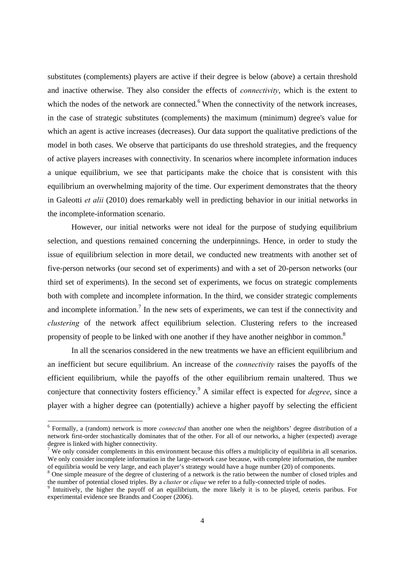substitutes (complements) players are active if their degree is below (above) a certain threshold and inactive otherwise. They also consider the effects of *connectivity*, which is the extent to which the nodes of the network are connected.<sup>6</sup> When the connectivity of the network increases, in the case of strategic substitutes (complements) the maximum (minimum) degree's value for which an agent is active increases (decreases). Our data support the qualitative predictions of the model in both cases. We observe that participants do use threshold strategies, and the frequency of active players increases with connectivity. In scenarios where incomplete information induces a unique equilibrium, we see that participants make the choice that is consistent with this equilibrium an overwhelming majority of the time. Our experiment demonstrates that the theory in Galeotti *et alii* (2010) does remarkably well in predicting behavior in our initial networks in the incomplete-information scenario.

However, our initial networks were not ideal for the purpose of studying equilibrium selection, and questions remained concerning the underpinnings. Hence, in order to study the issue of equilibrium selection in more detail, we conducted new treatments with another set of five-person networks (our second set of experiments) and with a set of 20-person networks (our third set of experiments). In the second set of experiments, we focus on strategic complements both with complete and incomplete information. In the third, we consider strategic complements and incomplete information.<sup>7</sup> In the new sets of experiments, we can test if the connectivity and *clustering* of the network affect equilibrium selection. Clustering refers to the increased propensity of people to be linked with one another if they have another neighbor in common.<sup>8</sup>

In all the scenarios considered in the new treatments we have an efficient equilibrium and an inefficient but secure equilibrium. An increase of the *connectivity* raises the payoffs of the efficient equilibrium, while the payoffs of the other equilibrium remain unaltered. Thus we conjecture that connectivity fosters efficiency.9 A similar effect is expected for *degree*, since a player with a higher degree can (potentially) achieve a higher payoff by selecting the efficient

<sup>6</sup> Formally, a (random) network is more *connected* than another one when the neighbors' degree distribution of a network first-order stochastically dominates that of the other. For all of our networks, a higher (expected) average degree is linked with higher connectivity.

 $7$  We only consider complements in this environment because this offers a multiplicity of equilibria in all scenarios. We only consider incomplete information in the large-network case because, with complete information, the number of equilibria would be very large, and each player's strategy would have a huge number (20) of components.

<sup>&</sup>lt;sup>8</sup> One simple measure of the degree of clustering of a network is the ratio between the number of closed triples and the number of potential closed triples. By a *cluster* or *clique* we refer to a fully-connected triple of nodes.

<sup>&</sup>lt;sup>9</sup> Intuitively, the higher the payoff of an equilibrium, the more likely it is to be played, ceteris paribus. For experimental evidence see Brandts and Cooper (2006).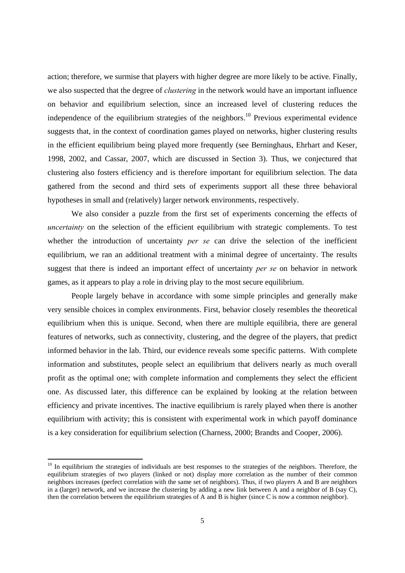action; therefore, we surmise that players with higher degree are more likely to be active. Finally, we also suspected that the degree of *clustering* in the network would have an important influence on behavior and equilibrium selection, since an increased level of clustering reduces the independence of the equilibrium strategies of the neighbors.<sup>10</sup> Previous experimental evidence suggests that, in the context of coordination games played on networks, higher clustering results in the efficient equilibrium being played more frequently (see Berninghaus, Ehrhart and Keser, 1998, 2002, and Cassar, 2007, which are discussed in Section 3). Thus, we conjectured that clustering also fosters efficiency and is therefore important for equilibrium selection. The data gathered from the second and third sets of experiments support all these three behavioral hypotheses in small and (relatively) larger network environments, respectively.

We also consider a puzzle from the first set of experiments concerning the effects of *uncertainty* on the selection of the efficient equilibrium with strategic complements. To test whether the introduction of uncertainty *per se* can drive the selection of the inefficient equilibrium, we ran an additional treatment with a minimal degree of uncertainty. The results suggest that there is indeed an important effect of uncertainty *per se* on behavior in network games, as it appears to play a role in driving play to the most secure equilibrium.

People largely behave in accordance with some simple principles and generally make very sensible choices in complex environments. First, behavior closely resembles the theoretical equilibrium when this is unique. Second, when there are multiple equilibria, there are general features of networks, such as connectivity, clustering, and the degree of the players, that predict informed behavior in the lab. Third, our evidence reveals some specific patterns. With complete information and substitutes, people select an equilibrium that delivers nearly as much overall profit as the optimal one; with complete information and complements they select the efficient one. As discussed later, this difference can be explained by looking at the relation between efficiency and private incentives. The inactive equilibrium is rarely played when there is another equilibrium with activity; this is consistent with experimental work in which payoff dominance is a key consideration for equilibrium selection (Charness, 2000; Brandts and Cooper, 2006).

 $10$  In equilibrium the strategies of individuals are best responses to the strategies of the neighbors. Therefore, the equilibrium strategies of two players (linked or not) display more correlation as the number of their common neighbors increases (perfect correlation with the same set of neighbors). Thus, if two players A and B are neighbors in a (larger) network, and we increase the clustering by adding a new link between A and a neighbor of B (say C), then the correlation between the equilibrium strategies of A and B is higher (since C is now a common neighbor).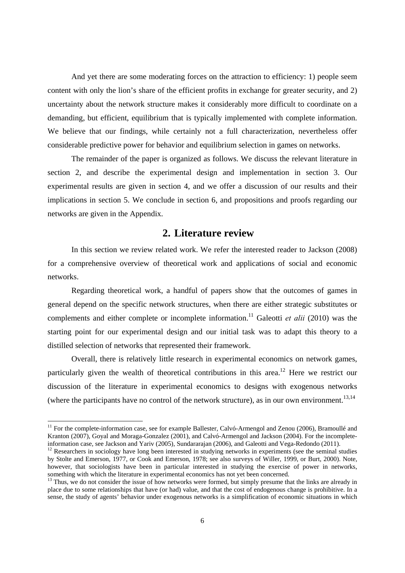And yet there are some moderating forces on the attraction to efficiency: 1) people seem content with only the lion's share of the efficient profits in exchange for greater security, and 2) uncertainty about the network structure makes it considerably more difficult to coordinate on a demanding, but efficient, equilibrium that is typically implemented with complete information. We believe that our findings, while certainly not a full characterization, nevertheless offer considerable predictive power for behavior and equilibrium selection in games on networks.

The remainder of the paper is organized as follows. We discuss the relevant literature in section 2, and describe the experimental design and implementation in section 3. Our experimental results are given in section 4, and we offer a discussion of our results and their implications in section 5. We conclude in section 6, and propositions and proofs regarding our networks are given in the Appendix.

### **2. Literature review**

In this section we review related work. We refer the interested reader to Jackson (2008) for a comprehensive overview of theoretical work and applications of social and economic networks.

Regarding theoretical work, a handful of papers show that the outcomes of games in general depend on the specific network structures, when there are either strategic substitutes or complements and either complete or incomplete information.<sup>11</sup> Galeotti *et alii* (2010) was the starting point for our experimental design and our initial task was to adapt this theory to a distilled selection of networks that represented their framework.

Overall, there is relatively little research in experimental economics on network games, particularly given the wealth of theoretical contributions in this area.<sup>12</sup> Here we restrict our discussion of the literature in experimental economics to designs with exogenous networks (where the participants have no control of the network structure), as in our own environment.<sup>13,14</sup>

 $11$  For the complete-information case, see for example Ballester, Calvó-Armengol and Zenou (2006), Bramoullé and Kranton (2007), Goyal and Moraga-Gonzalez (2001), and Calvó-Armengol and Jackson (2004). For the incompleteinformation case, see Jackson and Yariv (2005), Sundararajan (2006), and Galeotti and Vega-Redondo (2011).

 $12$  Researchers in sociology have long been interested in studying networks in experiments (see the seminal studies by Stolte and Emerson, 1977, or Cook and Emerson, 1978; see also surveys of Willer, 1999, or Burt, 2000). Note, however, that sociologists have been in particular interested in studying the exercise of power in networks, something with which the literature in experimental economics has not yet been concerned.

<sup>&</sup>lt;sup>13</sup> Thus, we do not consider the issue of how networks were formed, but simply presume that the links are already in place due to some relationships that have (or had) value, and that the cost of endogenous change is prohibitive. In a sense, the study of agents' behavior under exogenous networks is a simplification of economic situations in which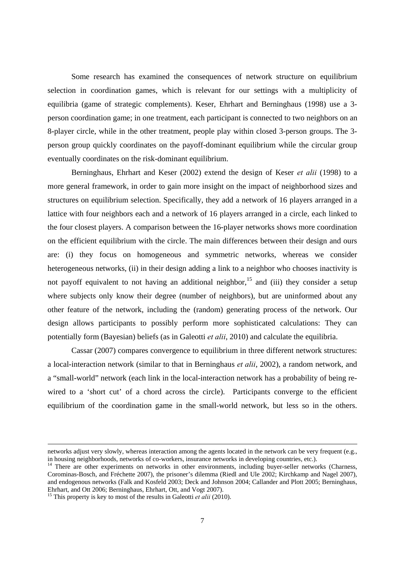Some research has examined the consequences of network structure on equilibrium selection in coordination games, which is relevant for our settings with a multiplicity of equilibria (game of strategic complements). Keser, Ehrhart and Berninghaus (1998) use a 3 person coordination game; in one treatment, each participant is connected to two neighbors on an 8-player circle, while in the other treatment, people play within closed 3-person groups. The 3 person group quickly coordinates on the payoff-dominant equilibrium while the circular group eventually coordinates on the risk-dominant equilibrium.

Berninghaus, Ehrhart and Keser (2002) extend the design of Keser *et alii* (1998) to a more general framework, in order to gain more insight on the impact of neighborhood sizes and structures on equilibrium selection. Specifically, they add a network of 16 players arranged in a lattice with four neighbors each and a network of 16 players arranged in a circle, each linked to the four closest players. A comparison between the 16-player networks shows more coordination on the efficient equilibrium with the circle. The main differences between their design and ours are: (i) they focus on homogeneous and symmetric networks, whereas we consider heterogeneous networks, (ii) in their design adding a link to a neighbor who chooses inactivity is not payoff equivalent to not having an additional neighbor,<sup>15</sup> and (iii) they consider a setup where subjects only know their degree (number of neighbors), but are uninformed about any other feature of the network, including the (random) generating process of the network. Our design allows participants to possibly perform more sophisticated calculations: They can potentially form (Bayesian) beliefs (as in Galeotti *et alii*, 2010) and calculate the equilibria.

Cassar (2007) compares convergence to equilibrium in three different network structures: a local-interaction network (similar to that in Berninghaus *et alii*, 2002), a random network, and a "small-world" network (each link in the local-interaction network has a probability of being rewired to a 'short cut' of a chord across the circle). Participants converge to the efficient equilibrium of the coordination game in the small-world network, but less so in the others.

 networks adjust very slowly, whereas interaction among the agents located in the network can be very frequent (e.g., in housing neighborhoods, networks of co-workers, insurance networks in developing countries, etc.).

<sup>&</sup>lt;sup>14</sup> There are other experiments on networks in other environments, including buyer-seller networks (Charness, Corominas-Bosch, and Fréchette 2007), the prisoner's dilemma (Riedl and Ule 2002; Kirchkamp and Nagel 2007), and endogenous networks (Falk and Kosfeld 2003; Deck and Johnson 2004; Callander and Plott 2005; Berninghaus, Ehrhart, and Ott 2006; Berninghaus, Ehrhart, Ott, and Vogt 2007).

<sup>&</sup>lt;sup>15</sup> This property is key to most of the results in Galeotti *et alii* (2010).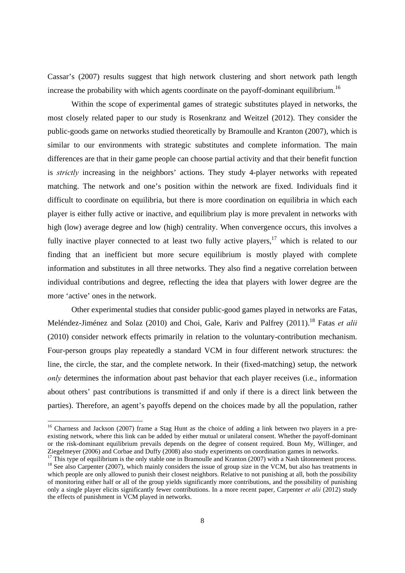Cassar's (2007) results suggest that high network clustering and short network path length increase the probability with which agents coordinate on the payoff-dominant equilibrium.<sup>16</sup>

Within the scope of experimental games of strategic substitutes played in networks, the most closely related paper to our study is Rosenkranz and Weitzel (2012). They consider the public-goods game on networks studied theoretically by Bramoulle and Kranton (2007), which is similar to our environments with strategic substitutes and complete information. The main differences are that in their game people can choose partial activity and that their benefit function is *strictly* increasing in the neighbors' actions. They study 4-player networks with repeated matching. The network and one's position within the network are fixed. Individuals find it difficult to coordinate on equilibria, but there is more coordination on equilibria in which each player is either fully active or inactive, and equilibrium play is more prevalent in networks with high (low) average degree and low (high) centrality. When convergence occurs, this involves a fully inactive player connected to at least two fully active players,  $17$  which is related to our finding that an inefficient but more secure equilibrium is mostly played with complete information and substitutes in all three networks. They also find a negative correlation between individual contributions and degree, reflecting the idea that players with lower degree are the more 'active' ones in the network.

Other experimental studies that consider public-good games played in networks are Fatas, Meléndez-Jiménez and Solaz (2010) and Choi, Gale, Kariv and Palfrey (2011).<sup>18</sup> Fatas *et alii* (2010) consider network effects primarily in relation to the voluntary-contribution mechanism. Four-person groups play repeatedly a standard VCM in four different network structures: the line, the circle, the star, and the complete network. In their (fixed-matching) setup, the network *only* determines the information about past behavior that each player receives (i.e., information about others' past contributions is transmitted if and only if there is a direct link between the parties). Therefore, an agent's payoffs depend on the choices made by all the population, rather

<sup>&</sup>lt;sup>16</sup> Charness and Jackson (2007) frame a Stag Hunt as the choice of adding a link between two players in a preexisting network, where this link can be added by either mutual or unilateral consent. Whether the payoff-dominant or the risk-dominant equilibrium prevails depends on the degree of consent required. Boun My, Willinger, and Ziegelmeyer (2006) and Corbae and Duffy (2008) also study experiments on coordination games in networks.

<sup>&</sup>lt;sup>17</sup> This type of equilibrium is the only stable one in Bramoulle and Kranton (2007) with a Nash tâtonnement process. <sup>18</sup> See also Carpenter (2007), which mainly considers the issue of group size in the VCM, but also has treatments in which people are only allowed to punish their closest neighbors. Relative to not punishing at all, both the possibility of monitoring either half or all of the group yields significantly more contributions, and the possibility of punishing only a single player elicits significantly fewer contributions. In a more recent paper, Carpenter *et alii* (2012) study the effects of punishment in VCM played in networks.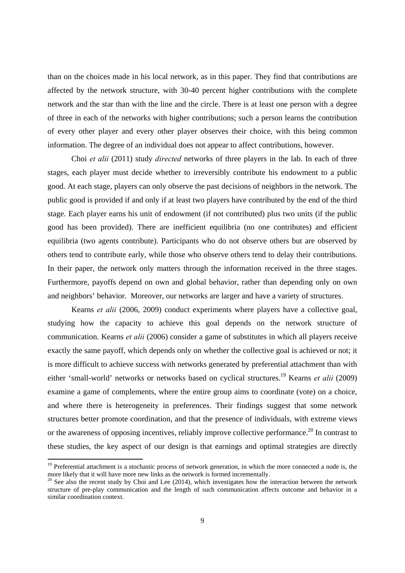than on the choices made in his local network, as in this paper. They find that contributions are affected by the network structure, with 30-40 percent higher contributions with the complete network and the star than with the line and the circle. There is at least one person with a degree of three in each of the networks with higher contributions; such a person learns the contribution of every other player and every other player observes their choice, with this being common information. The degree of an individual does not appear to affect contributions, however.

Choi *et alii* (2011) study *directed* networks of three players in the lab. In each of three stages, each player must decide whether to irreversibly contribute his endowment to a public good. At each stage, players can only observe the past decisions of neighbors in the network. The public good is provided if and only if at least two players have contributed by the end of the third stage. Each player earns his unit of endowment (if not contributed) plus two units (if the public good has been provided). There are inefficient equilibria (no one contributes) and efficient equilibria (two agents contribute). Participants who do not observe others but are observed by others tend to contribute early, while those who observe others tend to delay their contributions. In their paper, the network only matters through the information received in the three stages. Furthermore, payoffs depend on own and global behavior, rather than depending only on own and neighbors' behavior. Moreover, our networks are larger and have a variety of structures.

Kearns *et alii* (2006, 2009) conduct experiments where players have a collective goal, studying how the capacity to achieve this goal depends on the network structure of communication. Kearns *et alii* (2006) consider a game of substitutes in which all players receive exactly the same payoff, which depends only on whether the collective goal is achieved or not; it is more difficult to achieve success with networks generated by preferential attachment than with either 'small-world' networks or networks based on cyclical structures.19 Kearns *et alii* (2009) examine a game of complements, where the entire group aims to coordinate (vote) on a choice, and where there is heterogeneity in preferences. Their findings suggest that some network structures better promote coordination, and that the presence of individuals, with extreme views or the awareness of opposing incentives, reliably improve collective performance.20 In contrast to these studies, the key aspect of our design is that earnings and optimal strategies are directly

<sup>&</sup>lt;sup>19</sup> Preferential attachment is a stochastic process of network generation, in which the more connected a node is, the more likely that it will have more new links as the network is formed incrementally.

 $20$  See also the recent study by Choi and Lee (2014), which investigates how the interaction between the network structure of pre-play communication and the length of such communication affects outcome and behavior in a similar coordination context.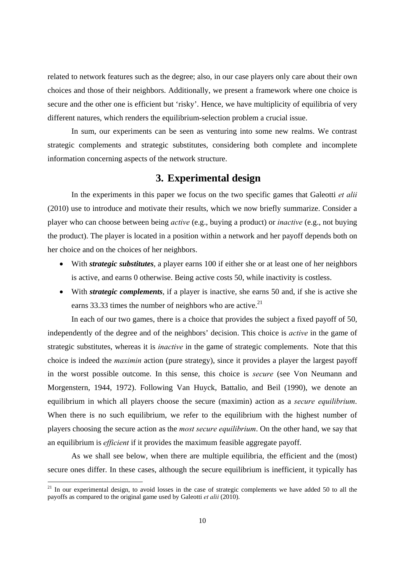related to network features such as the degree; also, in our case players only care about their own choices and those of their neighbors. Additionally, we present a framework where one choice is secure and the other one is efficient but 'risky'. Hence, we have multiplicity of equilibria of very different natures, which renders the equilibrium-selection problem a crucial issue.

In sum, our experiments can be seen as venturing into some new realms. We contrast strategic complements and strategic substitutes, considering both complete and incomplete information concerning aspects of the network structure.

### **3. Experimental design**

In the experiments in this paper we focus on the two specific games that Galeotti *et alii* (2010) use to introduce and motivate their results, which we now briefly summarize. Consider a player who can choose between being *active* (e.g., buying a product) or *inactive* (e.g., not buying the product). The player is located in a position within a network and her payoff depends both on her choice and on the choices of her neighbors.

- With *strategic substitutes*, a player earns 100 if either she or at least one of her neighbors is active, and earns 0 otherwise. Being active costs 50, while inactivity is costless.
- With *strategic complements*, if a player is inactive, she earns 50 and, if she is active she earns 33.33 times the number of neighbors who are active.<sup>21</sup>

In each of our two games, there is a choice that provides the subject a fixed payoff of 50, independently of the degree and of the neighbors' decision. This choice is *active* in the game of strategic substitutes, whereas it is *inactive* in the game of strategic complements. Note that this choice is indeed the *maximin* action (pure strategy), since it provides a player the largest payoff in the worst possible outcome. In this sense, this choice is *secure* (see Von Neumann and Morgenstern, 1944, 1972). Following Van Huyck, Battalio, and Beil (1990), we denote an equilibrium in which all players choose the secure (maximin) action as a *secure equilibrium*. When there is no such equilibrium, we refer to the equilibrium with the highest number of players choosing the secure action as the *most secure equilibrium*. On the other hand, we say that an equilibrium is *efficient* if it provides the maximum feasible aggregate payoff.

As we shall see below, when there are multiple equilibria, the efficient and the (most) secure ones differ. In these cases, although the secure equilibrium is inefficient, it typically has

 $21$  In our experimental design, to avoid losses in the case of strategic complements we have added 50 to all the payoffs as compared to the original game used by Galeotti *et alii* (2010).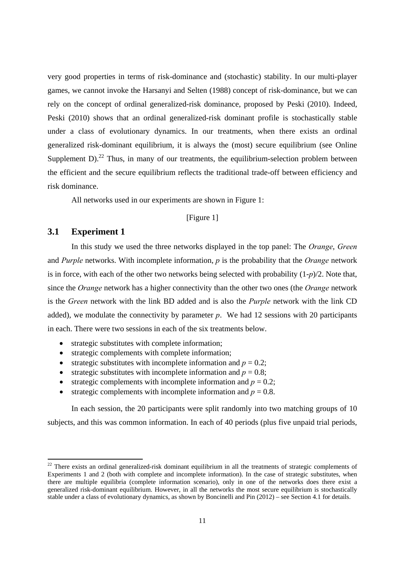very good properties in terms of risk-dominance and (stochastic) stability. In our multi-player games, we cannot invoke the Harsanyi and Selten (1988) concept of risk-dominance, but we can rely on the concept of ordinal generalized-risk dominance, proposed by Peski (2010). Indeed, Peski (2010) shows that an ordinal generalized-risk dominant profile is stochastically stable under a class of evolutionary dynamics. In our treatments, when there exists an ordinal generalized risk-dominant equilibrium, it is always the (most) secure equilibrium (see Online Supplement  $D$ ).<sup>22</sup> Thus, in many of our treatments, the equilibrium-selection problem between the efficient and the secure equilibrium reflects the traditional trade-off between efficiency and risk dominance.

All networks used in our experiments are shown in Figure 1:

#### [Figure 1]

#### **3.1 Experiment 1**

In this study we used the three networks displayed in the top panel: The *Orange*, *Green* and *Purple* networks. With incomplete information, *p* is the probability that the *Orange* network is in force, with each of the other two networks being selected with probability (1-*p*)/2. Note that, since the *Orange* network has a higher connectivity than the other two ones (the *Orange* network is the *Green* network with the link BD added and is also the *Purple* network with the link CD added), we modulate the connectivity by parameter *p*. We had 12 sessions with 20 participants in each. There were two sessions in each of the six treatments below.

- strategic substitutes with complete information;
- strategic complements with complete information;
- strategic substitutes with incomplete information and  $p = 0.2$ ;
- strategic substitutes with incomplete information and  $p = 0.8$ ;
- strategic complements with incomplete information and  $p = 0.2$ ;
- strategic complements with incomplete information and  $p = 0.8$ .

In each session, the 20 participants were split randomly into two matching groups of 10 subjects, and this was common information. In each of 40 periods (plus five unpaid trial periods,

 $22$  There exists an ordinal generalized-risk dominant equilibrium in all the treatments of strategic complements of Experiments 1 and 2 (both with complete and incomplete information). In the case of strategic substitutes, when there are multiple equilibria (complete information scenario), only in one of the networks does there exist a generalized risk-dominant equilibrium. However, in all the networks the most secure equilibrium is stochastically stable under a class of evolutionary dynamics, as shown by Boncinelli and Pin (2012) – see Section 4.1 for details.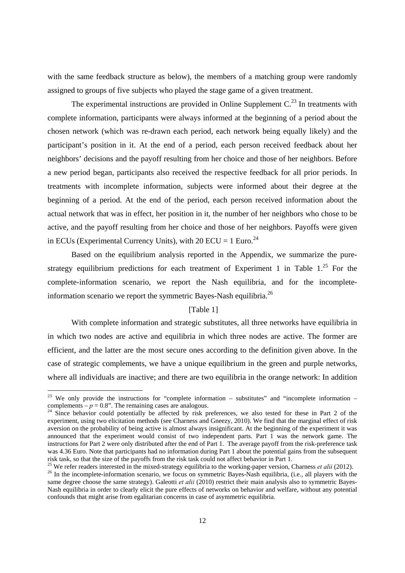with the same feedback structure as below), the members of a matching group were randomly assigned to groups of five subjects who played the stage game of a given treatment.

The experimental instructions are provided in Online Supplement  $C<sup>23</sup>$  In treatments with complete information, participants were always informed at the beginning of a period about the chosen network (which was re-drawn each period, each network being equally likely) and the participant's position in it. At the end of a period, each person received feedback about her neighbors' decisions and the payoff resulting from her choice and those of her neighbors. Before a new period began, participants also received the respective feedback for all prior periods. In treatments with incomplete information, subjects were informed about their degree at the beginning of a period. At the end of the period, each person received information about the actual network that was in effect, her position in it, the number of her neighbors who chose to be active, and the payoff resulting from her choice and those of her neighbors. Payoffs were given in ECUs (Experimental Currency Units), with 20 ECU = 1 Euro.<sup>24</sup>

Based on the equilibrium analysis reported in the Appendix, we summarize the purestrategy equilibrium predictions for each treatment of Experiment 1 in Table  $1.^{25}$  For the complete-information scenario, we report the Nash equilibria, and for the incompleteinformation scenario we report the symmetric Bayes-Nash equilibria.<sup>26</sup>

#### [Table 1]

With complete information and strategic substitutes, all three networks have equilibria in in which two nodes are active and equilibria in which three nodes are active. The former are efficient, and the latter are the most secure ones according to the definition given above. In the case of strategic complements, we have a unique equilibrium in the green and purple networks, where all individuals are inactive; and there are two equilibria in the orange network: In addition

<sup>&</sup>lt;sup>23</sup> We only provide the instructions for "complete information – substitutes" and "incomplete information – complements –  $p = 0.8$ ". The remaining cases are analogous.

<sup>&</sup>lt;sup>24</sup> Since behavior could potentially be affected by risk preferences, we also tested for these in Part 2 of the experiment, using two elicitation methods (see Charness and Gneezy, 2010). We find that the marginal effect of risk aversion on the probability of being active is almost always insignificant. At the beginning of the experiment it was announced that the experiment would consist of two independent parts. Part 1 was the network game. The instructions for Part 2 were only distributed after the end of Part 1. The average payoff from the risk-preference task was 4.36 Euro. Note that participants had no information during Part 1 about the potential gains from the subsequent risk task, so that the size of the payoffs from the risk task could not affect behavior in Part 1.<br><sup>25</sup> We refer readers interested in the mixed-strategy equilibria to the working-paper version, Charness *et alii* (2012).

<sup>&</sup>lt;sup>26</sup> In the incomplete-information scenario, we focus on symmetric Bayes-Nash equilibria, (i.e., all players with the same degree choose the same strategy). Galeotti *et alii* (2010) restrict their main analysis also to symmetric Bayes-Nash equilibria in order to clearly elicit the pure effects of networks on behavior and welfare, without any potential confounds that might arise from egalitarian concerns in case of asymmetric equilibria.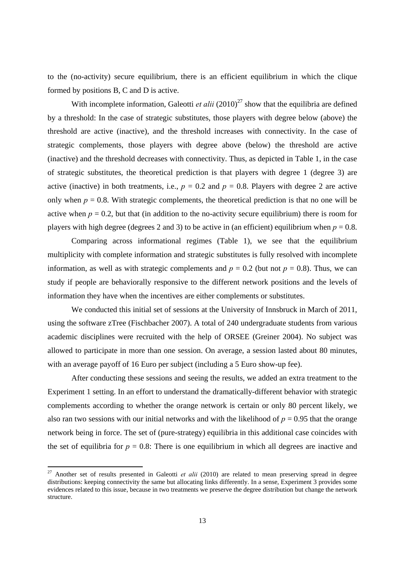to the (no-activity) secure equilibrium, there is an efficient equilibrium in which the clique formed by positions B, C and D is active.

With incomplete information, Galeotti *et alii*  $(2010)^{27}$  show that the equilibria are defined by a threshold: In the case of strategic substitutes, those players with degree below (above) the threshold are active (inactive), and the threshold increases with connectivity. In the case of strategic complements, those players with degree above (below) the threshold are active (inactive) and the threshold decreases with connectivity. Thus, as depicted in Table 1, in the case of strategic substitutes, the theoretical prediction is that players with degree 1 (degree 3) are active (inactive) in both treatments, i.e.,  $p = 0.2$  and  $p = 0.8$ . Players with degree 2 are active only when  $p = 0.8$ . With strategic complements, the theoretical prediction is that no one will be active when  $p = 0.2$ , but that (in addition to the no-activity secure equilibrium) there is room for players with high degree (degrees 2 and 3) to be active in (an efficient) equilibrium when  $p = 0.8$ .

Comparing across informational regimes (Table 1), we see that the equilibrium multiplicity with complete information and strategic substitutes is fully resolved with incomplete information, as well as with strategic complements and  $p = 0.2$  (but not  $p = 0.8$ ). Thus, we can study if people are behaviorally responsive to the different network positions and the levels of information they have when the incentives are either complements or substitutes.

We conducted this initial set of sessions at the University of Innsbruck in March of 2011, using the software zTree (Fischbacher 2007). A total of 240 undergraduate students from various academic disciplines were recruited with the help of ORSEE (Greiner 2004). No subject was allowed to participate in more than one session. On average, a session lasted about 80 minutes, with an average payoff of 16 Euro per subject (including a 5 Euro show-up fee).

After conducting these sessions and seeing the results, we added an extra treatment to the Experiment 1 setting. In an effort to understand the dramatically-different behavior with strategic complements according to whether the orange network is certain or only 80 percent likely, we also ran two sessions with our initial networks and with the likelihood of  $p = 0.95$  that the orange network being in force. The set of (pure-strategy) equilibria in this additional case coincides with the set of equilibria for  $p = 0.8$ : There is one equilibrium in which all degrees are inactive and

<sup>&</sup>lt;sup>27</sup> Another set of results presented in Galeotti *et alii* (2010) are related to mean preserving spread in degree distributions: keeping connectivity the same but allocating links differently. In a sense, Experiment 3 provides some evidences related to this issue, because in two treatments we preserve the degree distribution but change the network structure.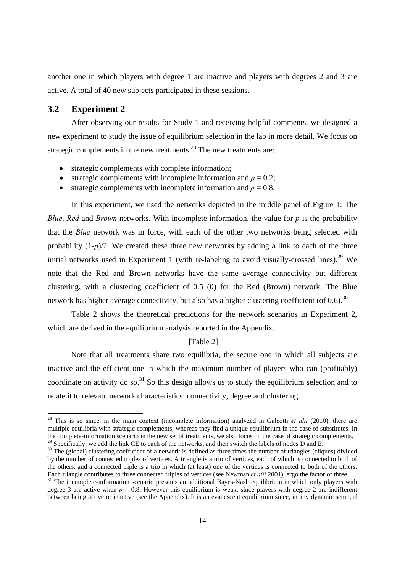another one in which players with degree 1 are inactive and players with degrees 2 and 3 are active. A total of 40 new subjects participated in these sessions.

#### **3.2 Experiment 2**

After observing our results for Study 1 and receiving helpful comments, we designed a new experiment to study the issue of equilibrium selection in the lab in more detail. We focus on strategic complements in the new treatments.<sup>28</sup> The new treatments are:

- strategic complements with complete information;
- strategic complements with incomplete information and  $p = 0.2$ ;
- strategic complements with incomplete information and  $p = 0.8$ .

In this experiment, we used the networks depicted in the middle panel of Figure 1: The *Blue*, *Red* and *Brown* networks. With incomplete information, the value for *p* is the probability that the *Blue* network was in force, with each of the other two networks being selected with probability (1-*p*)/2. We created these three new networks by adding a link to each of the three initial networks used in Experiment 1 (with re-labeling to avoid visually-crossed lines).<sup>29</sup> We note that the Red and Brown networks have the same average connectivity but different clustering, with a clustering coefficient of 0.5 (0) for the Red (Brown) network. The Blue network has higher average connectivity, but also has a higher clustering coefficient (of  $0.6$ ).<sup>30</sup>

Table 2 shows the theoretical predictions for the network scenarios in Experiment 2, which are derived in the equilibrium analysis reported in the Appendix.

#### [Table 2]

 Note that all treatments share two equilibria, the secure one in which all subjects are inactive and the efficient one in which the maximum number of players who can (profitably) coordinate on activity do so.<sup>31</sup> So this design allows us to study the equilibrium selection and to relate it to relevant network characteristics: connectivity, degree and clustering.

 $28$  This is so since, in the main context (incomplete information) analyzed in Galeotti *et alii* (2010), there are multiple equilibria with strategic complements, whereas they find a unique equilibrium in the case of substitutes. In the complete-information scenario in the new set of treatments, we also focus on the case of strategic complements. Specifically, we add the link CE to each of the networks, and then switch the labels of nodes D and E.

<sup>&</sup>lt;sup>30</sup> The (global) clustering coefficient of a network is defined as three times the number of triangles (cliques) divided by the number of connected triples of vertices. A triangle is a trio of vertices, each of which is connected to both of the others, and a connected triple is a trio in which (at least) one of the vertices is connected to both of the others.<br>Each triangle contributes to three connected triples of vertices (see Newman *et alii* 2001), ergo th

<sup>&</sup>lt;sup>31</sup> The incomplete-information scenario presents an additional Bayes-Nash equilibrium in which only players with degree 3 are active when  $p = 0.8$ . However this equilibrium is weak, since players with degree 2 are indifferent between being active or inactive (see the Appendix). It is an evanescent equilibrium since, in any dynamic setup, if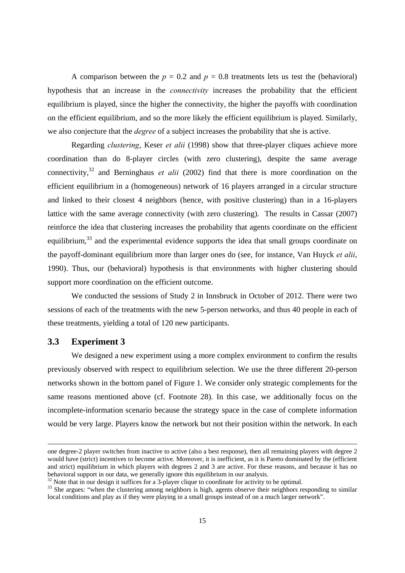A comparison between the  $p = 0.2$  and  $p = 0.8$  treatments lets us test the (behavioral) hypothesis that an increase in the *connectivity* increases the probability that the efficient equilibrium is played, since the higher the connectivity, the higher the payoffs with coordination on the efficient equilibrium, and so the more likely the efficient equilibrium is played. Similarly, we also conjecture that the *degree* of a subject increases the probability that she is active.

Regarding *clustering*, Keser *et alii* (1998) show that three-player cliques achieve more coordination than do 8-player circles (with zero clustering), despite the same average connectivity,<sup>32</sup> and Berninghaus *et alii* (2002) find that there is more coordination on the efficient equilibrium in a (homogeneous) network of 16 players arranged in a circular structure and linked to their closest 4 neighbors (hence, with positive clustering) than in a 16-players lattice with the same average connectivity (with zero clustering). The results in Cassar (2007) reinforce the idea that clustering increases the probability that agents coordinate on the efficient equilibrium,<sup>33</sup> and the experimental evidence supports the idea that small groups coordinate on the payoff-dominant equilibrium more than larger ones do (see, for instance, Van Huyck *et alii*, 1990). Thus, our (behavioral) hypothesis is that environments with higher clustering should support more coordination on the efficient outcome.

We conducted the sessions of Study 2 in Innsbruck in October of 2012. There were two sessions of each of the treatments with the new 5-person networks, and thus 40 people in each of these treatments, yielding a total of 120 new participants.

### **3.3 Experiment 3**

We designed a new experiment using a more complex environment to confirm the results previously observed with respect to equilibrium selection. We use the three different 20-person networks shown in the bottom panel of Figure 1. We consider only strategic complements for the same reasons mentioned above (cf. Footnote 28). In this case, we additionally focus on the incomplete-information scenario because the strategy space in the case of complete information would be very large. Players know the network but not their position within the network. In each

one degree-2 player switches from inactive to active (also a best response), then all remaining players with degree 2 would have (strict) incentives to become active. Moreover, it is inefficient, as it is Pareto dominated by the (efficient and strict) equilibrium in which players with degrees 2 and 3 are active. For these reasons, and because it has no behavioral support in our data, we generally ignore this equilibrium in our analysis.

<sup>&</sup>lt;sup>32</sup> Note that in our design it suffices for a 3-player clique to coordinate for activity to be optimal.

<sup>&</sup>lt;sup>33</sup> She argues: "when the clustering among neighbors is high, agents observe their neighbors responding to similar local conditions and play as if they were playing in a small groups instead of on a much larger network".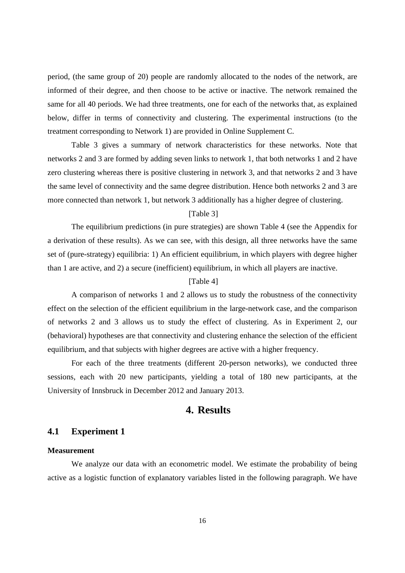period, (the same group of 20) people are randomly allocated to the nodes of the network, are informed of their degree, and then choose to be active or inactive. The network remained the same for all 40 periods. We had three treatments, one for each of the networks that, as explained below, differ in terms of connectivity and clustering. The experimental instructions (to the treatment corresponding to Network 1) are provided in Online Supplement C.

Table 3 gives a summary of network characteristics for these networks. Note that networks 2 and 3 are formed by adding seven links to network 1, that both networks 1 and 2 have zero clustering whereas there is positive clustering in network 3, and that networks 2 and 3 have the same level of connectivity and the same degree distribution. Hence both networks 2 and 3 are more connected than network 1, but network 3 additionally has a higher degree of clustering.

#### [Table 3]

The equilibrium predictions (in pure strategies) are shown Table 4 (see the Appendix for a derivation of these results). As we can see, with this design, all three networks have the same set of (pure-strategy) equilibria: 1) An efficient equilibrium, in which players with degree higher than 1 are active, and 2) a secure (inefficient) equilibrium, in which all players are inactive.

#### [Table 4]

A comparison of networks 1 and 2 allows us to study the robustness of the connectivity effect on the selection of the efficient equilibrium in the large-network case, and the comparison of networks 2 and 3 allows us to study the effect of clustering. As in Experiment 2, our (behavioral) hypotheses are that connectivity and clustering enhance the selection of the efficient equilibrium, and that subjects with higher degrees are active with a higher frequency.

For each of the three treatments (different 20-person networks), we conducted three sessions, each with 20 new participants, yielding a total of 180 new participants, at the University of Innsbruck in December 2012 and January 2013.

### **4. Results**

#### **4.1 Experiment 1**

#### **Measurement**

We analyze our data with an econometric model. We estimate the probability of being active as a logistic function of explanatory variables listed in the following paragraph. We have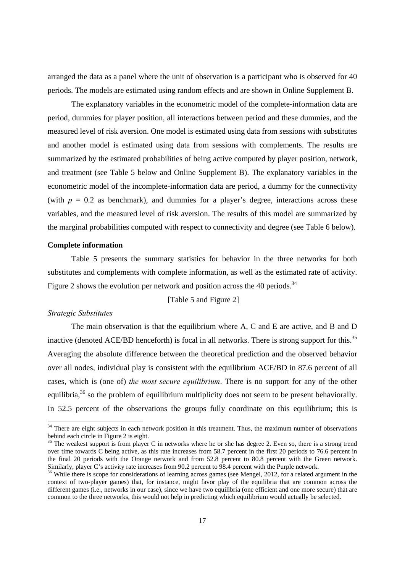arranged the data as a panel where the unit of observation is a participant who is observed for 40 periods. The models are estimated using random effects and are shown in Online Supplement B.

 The explanatory variables in the econometric model of the complete-information data are period, dummies for player position, all interactions between period and these dummies, and the measured level of risk aversion. One model is estimated using data from sessions with substitutes and another model is estimated using data from sessions with complements. The results are summarized by the estimated probabilities of being active computed by player position, network, and treatment (see Table 5 below and Online Supplement B). The explanatory variables in the econometric model of the incomplete-information data are period, a dummy for the connectivity (with  $p = 0.2$  as benchmark), and dummies for a player's degree, interactions across these variables, and the measured level of risk aversion. The results of this model are summarized by the marginal probabilities computed with respect to connectivity and degree (see Table 6 below).

#### **Complete information**

Table 5 presents the summary statistics for behavior in the three networks for both substitutes and complements with complete information, as well as the estimated rate of activity. Figure 2 shows the evolution per network and position across the 40 periods.<sup>34</sup>

#### [Table 5 and Figure 2]

#### *Strategic Substitutes*

The main observation is that the equilibrium where A, C and E are active, and B and D inactive (denoted ACE/BD henceforth) is focal in all networks. There is strong support for this.<sup>35</sup> Averaging the absolute difference between the theoretical prediction and the observed behavior over all nodes, individual play is consistent with the equilibrium ACE/BD in 87.6 percent of all cases, which is (one of) *the most secure equilibrium*. There is no support for any of the other equilibria,<sup>36</sup> so the problem of equilibrium multiplicity does not seem to be present behaviorally. In 52.5 percent of the observations the groups fully coordinate on this equilibrium; this is

 $34$  There are eight subjects in each network position in this treatment. Thus, the maximum number of observations behind each circle in Figure 2 is eight.

<sup>&</sup>lt;sup>35</sup> The weakest support is from player C in networks where he or she has degree 2. Even so, there is a strong trend over time towards C being active, as this rate increases from 58.7 percent in the first 20 periods to 76.6 percent in the final 20 periods with the Orange network and from 52.8 percent to 80.8 percent with the Green network. Similarly, player C's activity rate increases from 90.2 percent to 98.4 percent with the Purple network.

<sup>&</sup>lt;sup>36</sup> While there is scope for considerations of learning across games (see Mengel, 2012, for a related argument in the context of two-player games) that, for instance, might favor play of the equilibria that are common across the different games (i.e., networks in our case), since we have two equilibria (one efficient and one more secure) that are common to the three networks, this would not help in predicting which equilibrium would actually be selected.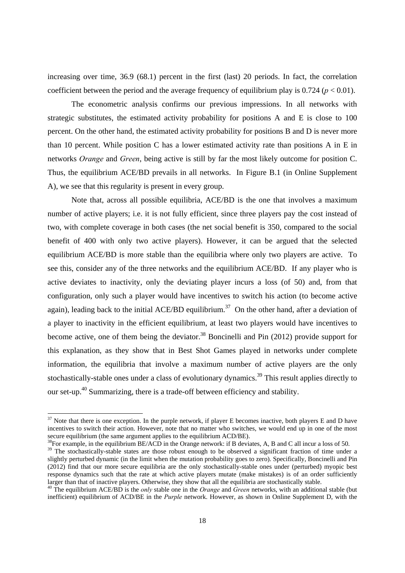increasing over time, 36.9 (68.1) percent in the first (last) 20 periods. In fact, the correlation coefficient between the period and the average frequency of equilibrium play is  $0.724$  ( $p < 0.01$ ).

The econometric analysis confirms our previous impressions. In all networks with strategic substitutes, the estimated activity probability for positions A and E is close to 100 percent. On the other hand, the estimated activity probability for positions B and D is never more than 10 percent. While position C has a lower estimated activity rate than positions A in E in networks *Orange* and *Green*, being active is still by far the most likely outcome for position C. Thus, the equilibrium ACE/BD prevails in all networks. In Figure B.1 (in Online Supplement A), we see that this regularity is present in every group.

Note that, across all possible equilibria, ACE/BD is the one that involves a maximum number of active players; i.e. it is not fully efficient, since three players pay the cost instead of two, with complete coverage in both cases (the net social benefit is 350, compared to the social benefit of 400 with only two active players). However, it can be argued that the selected equilibrium ACE/BD is more stable than the equilibria where only two players are active. To see this, consider any of the three networks and the equilibrium ACE/BD. If any player who is active deviates to inactivity, only the deviating player incurs a loss (of 50) and, from that configuration, only such a player would have incentives to switch his action (to become active again), leading back to the initial ACE/BD equilibrium.<sup>37</sup> On the other hand, after a deviation of a player to inactivity in the efficient equilibrium, at least two players would have incentives to become active, one of them being the deviator.<sup>38</sup> Boncinelli and Pin  $(2012)$  provide support for this explanation, as they show that in Best Shot Games played in networks under complete information, the equilibria that involve a maximum number of active players are the only stochastically-stable ones under a class of evolutionary dynamics.<sup>39</sup> This result applies directly to our set-up.40 Summarizing, there is a trade-off between efficiency and stability.

 $37$  Note that there is one exception. In the purple network, if player E becomes inactive, both players E and D have incentives to switch their action. However, note that no matter who switches, we would end up in one of the most secure equilibrium (the same argument applies to the equilibrium ACD/BE).

 $38$ For example, in the equilibrium BE/ACD in the Orange network: if B deviates, A, B and C all incur a loss of 50.

<sup>&</sup>lt;sup>39</sup> The stochastically-stable states are those robust enough to be observed a significant fraction of time under a slightly perturbed dynamic (in the limit when the mutation probability goes to zero). Specifically, Boncinelli and Pin (2012) find that our more secure equilibria are the only stochastically-stable ones under (perturbed) myopic best response dynamics such that the rate at which active players mutate (make mistakes) is of an order sufficiently larger than that of inactive players. Otherwise, they show that all the equilibria are stochastically stable.

<sup>&</sup>lt;sup>40</sup> The equilibrium ACE/BD is the *only* stable one in the *Orange* and *Green* networks, with an additional stable (but inefficient) equilibrium of ACD/BE in the *Purple* network. However, as shown in Online Supplement D, with the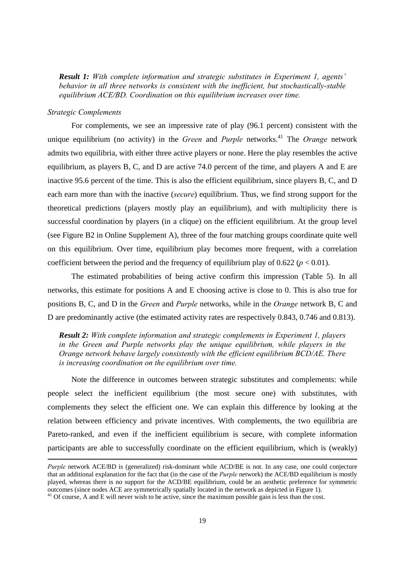*Result 1: With complete information and strategic substitutes in Experiment 1, agents' behavior in all three networks is consistent with the inefficient, but stochastically-stable equilibrium ACE/BD. Coordination on this equilibrium increases over time.* 

#### *Strategic Complements*

For complements, we see an impressive rate of play (96.1 percent) consistent with the unique equilibrium (no activity) in the *Green* and *Purple* networks.<sup>41</sup> The *Orange* network admits two equilibria, with either three active players or none. Here the play resembles the active equilibrium, as players B, C, and D are active 74.0 percent of the time, and players A and E are inactive 95.6 percent of the time. This is also the efficient equilibrium, since players B, C, and D each earn more than with the inactive (*secure*) equilibrium. Thus, we find strong support for the theoretical predictions (players mostly play an equilibrium), and with multiplicity there is successful coordination by players (in a clique) on the efficient equilibrium. At the group level (see Figure B2 in Online Supplement A), three of the four matching groups coordinate quite well on this equilibrium. Over time, equilibrium play becomes more frequent, with a correlation coefficient between the period and the frequency of equilibrium play of  $0.622$  ( $p < 0.01$ ).

The estimated probabilities of being active confirm this impression (Table 5). In all networks, this estimate for positions A and E choosing active is close to 0. This is also true for positions B, C, and D in the *Green* and *Purple* networks, while in the *Orange* network B, C and D are predominantly active (the estimated activity rates are respectively 0.843, 0.746 and 0.813).

*Result 2: With complete information and strategic complements in Experiment 1, players in the Green and Purple networks play the unique equilibrium, while players in the Orange network behave largely consistently with the efficient equilibrium BCD/AE. There is increasing coordination on the equilibrium over time.* 

Note the difference in outcomes between strategic substitutes and complements: while people select the inefficient equilibrium (the most secure one) with substitutes, with complements they select the efficient one. We can explain this difference by looking at the relation between efficiency and private incentives. With complements, the two equilibria are Pareto-ranked, and even if the inefficient equilibrium is secure, with complete information participants are able to successfully coordinate on the efficient equilibrium, which is (weakly)

<u> 1989 - Johann Stoff, amerikansk politiker (d. 1989)</u>

*Purple* network ACE/BD is (generalized) risk-dominant while ACD/BE is not. In any case, one could conjecture that an additional explanation for the fact that (in the case of the *Purple* network) the ACE/BD equilibrium is mostly played, whereas there is no support for the ACD/BE equilibrium, could be an aesthetic preference for symmetric outcomes (since nodes ACE are symmetrically spatially located in the network as depicted in Figure 1).

 $41$  Of course, A and E will never wish to be active, since the maximum possible gain is less than the cost.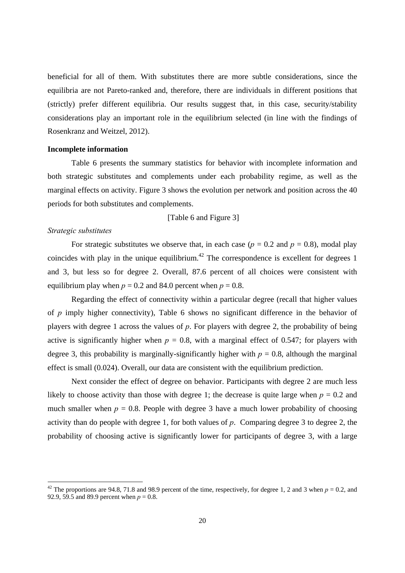beneficial for all of them. With substitutes there are more subtle considerations, since the equilibria are not Pareto-ranked and, therefore, there are individuals in different positions that (strictly) prefer different equilibria. Our results suggest that, in this case, security/stability considerations play an important role in the equilibrium selected (in line with the findings of Rosenkranz and Weitzel, 2012).

#### **Incomplete information**

Table 6 presents the summary statistics for behavior with incomplete information and both strategic substitutes and complements under each probability regime, as well as the marginal effects on activity. Figure 3 shows the evolution per network and position across the 40 periods for both substitutes and complements.

#### [Table 6 and Figure 3]

#### *Strategic substitutes*

For strategic substitutes we observe that, in each case ( $p = 0.2$  and  $p = 0.8$ ), modal play coincides with play in the unique equilibrium.<sup>42</sup> The correspondence is excellent for degrees 1 and 3, but less so for degree 2. Overall, 87.6 percent of all choices were consistent with equilibrium play when  $p = 0.2$  and 84.0 percent when  $p = 0.8$ .

Regarding the effect of connectivity within a particular degree (recall that higher values of *p* imply higher connectivity), Table 6 shows no significant difference in the behavior of players with degree 1 across the values of *p*. For players with degree 2, the probability of being active is significantly higher when  $p = 0.8$ , with a marginal effect of 0.547; for players with degree 3, this probability is marginally-significantly higher with  $p = 0.8$ , although the marginal effect is small (0.024). Overall, our data are consistent with the equilibrium prediction.

Next consider the effect of degree on behavior. Participants with degree 2 are much less likely to choose activity than those with degree 1; the decrease is quite large when  $p = 0.2$  and much smaller when  $p = 0.8$ . People with degree 3 have a much lower probability of choosing activity than do people with degree 1, for both values of *p*. Comparing degree 3 to degree 2, the probability of choosing active is significantly lower for participants of degree 3, with a large

<sup>&</sup>lt;sup>42</sup> The proportions are 94.8, 71.8 and 98.9 percent of the time, respectively, for degree 1, 2 and 3 when  $p = 0.2$ , and 92.9, 59.5 and 89.9 percent when  $p = 0.8$ .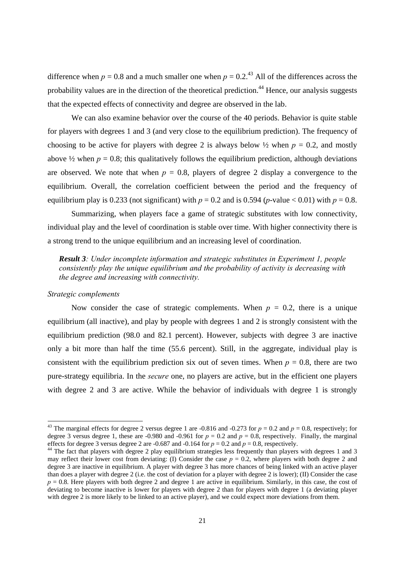difference when  $p = 0.8$  and a much smaller one when  $p = 0.2<sup>{43}</sup>$  All of the differences across the probability values are in the direction of the theoretical prediction.<sup>44</sup> Hence, our analysis suggests that the expected effects of connectivity and degree are observed in the lab.

We can also examine behavior over the course of the 40 periods. Behavior is quite stable for players with degrees 1 and 3 (and very close to the equilibrium prediction). The frequency of choosing to be active for players with degree 2 is always below  $\frac{1}{2}$  when  $p = 0.2$ , and mostly above  $\frac{1}{2}$  when  $p = 0.8$ ; this qualitatively follows the equilibrium prediction, although deviations are observed. We note that when  $p = 0.8$ , players of degree 2 display a convergence to the equilibrium. Overall, the correlation coefficient between the period and the frequency of equilibrium play is 0.233 (not significant) with  $p = 0.2$  and is 0.594 (*p*-value < 0.01) with  $p = 0.8$ .

Summarizing, when players face a game of strategic substitutes with low connectivity, individual play and the level of coordination is stable over time. With higher connectivity there is a strong trend to the unique equilibrium and an increasing level of coordination.

*Result 3: Under incomplete information and strategic substitutes in Experiment 1, people consistently play the unique equilibrium and the probability of activity is decreasing with the degree and increasing with connectivity.* 

#### *Strategic complements*

Now consider the case of strategic complements. When  $p = 0.2$ , there is a unique equilibrium (all inactive), and play by people with degrees 1 and 2 is strongly consistent with the equilibrium prediction (98.0 and 82.1 percent). However, subjects with degree 3 are inactive only a bit more than half the time (55.6 percent). Still, in the aggregate, individual play is consistent with the equilibrium prediction six out of seven times. When  $p = 0.8$ , there are two pure-strategy equilibria. In the *secure* one, no players are active, but in the efficient one players with degree 2 and 3 are active. While the behavior of individuals with degree 1 is strongly

<sup>&</sup>lt;sup>43</sup> The marginal effects for degree 2 versus degree 1 are -0.816 and -0.273 for  $p = 0.2$  and  $p = 0.8$ , respectively; for degree 3 versus degree 1, these are -0.980 and -0.961 for  $p = 0.2$  and  $p = 0.8$ , respectively. Finally, the marginal effects for degree 3 versus degree 2 are -0.687 and -0.164 for  $p = 0.2$  and  $p = 0.8$ , respectively.

<sup>&</sup>lt;sup>44</sup> The fact that players with degree 2 play equilibrium strategies less frequently than players with degrees 1 and 3 may reflect their lower cost from deviating: (I) Consider the case  $p = 0.2$ , where players with both degree 2 and degree 3 are inactive in equilibrium. A player with degree 3 has more chances of being linked with an active player than does a player with degree 2 (i.e. the cost of deviation for a player with degree 2 is lower); (II) Consider the case  $p = 0.8$ . Here players with both degree 2 and degree 1 are active in equilibrium. Similarly, in this case, the cost of deviating to become inactive is lower for players with degree 2 than for players with degree 1 (a deviating player with degree 2 is more likely to be linked to an active player), and we could expect more deviations from them.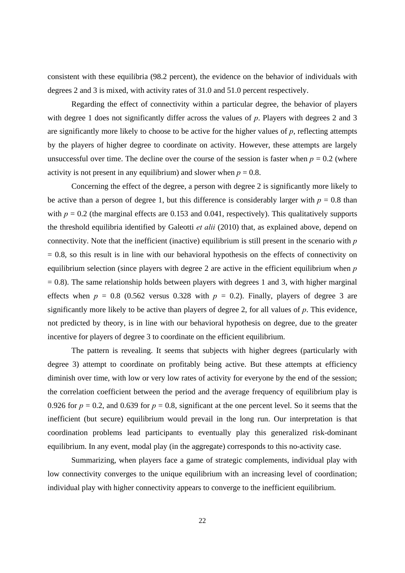consistent with these equilibria (98.2 percent), the evidence on the behavior of individuals with degrees 2 and 3 is mixed, with activity rates of 31.0 and 51.0 percent respectively.

Regarding the effect of connectivity within a particular degree, the behavior of players with degree 1 does not significantly differ across the values of *p*. Players with degrees 2 and 3 are significantly more likely to choose to be active for the higher values of *p*, reflecting attempts by the players of higher degree to coordinate on activity. However, these attempts are largely unsuccessful over time. The decline over the course of the session is faster when  $p = 0.2$  (where activity is not present in any equilibrium) and slower when  $p = 0.8$ .

Concerning the effect of the degree, a person with degree 2 is significantly more likely to be active than a person of degree 1, but this difference is considerably larger with  $p = 0.8$  than with  $p = 0.2$  (the marginal effects are 0.153 and 0.041, respectively). This qualitatively supports the threshold equilibria identified by Galeotti *et alii* (2010) that, as explained above, depend on connectivity. Note that the inefficient (inactive) equilibrium is still present in the scenario with *p*  $= 0.8$ , so this result is in line with our behavioral hypothesis on the effects of connectivity on equilibrium selection (since players with degree 2 are active in the efficient equilibrium when *p*  $= 0.8$ ). The same relationship holds between players with degrees 1 and 3, with higher marginal effects when  $p = 0.8$  (0.562 versus 0.328 with  $p = 0.2$ ). Finally, players of degree 3 are significantly more likely to be active than players of degree 2, for all values of *p*. This evidence, not predicted by theory, is in line with our behavioral hypothesis on degree, due to the greater incentive for players of degree 3 to coordinate on the efficient equilibrium.

The pattern is revealing. It seems that subjects with higher degrees (particularly with degree 3) attempt to coordinate on profitably being active. But these attempts at efficiency diminish over time, with low or very low rates of activity for everyone by the end of the session; the correlation coefficient between the period and the average frequency of equilibrium play is 0.926 for  $p = 0.2$ , and 0.639 for  $p = 0.8$ , significant at the one percent level. So it seems that the inefficient (but secure) equilibrium would prevail in the long run. Our interpretation is that coordination problems lead participants to eventually play this generalized risk-dominant equilibrium. In any event, modal play (in the aggregate) corresponds to this no-activity case.

Summarizing, when players face a game of strategic complements, individual play with low connectivity converges to the unique equilibrium with an increasing level of coordination; individual play with higher connectivity appears to converge to the inefficient equilibrium.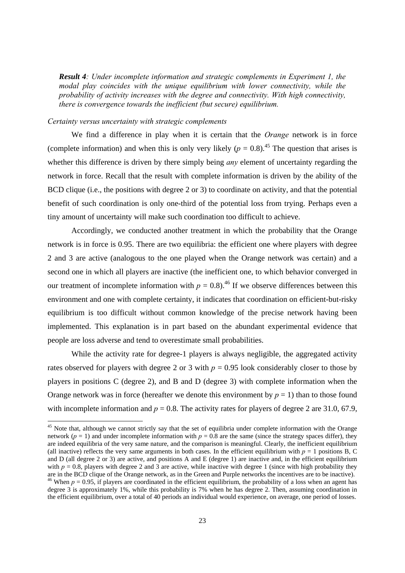*Result 4: Under incomplete information and strategic complements in Experiment 1, the modal play coincides with the unique equilibrium with lower connectivity, while the probability of activity increases with the degree and connectivity. With high connectivity, there is convergence towards the inefficient (but secure) equilibrium.* 

#### *Certainty versus uncertainty with strategic complements*

We find a difference in play when it is certain that the *Orange* network is in force (complete information) and when this is only very likely  $(p = 0.8)$ .<sup>45</sup> The question that arises is whether this difference is driven by there simply being *any* element of uncertainty regarding the network in force. Recall that the result with complete information is driven by the ability of the BCD clique (i.e., the positions with degree 2 or 3) to coordinate on activity, and that the potential benefit of such coordination is only one-third of the potential loss from trying. Perhaps even a tiny amount of uncertainty will make such coordination too difficult to achieve.

Accordingly, we conducted another treatment in which the probability that the Orange network is in force is 0.95. There are two equilibria: the efficient one where players with degree 2 and 3 are active (analogous to the one played when the Orange network was certain) and a second one in which all players are inactive (the inefficient one, to which behavior converged in our treatment of incomplete information with  $p = 0.8$ ).<sup>46</sup> If we observe differences between this environment and one with complete certainty, it indicates that coordination on efficient-but-risky equilibrium is too difficult without common knowledge of the precise network having been implemented. This explanation is in part based on the abundant experimental evidence that people are loss adverse and tend to overestimate small probabilities.

While the activity rate for degree-1 players is always negligible, the aggregated activity rates observed for players with degree 2 or 3 with  $p = 0.95$  look considerably closer to those by players in positions C (degree 2), and B and D (degree 3) with complete information when the Orange network was in force (hereafter we denote this environment by  $p = 1$ ) than to those found with incomplete information and  $p = 0.8$ . The activity rates for players of degree 2 are 31.0, 67.9,

 $45$  Note that, although we cannot strictly say that the set of equilibria under complete information with the Orange network ( $p = 1$ ) and under incomplete information with  $p = 0.8$  are the same (since the strategy spaces differ), they are indeed equilibria of the very same nature, and the comparison is meaningful. Clearly, the inefficient equilibrium (all inactive) reflects the very same arguments in both cases. In the efficient equilibrium with  $p = 1$  positions B, C and D (all degree 2 or 3) are active, and positions A and E (degree 1) are inactive and, in the efficient equilibrium with  $p = 0.8$ , players with degree 2 and 3 are active, while inactive with degree 1 (since with high probability they are in the BCD clique of the Orange network, as in the Green and Purple networks the incentives are to <sup>46</sup> When  $p = 0.95$ , if players are coordinated in the efficient equilibrium, the probability of a loss when an agent has degree 3 is approximately 1%, while this probability is 7% when he has degree 2. Then, assuming coordination in the efficient equilibrium, over a total of 40 periods an individual would experience, on average, one period of losses.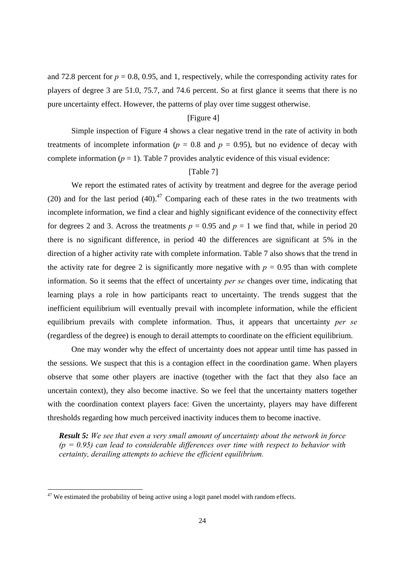and 72.8 percent for  $p = 0.8$ , 0.95, and 1, respectively, while the corresponding activity rates for players of degree 3 are 51.0, 75.7, and 74.6 percent. So at first glance it seems that there is no pure uncertainty effect. However, the patterns of play over time suggest otherwise.

#### [Figure 4]

Simple inspection of Figure 4 shows a clear negative trend in the rate of activity in both treatments of incomplete information ( $p = 0.8$  and  $p = 0.95$ ), but no evidence of decay with complete information  $(p = 1)$ . Table 7 provides analytic evidence of this visual evidence:

#### [Table 7]

We report the estimated rates of activity by treatment and degree for the average period (20) and for the last period  $(40)^{47}$  Comparing each of these rates in the two treatments with incomplete information, we find a clear and highly significant evidence of the connectivity effect for degrees 2 and 3. Across the treatments  $p = 0.95$  and  $p = 1$  we find that, while in period 20 there is no significant difference, in period 40 the differences are significant at 5% in the direction of a higher activity rate with complete information. Table 7 also shows that the trend in the activity rate for degree 2 is significantly more negative with  $p = 0.95$  than with complete information. So it seems that the effect of uncertainty *per se* changes over time, indicating that learning plays a role in how participants react to uncertainty. The trends suggest that the inefficient equilibrium will eventually prevail with incomplete information, while the efficient equilibrium prevails with complete information. Thus, it appears that uncertainty *per se* (regardless of the degree) is enough to derail attempts to coordinate on the efficient equilibrium.

One may wonder why the effect of uncertainty does not appear until time has passed in the sessions. We suspect that this is a contagion effect in the coordination game. When players observe that some other players are inactive (together with the fact that they also face an uncertain context), they also become inactive. So we feel that the uncertainty matters together with the coordination context players face: Given the uncertainty, players may have different thresholds regarding how much perceived inactivity induces them to become inactive.

*Result 5: We see that even a very small amount of uncertainty about the network in force (p = 0.95) can lead to considerable differences over time with respect to behavior with certainty, derailing attempts to achieve the efficient equilibrium.* 

 $47$  We estimated the probability of being active using a logit panel model with random effects.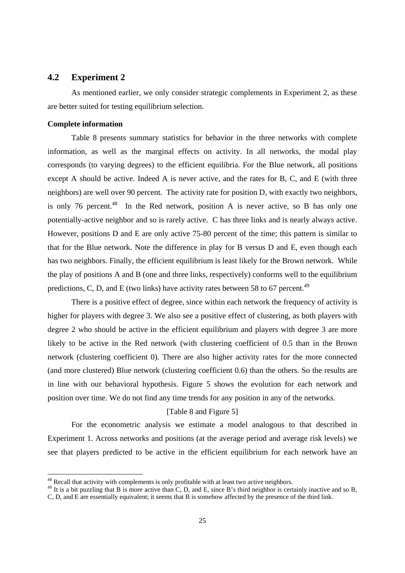#### **4.2 Experiment 2**

As mentioned earlier, we only consider strategic complements in Experiment 2, as these are better suited for testing equilibrium selection.

#### **Complete information**

Table 8 presents summary statistics for behavior in the three networks with complete information, as well as the marginal effects on activity. In all networks, the modal play corresponds (to varying degrees) to the efficient equilibria. For the Blue network, all positions except A should be active. Indeed A is never active, and the rates for B, C, and E (with three neighbors) are well over 90 percent. The activity rate for position D, with exactly two neighbors, is only 76 percent.<sup>48</sup> In the Red network, position A is never active, so B has only one potentially-active neighbor and so is rarely active. C has three links and is nearly always active. However, positions D and E are only active 75-80 percent of the time; this pattern is similar to that for the Blue network. Note the difference in play for B versus D and E, even though each has two neighbors. Finally, the efficient equilibrium is least likely for the Brown network. While the play of positions A and B (one and three links, respectively) conforms well to the equilibrium predictions, C, D, and E (two links) have activity rates between 58 to 67 percent.<sup>49</sup>

There is a positive effect of degree, since within each network the frequency of activity is higher for players with degree 3. We also see a positive effect of clustering, as both players with degree 2 who should be active in the efficient equilibrium and players with degree 3 are more likely to be active in the Red network (with clustering coefficient of 0.5 than in the Brown network (clustering coefficient 0). There are also higher activity rates for the more connected (and more clustered) Blue network (clustering coefficient 0.6) than the others. So the results are in line with our behavioral hypothesis. Figure 5 shows the evolution for each network and position over time. We do not find any time trends for any position in any of the networks.

#### [Table 8 and Figure 5]

For the econometric analysis we estimate a model analogous to that described in Experiment 1. Across networks and positions (at the average period and average risk levels) we see that players predicted to be active in the efficient equilibrium for each network have an

<sup>&</sup>lt;sup>48</sup> Recall that activity with complements is only profitable with at least two active neighbors.

 $^{49}$  It is a bit puzzling that B is more active than C, D, and E, since B's third neighbor is certainly inactive and so B, C, D, and E are essentially equivalent; it seems that B is somehow affected by the presence of the third link.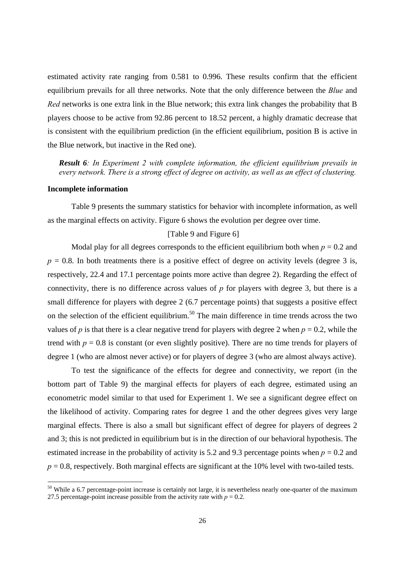estimated activity rate ranging from 0.581 to 0.996. These results confirm that the efficient equilibrium prevails for all three networks. Note that the only difference between the *Blue* and *Red* networks is one extra link in the Blue network; this extra link changes the probability that B players choose to be active from 92.86 percent to 18.52 percent, a highly dramatic decrease that is consistent with the equilibrium prediction (in the efficient equilibrium, position B is active in the Blue network, but inactive in the Red one).

*Result 6: In Experiment 2 with complete information, the efficient equilibrium prevails in every network. There is a strong effect of degree on activity, as well as an effect of clustering.* 

#### **Incomplete information**

Table 9 presents the summary statistics for behavior with incomplete information, as well as the marginal effects on activity. Figure 6 shows the evolution per degree over time.

#### [Table 9 and Figure 6]

Modal play for all degrees corresponds to the efficient equilibrium both when  $p = 0.2$  and  $p = 0.8$ . In both treatments there is a positive effect of degree on activity levels (degree 3 is, respectively, 22.4 and 17.1 percentage points more active than degree 2). Regarding the effect of connectivity, there is no difference across values of *p* for players with degree 3, but there is a small difference for players with degree 2 (6.7 percentage points) that suggests a positive effect on the selection of the efficient equilibrium.<sup>50</sup> The main difference in time trends across the two values of *p* is that there is a clear negative trend for players with degree 2 when  $p = 0.2$ , while the trend with  $p = 0.8$  is constant (or even slightly positive). There are no time trends for players of degree 1 (who are almost never active) or for players of degree 3 (who are almost always active).

To test the significance of the effects for degree and connectivity, we report (in the bottom part of Table 9) the marginal effects for players of each degree, estimated using an econometric model similar to that used for Experiment 1. We see a significant degree effect on the likelihood of activity. Comparing rates for degree 1 and the other degrees gives very large marginal effects. There is also a small but significant effect of degree for players of degrees 2 and 3; this is not predicted in equilibrium but is in the direction of our behavioral hypothesis. The estimated increase in the probability of activity is 5.2 and 9.3 percentage points when  $p = 0.2$  and  $p = 0.8$ , respectively. Both marginal effects are significant at the 10% level with two-tailed tests.

 $50$  While a 6.7 percentage-point increase is certainly not large, it is nevertheless nearly one-quarter of the maximum 27.5 percentage-point increase possible from the activity rate with  $p = 0.2$ .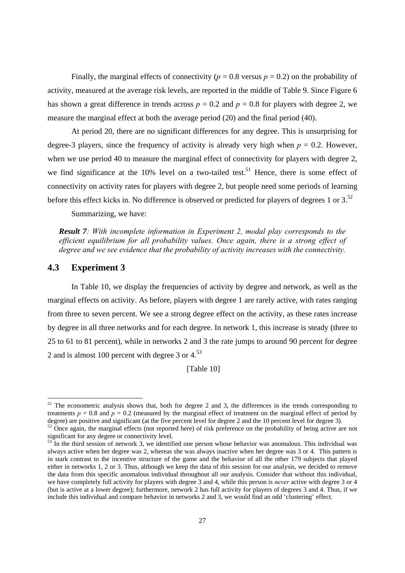Finally, the marginal effects of connectivity ( $p = 0.8$  versus  $p = 0.2$ ) on the probability of activity, measured at the average risk levels, are reported in the middle of Table 9. Since Figure 6 has shown a great difference in trends across  $p = 0.2$  and  $p = 0.8$  for players with degree 2, we measure the marginal effect at both the average period (20) and the final period (40).

At period 20, there are no significant differences for any degree. This is unsurprising for degree-3 players, since the frequency of activity is already very high when  $p = 0.2$ . However, when we use period 40 to measure the marginal effect of connectivity for players with degree 2, we find significance at the 10% level on a two-tailed test.<sup>51</sup> Hence, there is some effect of connectivity on activity rates for players with degree 2, but people need some periods of learning before this effect kicks in. No difference is observed or predicted for players of degrees 1 or 3.<sup>52</sup>

Summarizing, we have:

*Result 7: With incomplete information in Experiment 2, modal play corresponds to the efficient equilibrium for all probability values. Once again, there is a strong effect of degree and we see evidence that the probability of activity increases with the connectivity.* 

#### **4.3 Experiment 3**

In Table 10, we display the frequencies of activity by degree and network, as well as the marginal effects on activity. As before, players with degree 1 are rarely active, with rates ranging from three to seven percent. We see a strong degree effect on the activity, as these rates increase by degree in all three networks and for each degree. In network 1, this increase is steady (three to 25 to 61 to 81 percent), while in networks 2 and 3 the rate jumps to around 90 percent for degree 2 and is almost 100 percent with degree  $3$  or  $4<sup>53</sup>$ 

[Table 10]

 $51$  The econometric analysis shows that, both for degree 2 and 3, the differences in the trends corresponding to treatments  $p = 0.8$  and  $p = 0.2$  (measured by the marginal effect of treatment on the marginal effect of period by degree) are positive and significant (at the five percent level for degree 2 and the 10 percent level for degree 3).

 $52$  Once again, the marginal effects (not reported here) of risk preference on the probability of being active are not significant for any degree or connectivity level.

 $3<sup>3</sup>$  In the third session of network 3, we identified one person whose behavior was anomalous. This individual was always active when her degree was 2, whereas she was always inactive when her degree was 3 or 4. This pattern is in stark contrast to the incentive structure of the game and the behavior of all the other 179 subjects that played either in networks 1, 2 or 3. Thus, although we keep the data of this session for our analysis, we decided to remove the data from this specific anomalous individual throughout all our analysis. Consider that without this individual, we have completely full activity for players with degree 3 and 4, while this person is *never* active with degree 3 or 4 (but is active at a lower degree); furthermore, network 2 has full activity for players of degrees 3 and 4. Thus, if we include this individual and compare behavior in networks 2 and 3, we would find an odd 'clustering' effect.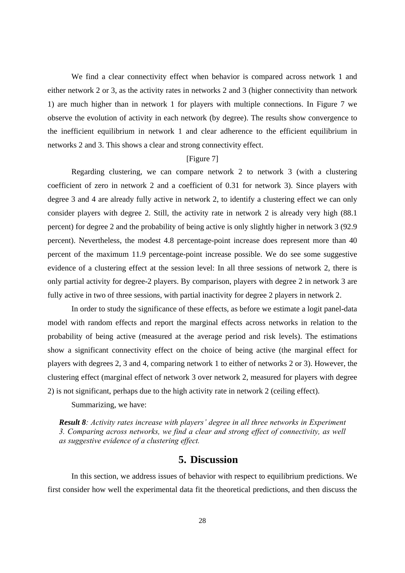We find a clear connectivity effect when behavior is compared across network 1 and either network 2 or 3, as the activity rates in networks 2 and 3 (higher connectivity than network 1) are much higher than in network 1 for players with multiple connections. In Figure 7 we observe the evolution of activity in each network (by degree). The results show convergence to the inefficient equilibrium in network 1 and clear adherence to the efficient equilibrium in networks 2 and 3. This shows a clear and strong connectivity effect.

#### [Figure 7]

Regarding clustering, we can compare network 2 to network 3 (with a clustering coefficient of zero in network 2 and a coefficient of 0.31 for network 3). Since players with degree 3 and 4 are already fully active in network 2, to identify a clustering effect we can only consider players with degree 2. Still, the activity rate in network 2 is already very high (88.1 percent) for degree 2 and the probability of being active is only slightly higher in network 3 (92.9 percent). Nevertheless, the modest 4.8 percentage-point increase does represent more than 40 percent of the maximum 11.9 percentage-point increase possible. We do see some suggestive evidence of a clustering effect at the session level: In all three sessions of network 2, there is only partial activity for degree-2 players. By comparison, players with degree 2 in network 3 are fully active in two of three sessions, with partial inactivity for degree 2 players in network 2.

In order to study the significance of these effects, as before we estimate a logit panel-data model with random effects and report the marginal effects across networks in relation to the probability of being active (measured at the average period and risk levels). The estimations show a significant connectivity effect on the choice of being active (the marginal effect for players with degrees 2, 3 and 4, comparing network 1 to either of networks 2 or 3). However, the clustering effect (marginal effect of network 3 over network 2, measured for players with degree 2) is not significant, perhaps due to the high activity rate in network 2 (ceiling effect).

Summarizing, we have:

*Result 8: Activity rates increase with players' degree in all three networks in Experiment 3. Comparing across networks, we find a clear and strong effect of connectivity, as well as suggestive evidence of a clustering effect.* 

### **5. Discussion**

In this section, we address issues of behavior with respect to equilibrium predictions. We first consider how well the experimental data fit the theoretical predictions, and then discuss the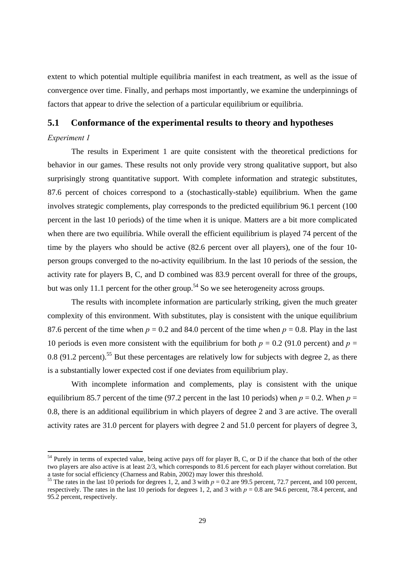extent to which potential multiple equilibria manifest in each treatment, as well as the issue of convergence over time. Finally, and perhaps most importantly, we examine the underpinnings of factors that appear to drive the selection of a particular equilibrium or equilibria.

#### **5.1 Conformance of the experimental results to theory and hypotheses**

#### *Experiment 1*

The results in Experiment 1 are quite consistent with the theoretical predictions for behavior in our games. These results not only provide very strong qualitative support, but also surprisingly strong quantitative support. With complete information and strategic substitutes, 87.6 percent of choices correspond to a (stochastically-stable) equilibrium. When the game involves strategic complements, play corresponds to the predicted equilibrium 96.1 percent (100 percent in the last 10 periods) of the time when it is unique. Matters are a bit more complicated when there are two equilibria. While overall the efficient equilibrium is played 74 percent of the time by the players who should be active (82.6 percent over all players), one of the four 10 person groups converged to the no-activity equilibrium. In the last 10 periods of the session, the activity rate for players B, C, and D combined was 83.9 percent overall for three of the groups, but was only 11.1 percent for the other group.<sup>54</sup> So we see heterogeneity across groups.

The results with incomplete information are particularly striking, given the much greater complexity of this environment. With substitutes, play is consistent with the unique equilibrium 87.6 percent of the time when  $p = 0.2$  and 84.0 percent of the time when  $p = 0.8$ . Play in the last 10 periods is even more consistent with the equilibrium for both  $p = 0.2$  (91.0 percent) and  $p =$ 0.8 (91.2 percent).<sup>55</sup> But these percentages are relatively low for subjects with degree 2, as there is a substantially lower expected cost if one deviates from equilibrium play.

With incomplete information and complements, play is consistent with the unique equilibrium 85.7 percent of the time (97.2 percent in the last 10 periods) when  $p = 0.2$ . When  $p =$ 0.8, there is an additional equilibrium in which players of degree 2 and 3 are active. The overall activity rates are 31.0 percent for players with degree 2 and 51.0 percent for players of degree 3,

 $54$  Purely in terms of expected value, being active pays off for player B, C, or D if the chance that both of the other two players are also active is at least 2/3, which corresponds to 81.6 percent for each player without correlation. But a taste for social efficiency (Charness and Rabin, 2002) may lower this threshold.

<sup>&</sup>lt;sup>55</sup> The rates in the last 10 periods for degrees 1, 2, and 3 with  $p = 0.2$  are 99.5 percent, 72.7 percent, and 100 percent, respectively. The rates in the last 10 periods for degrees 1, 2, and 3 with  $p = 0.8$  are 94.6 percent, 78.4 percent, and 95.2 percent, respectively.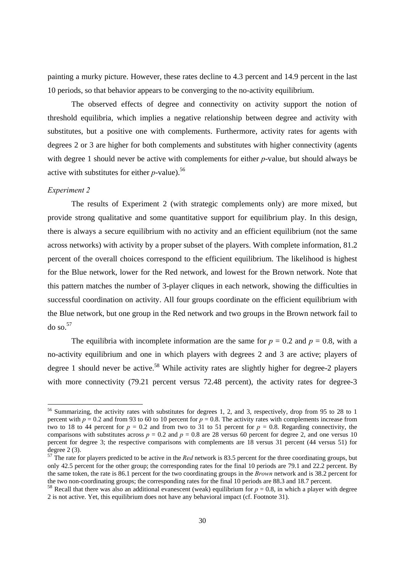painting a murky picture. However, these rates decline to 4.3 percent and 14.9 percent in the last 10 periods, so that behavior appears to be converging to the no-activity equilibrium.

The observed effects of degree and connectivity on activity support the notion of threshold equilibria, which implies a negative relationship between degree and activity with substitutes, but a positive one with complements. Furthermore, activity rates for agents with degrees 2 or 3 are higher for both complements and substitutes with higher connectivity (agents with degree 1 should never be active with complements for either *p*-value, but should always be active with substitutes for either *p*-value).<sup>56</sup>

#### *Experiment 2*

The results of Experiment 2 (with strategic complements only) are more mixed, but provide strong qualitative and some quantitative support for equilibrium play. In this design, there is always a secure equilibrium with no activity and an efficient equilibrium (not the same across networks) with activity by a proper subset of the players. With complete information, 81.2 percent of the overall choices correspond to the efficient equilibrium. The likelihood is highest for the Blue network, lower for the Red network, and lowest for the Brown network. Note that this pattern matches the number of 3-player cliques in each network, showing the difficulties in successful coordination on activity. All four groups coordinate on the efficient equilibrium with the Blue network, but one group in the Red network and two groups in the Brown network fail to  $\frac{d}{d}$  so.  $57$ 

The equilibria with incomplete information are the same for  $p = 0.2$  and  $p = 0.8$ , with a no-activity equilibrium and one in which players with degrees 2 and 3 are active; players of degree 1 should never be active.<sup>58</sup> While activity rates are slightly higher for degree-2 players with more connectivity (79.21 percent versus 72.48 percent), the activity rates for degree-3

<sup>&</sup>lt;sup>56</sup> Summarizing, the activity rates with substitutes for degrees 1, 2, and 3, respectively, drop from 95 to 28 to 1 percent with  $p = 0.2$  and from 93 to 60 to 10 percent for  $p = 0.8$ . The activity rates with complements increase from two to 18 to 44 percent for  $p = 0.2$  and from two to 31 to 51 percent for  $p = 0.8$ . Regarding connectivity, the comparisons with substitutes across  $p = 0.2$  and  $p = 0.8$  are 28 versus 60 percent for degree 2, and one versus 10 percent for degree 3; the respective comparisons with complements are 18 versus 31 percent (44 versus 51) for degree 2 (3).

<sup>&</sup>lt;sup>57</sup> The rate for players predicted to be active in the *Red* network is 83.5 percent for the three coordinating groups, but only 42.5 percent for the other group; the corresponding rates for the final 10 periods are 79.1 and 22.2 percent. By the same token, the rate is 86.1 percent for the two coordinating groups in the *Brown* network and is 38.2 percent for the two non-coordinating groups; the corresponding rates for the final 10 periods are 88.3 and 18.7 percent.

<sup>&</sup>lt;sup>58</sup> Recall that there was also an additional evanescent (weak) equilibrium for  $p = 0.8$ , in which a player with degree 2 is not active. Yet, this equilibrium does not have any behavioral impact (cf. Footnote 31).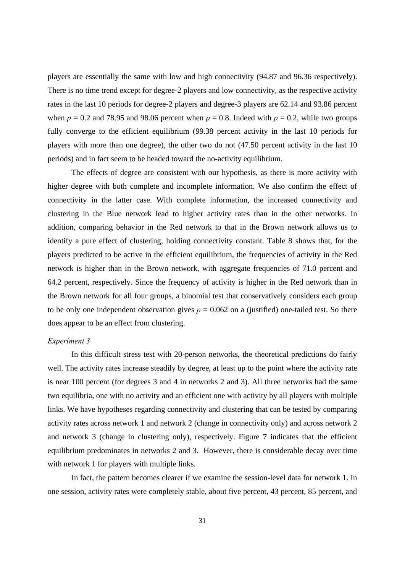players are essentially the same with low and high connectivity (94.87 and 96.36 respectively). There is no time trend except for degree-2 players and low connectivity, as the respective activity rates in the last 10 periods for degree-2 players and degree-3 players are 62.14 and 93.86 percent when  $p = 0.2$  and 78.95 and 98.06 percent when  $p = 0.8$ . Indeed with  $p = 0.2$ , while two groups fully converge to the efficient equilibrium (99.38 percent activity in the last 10 periods for players with more than one degree), the other two do not (47.50 percent activity in the last 10 periods) and in fact seem to be headed toward the no-activity equilibrium.

The effects of degree are consistent with our hypothesis, as there is more activity with higher degree with both complete and incomplete information. We also confirm the effect of connectivity in the latter case. With complete information, the increased connectivity and clustering in the Blue network lead to higher activity rates than in the other networks. In addition, comparing behavior in the Red network to that in the Brown network allows us to identify a pure effect of clustering, holding connectivity constant. Table 8 shows that, for the players predicted to be active in the efficient equilibrium, the frequencies of activity in the Red network is higher than in the Brown network, with aggregate frequencies of 71.0 percent and 64.2 percent, respectively. Since the frequency of activity is higher in the Red network than in the Brown network for all four groups, a binomial test that conservatively considers each group to be only one independent observation gives  $p = 0.062$  on a (justified) one-tailed test. So there does appear to be an effect from clustering.

#### *Experiment 3*

In this difficult stress test with 20-person networks, the theoretical predictions do fairly well. The activity rates increase steadily by degree, at least up to the point where the activity rate is near 100 percent (for degrees 3 and 4 in networks 2 and 3). All three networks had the same two equilibria, one with no activity and an efficient one with activity by all players with multiple links. We have hypotheses regarding connectivity and clustering that can be tested by comparing activity rates across network 1 and network 2 (change in connectivity only) and across network 2 and network 3 (change in clustering only), respectively. Figure 7 indicates that the efficient equilibrium predominates in networks 2 and 3. However, there is considerable decay over time with network 1 for players with multiple links.

In fact, the pattern becomes clearer if we examine the session-level data for network 1. In one session, activity rates were completely stable, about five percent, 43 percent, 85 percent, and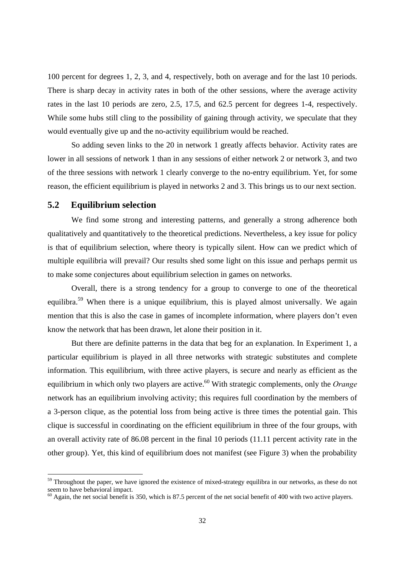100 percent for degrees 1, 2, 3, and 4, respectively, both on average and for the last 10 periods. There is sharp decay in activity rates in both of the other sessions, where the average activity rates in the last 10 periods are zero, 2.5, 17.5, and 62.5 percent for degrees 1-4, respectively. While some hubs still cling to the possibility of gaining through activity, we speculate that they would eventually give up and the no-activity equilibrium would be reached.

So adding seven links to the 20 in network 1 greatly affects behavior. Activity rates are lower in all sessions of network 1 than in any sessions of either network 2 or network 3, and two of the three sessions with network 1 clearly converge to the no-entry equilibrium. Yet, for some reason, the efficient equilibrium is played in networks 2 and 3. This brings us to our next section.

#### **5.2 Equilibrium selection**

We find some strong and interesting patterns, and generally a strong adherence both qualitatively and quantitatively to the theoretical predictions. Nevertheless, a key issue for policy is that of equilibrium selection, where theory is typically silent. How can we predict which of multiple equilibria will prevail? Our results shed some light on this issue and perhaps permit us to make some conjectures about equilibrium selection in games on networks.

Overall, there is a strong tendency for a group to converge to one of the theoretical equilibra.<sup>59</sup> When there is a unique equilibrium, this is played almost universally. We again mention that this is also the case in games of incomplete information, where players don't even know the network that has been drawn, let alone their position in it.

But there are definite patterns in the data that beg for an explanation. In Experiment 1, a particular equilibrium is played in all three networks with strategic substitutes and complete information. This equilibrium, with three active players, is secure and nearly as efficient as the equilibrium in which only two players are active.<sup>60</sup> With strategic complements, only the *Orange* network has an equilibrium involving activity; this requires full coordination by the members of a 3-person clique, as the potential loss from being active is three times the potential gain. This clique is successful in coordinating on the efficient equilibrium in three of the four groups, with an overall activity rate of 86.08 percent in the final 10 periods (11.11 percent activity rate in the other group). Yet, this kind of equilibrium does not manifest (see Figure 3) when the probability

<sup>&</sup>lt;sup>59</sup> Throughout the paper, we have ignored the existence of mixed-strategy equilibra in our networks, as these do not seem to have behavioral impact.

 $^{60}$  Again, the net social benefit is 350, which is 87.5 percent of the net social benefit of 400 with two active players.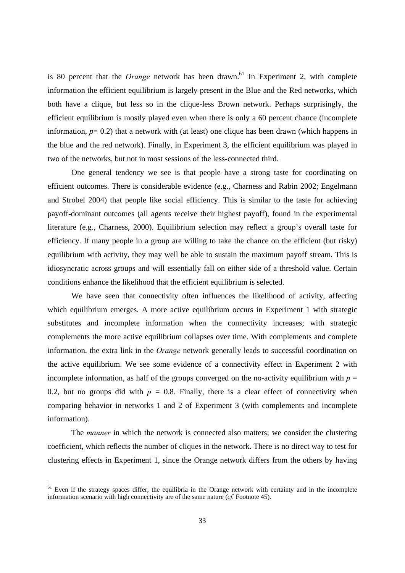is 80 percent that the *Orange* network has been drawn.<sup>61</sup> In Experiment 2, with complete information the efficient equilibrium is largely present in the Blue and the Red networks, which both have a clique, but less so in the clique-less Brown network. Perhaps surprisingly, the efficient equilibrium is mostly played even when there is only a 60 percent chance (incomplete information,  $p= 0.2$ ) that a network with (at least) one clique has been drawn (which happens in the blue and the red network). Finally, in Experiment 3, the efficient equilibrium was played in two of the networks, but not in most sessions of the less-connected third.

One general tendency we see is that people have a strong taste for coordinating on efficient outcomes. There is considerable evidence (e.g., Charness and Rabin 2002; Engelmann and Strobel 2004) that people like social efficiency. This is similar to the taste for achieving payoff-dominant outcomes (all agents receive their highest payoff), found in the experimental literature (e.g., Charness, 2000). Equilibrium selection may reflect a group's overall taste for efficiency. If many people in a group are willing to take the chance on the efficient (but risky) equilibrium with activity, they may well be able to sustain the maximum payoff stream. This is idiosyncratic across groups and will essentially fall on either side of a threshold value. Certain conditions enhance the likelihood that the efficient equilibrium is selected.

We have seen that connectivity often influences the likelihood of activity, affecting which equilibrium emerges. A more active equilibrium occurs in Experiment 1 with strategic substitutes and incomplete information when the connectivity increases; with strategic complements the more active equilibrium collapses over time. With complements and complete information, the extra link in the *Orange* network generally leads to successful coordination on the active equilibrium. We see some evidence of a connectivity effect in Experiment 2 with incomplete information, as half of the groups converged on the no-activity equilibrium with  $p =$ 0.2, but no groups did with  $p = 0.8$ . Finally, there is a clear effect of connectivity when comparing behavior in networks 1 and 2 of Experiment 3 (with complements and incomplete information).

The *manner* in which the network is connected also matters; we consider the clustering coefficient, which reflects the number of cliques in the network. There is no direct way to test for clustering effects in Experiment 1, since the Orange network differs from the others by having

<sup>&</sup>lt;sup>61</sup> Even if the strategy spaces differ, the equilibria in the Orange network with certainty and in the incomplete information scenario with high connectivity are of the same nature (*cf.* Footnote 45).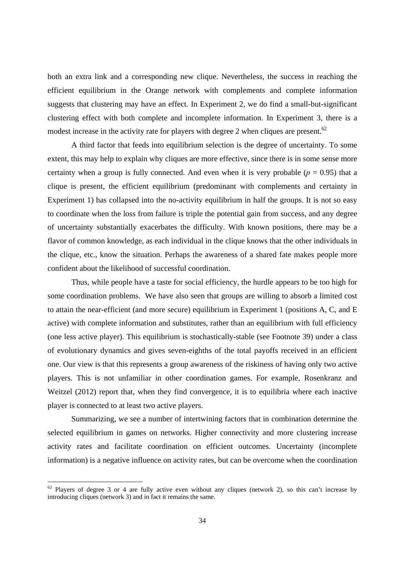both an extra link and a corresponding new clique. Nevertheless, the success in reaching the efficient equilibrium in the Orange network with complements and complete information suggests that clustering may have an effect. In Experiment 2, we do find a small-but-significant clustering effect with both complete and incomplete information. In Experiment 3, there is a modest increase in the activity rate for players with degree 2 when cliques are present.<sup>62</sup>

A third factor that feeds into equilibrium selection is the degree of uncertainty. To some extent, this may help to explain why cliques are more effective, since there is in some sense more certainty when a group is fully connected. And even when it is very probable  $(p = 0.95)$  that a clique is present, the efficient equilibrium (predominant with complements and certainty in Experiment 1) has collapsed into the no-activity equilibrium in half the groups. It is not so easy to coordinate when the loss from failure is triple the potential gain from success, and any degree of uncertainty substantially exacerbates the difficulty. With known positions, there may be a flavor of common knowledge, as each individual in the clique knows that the other individuals in the clique, etc., know the situation. Perhaps the awareness of a shared fate makes people more confident about the likelihood of successful coordination.

Thus, while people have a taste for social efficiency, the hurdle appears to be too high for some coordination problems. We have also seen that groups are willing to absorb a limited cost to attain the near-efficient (and more secure) equilibrium in Experiment 1 (positions A, C, and E active) with complete information and substitutes, rather than an equilibrium with full efficiency (one less active player). This equilibrium is stochastically-stable (see Footnote 39) under a class of evolutionary dynamics and gives seven-eighths of the total payoffs received in an efficient one. Our view is that this represents a group awareness of the riskiness of having only two active players. This is not unfamiliar in other coordination games. For example, Rosenkranz and Weitzel (2012) report that, when they find convergence, it is to equilibria where each inactive player is connected to at least two active players.

Summarizing, we see a number of intertwining factors that in combination determine the selected equilibrium in games on networks. Higher connectivity and more clustering increase activity rates and facilitate coordination on efficient outcomes. Uncertainty (incomplete information) is a negative influence on activity rates, but can be overcome when the coordination

 $62$  Players of degree 3 or 4 are fully active even without any cliques (network 2), so this can't increase by introducing cliques (network 3) and in fact it remains the same.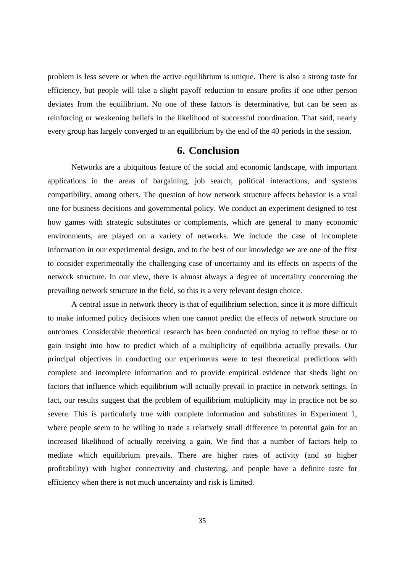problem is less severe or when the active equilibrium is unique. There is also a strong taste for efficiency, but people will take a slight payoff reduction to ensure profits if one other person deviates from the equilibrium. No one of these factors is determinative, but can be seen as reinforcing or weakening beliefs in the likelihood of successful coordination. That said, nearly every group has largely converged to an equilibrium by the end of the 40 periods in the session.

# **6. Conclusion**

Networks are a ubiquitous feature of the social and economic landscape, with important applications in the areas of bargaining, job search, political interactions, and systems compatibility, among others. The question of how network structure affects behavior is a vital one for business decisions and governmental policy. We conduct an experiment designed to test how games with strategic substitutes or complements, which are general to many economic environments, are played on a variety of networks. We include the case of incomplete information in our experimental design, and to the best of our knowledge we are one of the first to consider experimentally the challenging case of uncertainty and its effects on aspects of the network structure. In our view, there is almost always a degree of uncertainty concerning the prevailing network structure in the field, so this is a very relevant design choice.

A central issue in network theory is that of equilibrium selection, since it is more difficult to make informed policy decisions when one cannot predict the effects of network structure on outcomes. Considerable theoretical research has been conducted on trying to refine these or to gain insight into how to predict which of a multiplicity of equilibria actually prevails. Our principal objectives in conducting our experiments were to test theoretical predictions with complete and incomplete information and to provide empirical evidence that sheds light on factors that influence which equilibrium will actually prevail in practice in network settings. In fact, our results suggest that the problem of equilibrium multiplicity may in practice not be so severe. This is particularly true with complete information and substitutes in Experiment 1, where people seem to be willing to trade a relatively small difference in potential gain for an increased likelihood of actually receiving a gain. We find that a number of factors help to mediate which equilibrium prevails. There are higher rates of activity (and so higher profitability) with higher connectivity and clustering, and people have a definite taste for efficiency when there is not much uncertainty and risk is limited.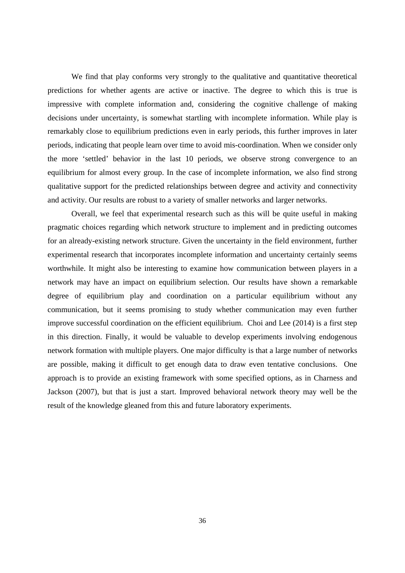We find that play conforms very strongly to the qualitative and quantitative theoretical predictions for whether agents are active or inactive. The degree to which this is true is impressive with complete information and, considering the cognitive challenge of making decisions under uncertainty, is somewhat startling with incomplete information. While play is remarkably close to equilibrium predictions even in early periods, this further improves in later periods, indicating that people learn over time to avoid mis-coordination. When we consider only the more 'settled' behavior in the last 10 periods, we observe strong convergence to an equilibrium for almost every group. In the case of incomplete information, we also find strong qualitative support for the predicted relationships between degree and activity and connectivity and activity. Our results are robust to a variety of smaller networks and larger networks.

Overall, we feel that experimental research such as this will be quite useful in making pragmatic choices regarding which network structure to implement and in predicting outcomes for an already-existing network structure. Given the uncertainty in the field environment, further experimental research that incorporates incomplete information and uncertainty certainly seems worthwhile. It might also be interesting to examine how communication between players in a network may have an impact on equilibrium selection. Our results have shown a remarkable degree of equilibrium play and coordination on a particular equilibrium without any communication, but it seems promising to study whether communication may even further improve successful coordination on the efficient equilibrium. Choi and Lee (2014) is a first step in this direction. Finally, it would be valuable to develop experiments involving endogenous network formation with multiple players. One major difficulty is that a large number of networks are possible, making it difficult to get enough data to draw even tentative conclusions. One approach is to provide an existing framework with some specified options, as in Charness and Jackson (2007), but that is just a start. Improved behavioral network theory may well be the result of the knowledge gleaned from this and future laboratory experiments.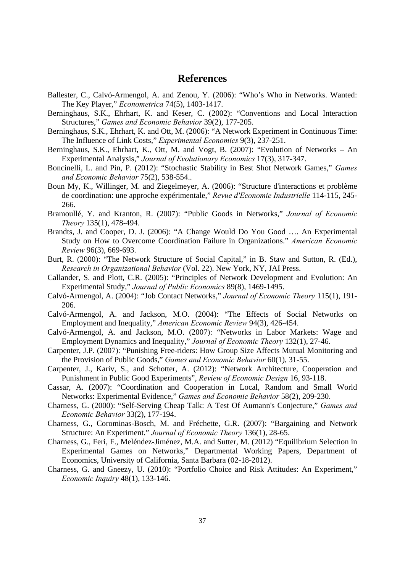# **References**

- Ballester, C., Calvó-Armengol, A. and Zenou, Y. (2006): "Who's Who in Networks. Wanted: The Key Player," *Econometrica* 74(5), 1403-1417.
- Berninghaus, S.K., Ehrhart, K. and Keser, C. (2002): "Conventions and Local Interaction Structures," *Games and Economic Behavior* 39(2), 177-205.
- Berninghaus, S.K., Ehrhart, K. and Ott, M. (2006): "A Network Experiment in Continuous Time: The Influence of Link Costs," *Experimental Economics* 9(3), 237-251.
- Berninghaus, S.K., Ehrhart, K., Ott, M. and Vogt, B. (2007): "Evolution of Networks An Experimental Analysis," *Journal of Evolutionary Economics* 17(3), 317-347.
- Boncinelli, L. and Pin, P. (2012): "Stochastic Stability in Best Shot Network Games," *Games and Economic Behavior* 75(2), 538-554..
- Boun My, K., Willinger, M. and Ziegelmeyer, A. (2006): "Structure d'interactions et problème de coordination: une approche expérimentale," *Revue d'Economie Industrielle* 114-115, 245- 266.
- Bramoullé, Y. and Kranton, R. (2007): "Public Goods in Networks," *Journal of Economic Theory* 135(1), 478-494.
- Brandts, J. and Cooper, D. J. (2006): "A Change Would Do You Good …. An Experimental Study on How to Overcome Coordination Failure in Organizations." *American Economic Review* 96(3), 669-693.
- Burt, R. (2000): "The Network Structure of Social Capital," in B. Staw and Sutton, R. (Ed.), *Research in Organizational Behavior* (Vol. 22). New York, NY, JAI Press.
- Callander, S. and Plott, C.R. (2005): "Principles of Network Development and Evolution: An Experimental Study," *Journal of Public Economics* 89(8), 1469-1495.
- Calvó-Armengol, A. (2004): "Job Contact Networks," *Journal of Economic Theory* 115(1), 191- 206.
- Calvó-Armengol, A. and Jackson, M.O. (2004): "The Effects of Social Networks on Employment and Inequality," *American Economic Review* 94(3), 426-454.
- Calvó-Armengol, A. and Jackson, M.O. (2007): "Networks in Labor Markets: Wage and Employment Dynamics and Inequality," *Journal of Economic Theory* 132(1), 27-46.
- Carpenter, J.P. (2007): "Punishing Free-riders: How Group Size Affects Mutual Monitoring and the Provision of Public Goods," *Games and Economic Behavior* 60(1), 31-55.
- Carpenter, J., Kariv, S., and Schotter, A. (2012): "Network Architecture, Cooperation and Punishment in Public Good Experiments", *Review of Economic Design* 16, 93-118.
- Cassar, A. (2007): "Coordination and Cooperation in Local, Random and Small World Networks: Experimental Evidence," *Games and Economic Behavior* 58(2), 209-230.
- Charness, G. (2000): "Self-Serving Cheap Talk: A Test Of Aumann's Conjecture," *Games and Economic Behavior* 33(2), 177-194.
- Charness, G., Corominas-Bosch, M. and Fréchette, G.R. (2007): "Bargaining and Network Structure: An Experiment." *Journal of Economic Theory* 136(1), 28-65.
- Charness, G., Feri, F., Meléndez-Jiménez, M.A. and Sutter, M. (2012) "Equilibrium Selection in Experimental Games on Networks," Departmental Working Papers, Department of Economics, University of California, Santa Barbara (02-18-2012).
- Charness, G. and Gneezy, U. (2010): "Portfolio Choice and Risk Attitudes: An Experiment," *Economic Inquiry* 48(1), 133-146.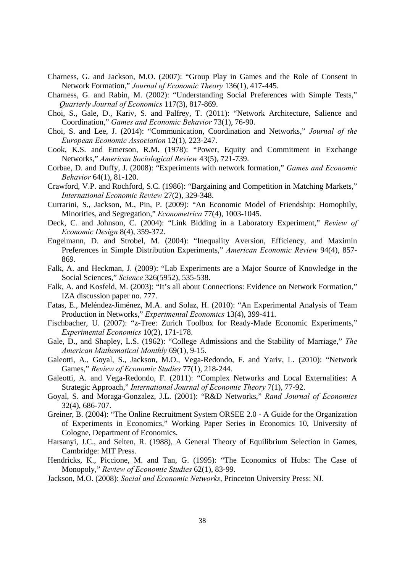- Charness, G. and Jackson, M.O. (2007): "Group Play in Games and the Role of Consent in Network Formation," *Journal of Economic Theory* 136(1), 417-445.
- Charness, G. and Rabin, M. (2002): "Understanding Social Preferences with Simple Tests," *Quarterly Journal of Economics* 117(3), 817-869.
- Choi, S., Gale, D., Kariv, S. and Palfrey, T. (2011): "Network Architecture, Salience and Coordination," *Games and Economic Behavior* 73(1), 76-90.
- Choi, S. and Lee, J. (2014): "Communication, Coordination and Networks," *Journal of the European Economic Association* 12(1), 223-247.
- Cook, K.S. and Emerson, R.M. (1978): "Power, Equity and Commitment in Exchange Networks," *American Sociological Review* 43(5), 721-739.
- Corbae, D. and Duffy, J. (2008): "Experiments with network formation," *Games and Economic Behavior* 64(1), 81-120.
- Crawford, V.P. and Rochford, S.C. (1986): "Bargaining and Competition in Matching Markets," *International Economic Review* 27(2), 329-348.
- Currarini, S., Jackson, M., Pin, P. (2009): "An Economic Model of Friendship: Homophily, Minorities, and Segregation," *Econometrica* 77(4), 1003-1045.
- Deck, C. and Johnson, C. (2004): "Link Bidding in a Laboratory Experiment," *Review of Economic Design* 8(4), 359-372.
- Engelmann, D. and Strobel, M. (2004): "Inequality Aversion, Efficiency, and Maximin Preferences in Simple Distribution Experiments," *American Economic Review* 94(4), 857- 869.
- Falk, A. and Heckman, J. (2009): "Lab Experiments are a Major Source of Knowledge in the Social Sciences," *Science* 326(5952), 535-538.
- Falk, A. and Kosfeld, M. (2003): "It's all about Connections: Evidence on Network Formation," IZA discussion paper no. 777.
- Fatas, E., Meléndez-Jiménez, M.A. and Solaz, H. (2010): "An Experimental Analysis of Team Production in Networks," *Experimental Economics* 13(4), 399-411.
- Fischbacher, U. (2007): "z-Tree: Zurich Toolbox for Ready-Made Economic Experiments," *Experimental Economics* 10(2), 171-178.
- Gale, D., and Shapley, L.S. (1962): "College Admissions and the Stability of Marriage," *The American Mathematical Monthly* 69(1), 9-15.
- Galeotti, A., Goyal, S., Jackson, M.O., Vega-Redondo, F. and Yariv, L. (2010): "Network Games," *Review of Economic Studies* 77(1), 218-244.
- Galeotti, A. and Vega-Redondo, F. (2011): "Complex Networks and Local Externalities: A Strategic Approach," *International Journal of Economic Theory* 7(1), 77-92.
- Goyal, S. and Moraga-Gonzalez, J.L. (2001): "R&D Networks," *Rand Journal of Economics* 32(4), 686-707.
- Greiner, B. (2004): "The Online Recruitment System ORSEE 2.0 A Guide for the Organization of Experiments in Economics," Working Paper Series in Economics 10, University of Cologne, Department of Economics.
- Harsanyi, J.C., and Selten, R. (1988), A General Theory of Equilibrium Selection in Games, Cambridge: MIT Press.
- Hendricks, K., Piccione, M. and Tan, G. (1995): "The Economics of Hubs: The Case of Monopoly," *Review of Economic Studies* 62(1), 83-99.
- Jackson, M.O. (2008): *Social and Economic Networks*, Princeton University Press: NJ.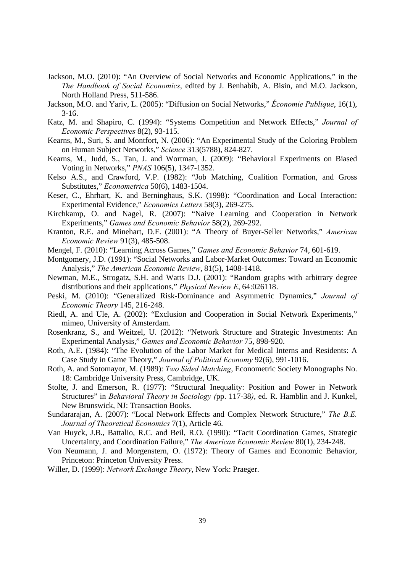- Jackson, M.O. (2010): "An Overview of Social Networks and Economic Applications," in the *The Handbook of Social Economics*, edited by J. Benhabib, A. Bisin, and M.O. Jackson, North Holland Press, 511-586.
- Jackson, M.O. and Yariv, L. (2005): "Diffusion on Social Networks," *Économie Publique*, 16(1), 3-16.
- Katz, M. and Shapiro, C. (1994): "Systems Competition and Network Effects," *Journal of Economic Perspectives* 8(2), 93-115.
- Kearns, M., Suri, S. and Montfort, N. (2006): "An Experimental Study of the Coloring Problem on Human Subject Networks," *Science* 313(5788), 824-827.
- Kearns, M., Judd, S., Tan, J. and Wortman, J. (2009): "Behavioral Experiments on Biased Voting in Networks," *PNAS* 106(5), 1347-1352.
- Kelso A.S., and Crawford, V.P. (1982): "Job Matching, Coalition Formation, and Gross Substitutes," *Econometrica* 50(6), 1483-1504.
- Keser, C., Ehrhart, K. and Berninghaus, S.K. (1998): "Coordination and Local Interaction: Experimental Evidence," *Economics Letters* 58(3), 269-275.
- Kirchkamp, O. and Nagel, R. (2007): "Naive Learning and Cooperation in Network Experiments," *Games and Economic Behavior* 58(2), 269-292.
- Kranton, R.E. and Minehart, D.F. (2001): "A Theory of Buyer-Seller Networks," *American Economic Review* 91(3), 485-508.
- Mengel, F. (2010): "Learning Across Games," *Games and Economic Behavior* 74, 601-619.
- Montgomery, J.D. (1991): "Social Networks and Labor-Market Outcomes: Toward an Economic Analysis," *The American Economic Review*, 81(5), 1408-1418.
- Newman, M.E., Strogatz, S.H. and Watts D.J. (2001): "Random graphs with arbitrary degree distributions and their applications," *Physical Review E*, 64:026118.
- Peski, M. (2010): "Generalized Risk-Dominance and Asymmetric Dynamics," *Journal of Economic Theory* 145, 216-248.
- Riedl, A. and Ule, A. (2002): "Exclusion and Cooperation in Social Network Experiments," mimeo, University of Amsterdam.
- Rosenkranz, S., and Weitzel, U. (2012): "Network Structure and Strategic Investments: An Experimental Analysis," *Games and Economic Behavior* 75, 898-920.
- Roth, A.E. (1984): "The Evolution of the Labor Market for Medical Interns and Residents: A Case Study in Game Theory," *Journal of Political Economy* 92(6), 991-1016.
- Roth, A. and Sotomayor, M. (1989): *Two Sided Matching*, Econometric Society Monographs No. 18: Cambridge University Press, Cambridge, UK.
- Stolte, J. and Emerson, R. (1977): "Structural Inequality: Position and Power in Network Structures" in *Behavioral Theory in Sociology (*pp. 117-38*)*, ed. R. Hamblin and J. Kunkel, New Brunswick, NJ: Transaction Books.
- Sundararajan, A. (2007): "Local Network Effects and Complex Network Structure," *The B.E. Journal of Theoretical Economics* 7(1), Article 46.
- Van Huyck, J.B., Battalio, R.C. and Beil, R.O. (1990): "Tacit Coordination Games, Strategic Uncertainty, and Coordination Failure," *The American Economic Review* 80(1), 234-248.
- Von Neumann, J. and Morgenstern, O. (1972): Theory of Games and Economic Behavior, Princeton: Princeton University Press.
- Willer, D. (1999): *Network Exchange Theory*, New York: Praeger.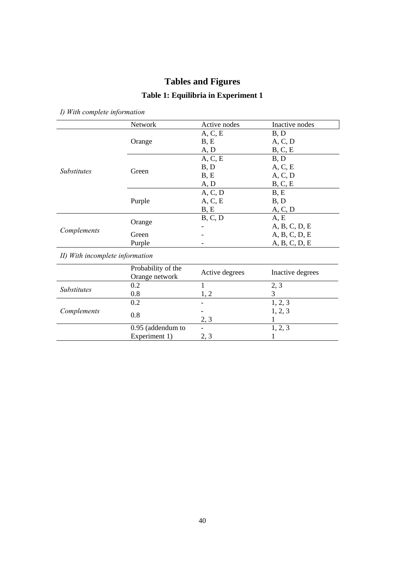# **Tables and Figures**

# **Table 1: Equilibria in Experiment 1**

*I) With complete information* 

|                                 | Network            | Active nodes   | Inactive nodes   |
|---------------------------------|--------------------|----------------|------------------|
|                                 |                    | A, C, E        | B, D             |
|                                 | Orange             | B, E           | A, C, D          |
|                                 |                    | A, D           | B, C, E          |
|                                 |                    | A, C, E        | B, D             |
| <i>Substitutes</i>              | Green              | B, D           | A, C, E          |
|                                 |                    | B, E           | A, C, D          |
|                                 |                    | A, D           | B, C, E          |
|                                 |                    | A, C, D        | B, E             |
|                                 | Purple             | A, C, E        | B, D             |
|                                 |                    | B, E           | A, C, D          |
|                                 | Orange             | B, C, D        | A, E             |
| Complements                     |                    |                | A, B, C, D, E    |
|                                 | Green              |                | A, B, C, D, E    |
|                                 | Purple             |                | A, B, C, D, E    |
| II) With incomplete information |                    |                |                  |
|                                 | Probability of the |                |                  |
|                                 | Orange network     | Active degrees | Inactive degrees |
| Substitutes                     | 0.2                | 1              | 2, 3             |
|                                 | 0.8                | 1, 2           | 3                |
|                                 | 0.2                |                | 1, 2, 3          |
| Complements                     | 0.8                |                | 1, 2, 3          |
|                                 |                    | 2, 3           |                  |
|                                 | 0.95 (addendum to  |                | 1, 2, 3          |
|                                 | Experiment 1)      | 2, 3           | 1                |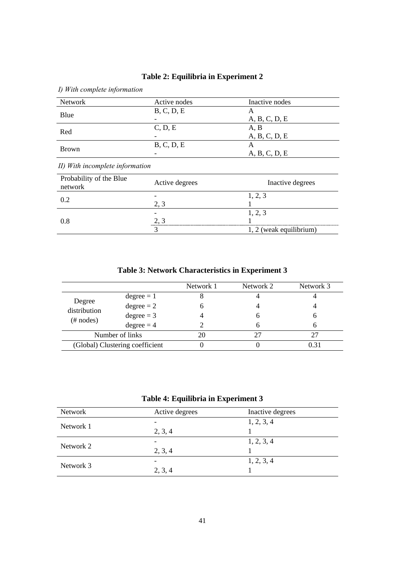| I) With complete information       |                |                         |  |
|------------------------------------|----------------|-------------------------|--|
| <b>Network</b>                     | Active nodes   | Inactive nodes          |  |
|                                    | B, C, D, E     | A                       |  |
| Blue                               |                | A, B, C, D, E           |  |
|                                    | C, D, E        | A, B                    |  |
| Red                                |                | A, B, C, D, E           |  |
|                                    | B, C, D, E     | A                       |  |
| <b>Brown</b>                       |                | A, B, C, D, E           |  |
| II) With incomplete information    |                |                         |  |
| Probability of the Blue<br>network | Active degrees | Inactive degrees        |  |
|                                    |                | 1, 2, 3                 |  |
| 0.2                                | 2, 3           |                         |  |
|                                    |                | 1, 2, 3                 |  |
| 0.8                                | 2, 3           |                         |  |
|                                    | 3              | 1, 2 (weak equilibrium) |  |

# **Table 2: Equilibria in Experiment 2**

**Table 3: Network Characteristics in Experiment 3** 

|                                        |              | Network 1 | Network 2 | Network 3 |
|----------------------------------------|--------------|-----------|-----------|-----------|
| Degree<br>distribution<br>$(\#$ nodes) | $degree = 1$ |           |           |           |
|                                        | $degree = 2$ |           |           |           |
|                                        | $degree = 3$ |           |           |           |
|                                        | $degree = 4$ |           |           |           |
| Number of links                        |              |           | 27        |           |
| (Global) Clustering coefficient        |              |           |           | 0.31      |
|                                        |              |           |           |           |

# **Table 4: Equilibria in Experiment 3**

| Network   | Active degrees | Inactive degrees |
|-----------|----------------|------------------|
| Network 1 |                | 1, 2, 3, 4       |
|           | 2, 3, 4        |                  |
| Network 2 |                | 1, 2, 3, 4       |
|           | 2, 3, 4        |                  |
| Network 3 |                | 1, 2, 3, 4       |
|           | 2, 3, 4        |                  |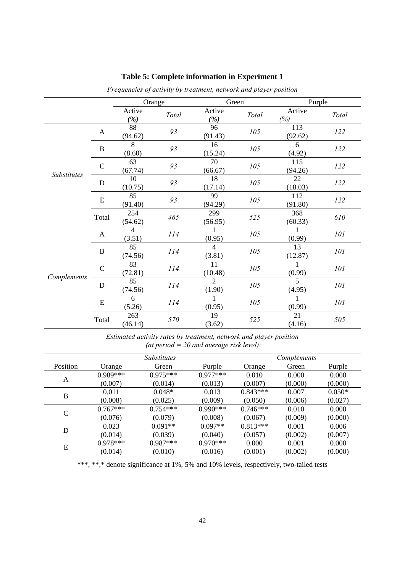|             |               |                | Orange | Green                    |       | Purple         |       |
|-------------|---------------|----------------|--------|--------------------------|-------|----------------|-------|
|             |               | Active<br>(%)  | Total  | Active<br>(%)            | Total | Active<br>(%)  | Total |
|             | $\mathbf{A}$  | 88<br>(94.62)  | 93     | 96<br>(91.43)            | 105   | 113<br>(92.62) | 122   |
|             | $\, {\bf B}$  | 8<br>(8.60)    | 93     | 16<br>(15.24)            | 105   | 6<br>(4.92)    | 122   |
| Substitutes | $\mathcal{C}$ | 63<br>(67.74)  | 93     | 70<br>(66.67)            | 105   | 115<br>(94.26) | 122   |
|             | D             | 10<br>(10.75)  | 93     | 18<br>(17.14)            | 105   | 22<br>(18.03)  | 122   |
|             | E             | 85<br>(91.40)  | 93     | 99<br>(94.29)            | 105   | 112<br>(91.80) | 122   |
|             | Total         | 254<br>(54.62) | 465    | 299<br>(56.95)           | 525   | 368<br>(60.33) | 610   |
|             | $\mathbf{A}$  | 4<br>(3.51)    | 114    | (0.95)                   | 105   | (0.99)         | 101   |
|             | B             | 85<br>(74.56)  | 114    | $\overline{4}$<br>(3.81) | 105   | 13<br>(12.87)  | 101   |
|             | $\mathcal{C}$ | 83<br>(72.81)  | 114    | 11<br>(10.48)            | 105   | 1<br>(0.99)    | 101   |
| Complements | D             | 85<br>(74.56)  | 114    | $\overline{2}$<br>(1.90) | 105   | 5<br>(4.95)    | 101   |
|             | E             | 6<br>(5.26)    | 114    | (0.95)                   | 105   | 1<br>(0.99)    | 101   |
|             | Total         | 263<br>(46.14) | 570    | 19<br>(3.62)             | 525   | 21<br>(4.16)   | 505   |

# **Table 5: Complete information in Experiment 1**

*Frequencies of activity by treatment, network and player position* 

*Estimated activity rates by treatment, network and player position (at period = 20 and average risk level)* 

| <i>Substitutes</i> |            |            | Complements |            |         |          |
|--------------------|------------|------------|-------------|------------|---------|----------|
| Position           | Orange     | Green      | Purple      | Orange     | Green   | Purple   |
|                    | $0.989***$ | $0.975***$ | $0.977***$  | 0.010      | 0.000   | 0.000    |
| A                  | (0.007)    | (0.014)    | (0.013)     | (0.007)    | (0.000) | (0.000)  |
| $\bf{B}$           | 0.011      | $0.048*$   | 0.013       | $0.843***$ | 0.007   | $0.050*$ |
|                    | (0.008)    | (0.025)    | (0.009)     | (0.050)    | (0.006) | (0.027)  |
| C                  | $0.767***$ | $0.754***$ | $0.990***$  | $0.746***$ | 0.010   | 0.000    |
|                    | (0.076)    | (0.079)    | (0.008)     | (0.067)    | (0.009) | (0.000)  |
| D                  | 0.023      | $0.091**$  | $0.097**$   | $0.813***$ | 0.001   | 0.006    |
|                    | (0.014)    | (0.039)    | (0.040)     | (0.057)    | (0.002) | (0.007)  |
| E                  | $0.978***$ | $0.987***$ | $0.970***$  | 0.000      | 0.001   | 0.000    |
|                    | (0.014)    | (0.010)    | (0.016)     | (0.001)    | (0.002) | (0.000)  |

\*\*\*, \*\*,\* denote significance at 1%, 5% and 10% levels, respectively, two-tailed tests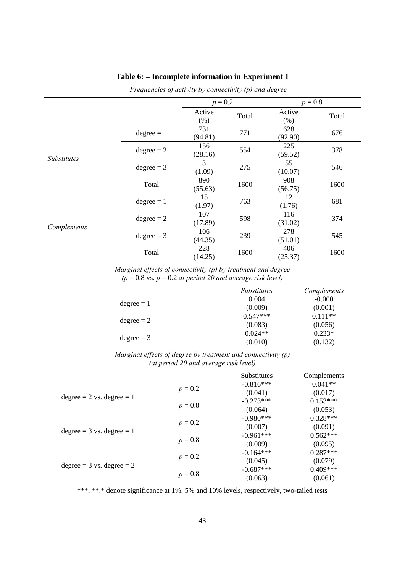|                    |              | $p = 0.2$          |       | $p = 0.8$        |       |
|--------------------|--------------|--------------------|-------|------------------|-------|
|                    |              | Active<br>$(\% )$  | Total | Active<br>$(\%)$ | Total |
|                    | $degree = 1$ | 731<br>(94.81)     | 771   | 628<br>(92.90)   | 676   |
| <b>Substitutes</b> | $degree = 2$ | 156<br>(28.16)     | 554   | 225<br>(59.52)   | 378   |
|                    | $degree = 3$ | 3<br>275<br>(1.09) |       | 55<br>(10.07)    | 546   |
|                    | Total        | 890<br>(55.63)     | 1600  | 908<br>(56.75)   | 1600  |
|                    | $degree = 1$ | 15<br>(1.97)       | 763   | 12<br>(1.76)     | 681   |
|                    | $degree = 2$ | 107<br>(17.89)     | 598   | 116<br>(31.02)   | 374   |
| Complements        | $degree = 3$ | 106<br>(44.35)     | 239   | 278<br>(51.01)   | 545   |
|                    | Total        | 228<br>(14.25)     | 1600  | 406<br>(25.37)   | 1600  |

#### **Table 6: – Incomplete information in Experiment 1**

*Frequencies of activity by connectivity (p) and degree*

*Marginal effects of connectivity (p) by treatment and degree*   $(p = 0.8 \text{ vs. } p = 0.2 \text{ at period } 20 \text{ and average risk level})$ 

|              | <b>Substitutes</b> | Complements |
|--------------|--------------------|-------------|
|              | 0.004              | $-0.000$    |
| $degree = 1$ | (0.009)            | (0.001)     |
|              | $0.547***$         | $0.111**$   |
| $degree = 2$ | (0.083)            | (0.056)     |
|              | $0.024**$          | $0.233*$    |
| $degree = 3$ | (0.010)            | (0.132)     |

*Marginal effects of degree by treatment and connectivity (p) (at period 20 and average risk level)* 

|                               |           | <b>Substitutes</b> | Complements |
|-------------------------------|-----------|--------------------|-------------|
|                               |           | $-0.816***$        | $0.041**$   |
| $degree = 2$ vs. $degree = 1$ | $p = 0.2$ | (0.041)            | (0.017)     |
|                               |           | $-0.273***$        | $0.153***$  |
|                               | $p = 0.8$ | (0.064)            | (0.053)     |
|                               |           | $-0.980***$        | $0.328***$  |
|                               | $p = 0.2$ | (0.007)            | (0.091)     |
| $degree = 3$ vs. $degree = 1$ | $p = 0.8$ | $-0.961***$        | $0.562***$  |
|                               |           | (0.009)            | (0.095)     |
|                               |           | $-0.164***$        | $0.287***$  |
|                               | $p = 0.2$ | (0.045)            | (0.079)     |
| $degree = 3$ vs. $degree = 2$ |           | $-0.687***$        | $0.409***$  |
|                               | $p = 0.8$ | (0.063)            | (0.061)     |

\*\*\*, \*\*,\* denote significance at 1%, 5% and 10% levels, respectively, two-tailed tests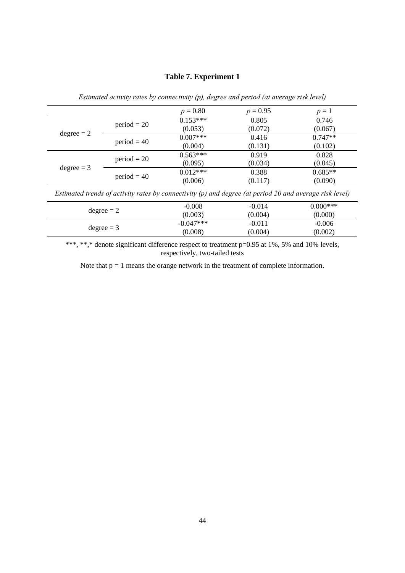#### **Table 7. Experiment 1**

|              |               | $p = 0.80$ | $p = 0.95$                                                                                                | $p=1$       |
|--------------|---------------|------------|-----------------------------------------------------------------------------------------------------------|-------------|
|              |               | $0.153***$ | 0.805                                                                                                     | 0.746       |
|              | $period = 20$ | (0.053)    | (0.072)                                                                                                   | (0.067)     |
| $degree = 2$ |               | $0.007***$ | 0.416                                                                                                     | $0.747**$   |
|              | $period = 40$ | (0.004)    | (0.131)                                                                                                   | (0.102)     |
|              |               | $0.563***$ | 0.919                                                                                                     | 0.828       |
|              | $period = 20$ | (0.095)    | (0.034)                                                                                                   | (0.045)     |
| $degree = 3$ |               | $0.012***$ | 0.388                                                                                                     | $0.685**$   |
|              | $period = 40$ | (0.006)    | (0.117)                                                                                                   | (0.090)     |
|              |               |            | Estimated trends of activity rates by connectivity $(p)$ and degree (at period 20 and average risk level) |             |
| $\mathbf{I}$ |               | $-0.008$   | $-0.014$                                                                                                  | $0.000$ *** |

*Estimated activity rates by connectivity (p), degree and period (at average risk level)* 

\*\*\*, \*\*,\* denote significant difference respect to treatment p=0.95 at 1%, 5% and 10% levels, respectively, two-tailed tests

-0.014 (0.004)

-0.011 (0.004) (0.000)

-0.006 (0.002)

(0.003)

(0.008)

degree = 2  $-0.008$ 

degree = 3  $-0.047***$ 

Note that  $p = 1$  means the orange network in the treatment of complete information.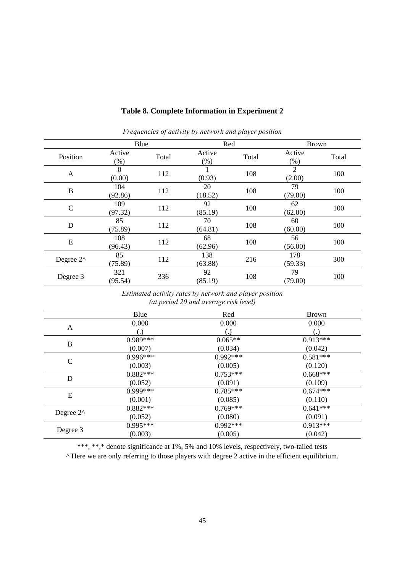|                       | Blue               |       | Red            |       | <b>Brown</b>             |       |
|-----------------------|--------------------|-------|----------------|-------|--------------------------|-------|
| Position              | Active<br>(% )     | Total | Active<br>(%)  | Total | Active<br>$(\% )$        | Total |
| A                     | $\Omega$<br>(0.00) | 112   | (0.93)         | 108   | $\overline{2}$<br>(2.00) | 100   |
| B                     | 104<br>(92.86)     | 112   | 20<br>(18.52)  | 108   | 79<br>(79.00)            | 100   |
| $\mathcal{C}$         | 109<br>(97.32)     | 112   | 92<br>(85.19)  | 108   | 62<br>(62.00)            | 100   |
| D                     | 85<br>(75.89)      | 112   | 70<br>(64.81)  | 108   | 60<br>(60.00)            | 100   |
| E                     | 108<br>(96.43)     | 112   | 68<br>(62.96)  | 108   | 56<br>(56.00)            | 100   |
| Degree 2 <sup>^</sup> | 85<br>(75.89)      | 112   | 138<br>(63.88) | 216   | 178<br>(59.33)           | 300   |
| Degree 3              | 321<br>(95.54)     | 336   | 92<br>(85.19)  | 108   | 79<br>(79.00)            | 100   |

#### **Table 8. Complete Information in Experiment 2**

*Frequencies of activity by network and player position* 

*Estimated activity rates by network and player position (at period 20 and average risk level)* 

|                     | Blue               | Red        | <b>Brown</b>      |
|---------------------|--------------------|------------|-------------------|
|                     | 0.000              | 0.000      | 0.000             |
| A                   | $\left( . \right)$ |            | $\left( .\right)$ |
| B                   | $0.989***$         | $0.065**$  | $0.913***$        |
|                     | (0.007)            | (0.034)    | (0.042)           |
| C                   | $0.996***$         | $0.992***$ | $0.581***$        |
|                     | (0.003)            | (0.005)    | (0.120)           |
|                     | $0.882***$         | $0.753***$ | $0.668***$        |
| D                   | (0.052)            | (0.091)    | (0.109)           |
|                     | $0.999***$         | $0.785***$ | $0.674***$        |
| E                   | (0.001)            | (0.085)    | (0.110)           |
|                     | $0.882***$         | $0.769***$ | $0.641***$        |
| Degree $2^{\wedge}$ | (0.052)            | (0.080)    | (0.091)           |
|                     | 0.995***           | $0.992***$ | $0.913***$        |
| Degree 3            | (0.003)            | (0.005)    | (0.042)           |

\*\*\*, \*\*,\* denote significance at 1%, 5% and 10% levels, respectively, two-tailed tests

^ Here we are only referring to those players with degree 2 active in the efficient equilibrium.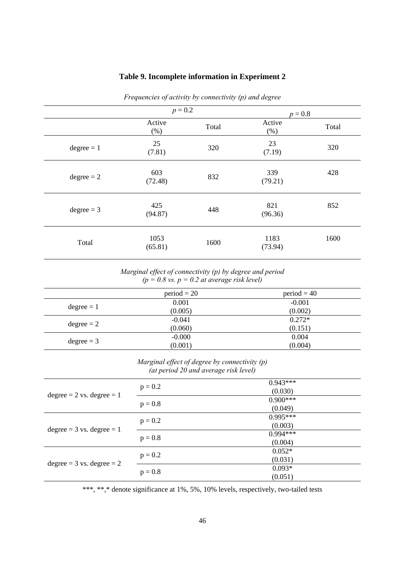| Frequencies of activity by connectivity $(p)$ and degree |                 |       |                 |       |  |  |  |
|----------------------------------------------------------|-----------------|-------|-----------------|-------|--|--|--|
|                                                          | $p = 0.2$       |       | $p = 0.8$       |       |  |  |  |
|                                                          | Active<br>(% )  | Total | Active<br>(% )  | Total |  |  |  |
| $degree = 1$                                             | 25<br>(7.81)    | 320   | 23<br>(7.19)    | 320   |  |  |  |
| $degree = 2$                                             | 603<br>(72.48)  | 832   | 339<br>(79.21)  | 428   |  |  |  |
| $degree = 3$                                             | 425<br>(94.87)  | 448   | 821<br>(96.36)  | 852   |  |  |  |
| Total                                                    | 1053<br>(65.81) | 1600  | 1183<br>(73.94) | 1600  |  |  |  |

# **Table 9. Incomplete information in Experiment 2**

*Marginal effect of connectivity (p) by degree and period*   $(p = 0.8 \text{ vs. } p = 0.2 \text{ at average risk level})$ 

|              | $period = 20$ | $period = 40$ |
|--------------|---------------|---------------|
|              | 0.001         | $-0.001$      |
| $degree = 1$ | (0.005)       | (0.002)       |
|              | $-0.041$      | $0.272*$      |
| $degree = 2$ | (0.060)       | (0.151)       |
| $degree = 3$ | $-0.000$      | 0.004         |
|              | (0.001)       | (0.004)       |

*Marginal effect of degree by connectivity (p) (at period 20 and average risk level)*

| $degree = 2$ vs. $degree = 1$ | $p = 0.2$ | $0.943***$<br>(0.030) |
|-------------------------------|-----------|-----------------------|
|                               | $p = 0.8$ | $0.900***$<br>(0.049) |
| $degree = 3$ vs. $degree = 1$ | $p = 0.2$ | $0.995***$<br>(0.003) |
|                               | $p = 0.8$ | $0.994***$<br>(0.004) |
| $degree = 3$ vs. $degree = 2$ | $p = 0.2$ | $0.052*$<br>(0.031)   |
|                               | $p = 0.8$ | $0.093*$<br>(0.051)   |

\*\*\*, \*\*,\* denote significance at 1%, 5%, 10% levels, respectively, two-tailed tests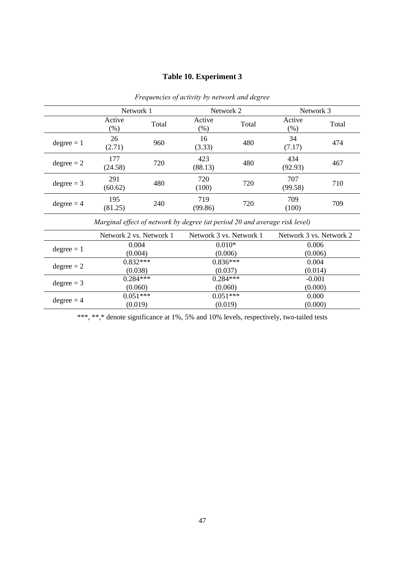# **Table 10. Experiment 3**

|              | Network 1        |       |                  | Network 2 |                   | Network 3 |  |
|--------------|------------------|-------|------------------|-----------|-------------------|-----------|--|
|              | Active<br>$(\%)$ | Total | Active<br>$(\%)$ | Total     | Active<br>$(\% )$ | Total     |  |
| $degree = 1$ | 26<br>(2.71)     | 960   | 16<br>(3.33)     | 480       | 34<br>(7.17)      | 474       |  |
| $degree = 2$ | 177<br>(24.58)   | 720   | 423<br>(88.13)   | 480       | 434<br>(92.93)    | 467       |  |
| $degree = 3$ | 291<br>(60.62)   | 480   | 720<br>(100)     | 720       | 707<br>(99.58)    | 710       |  |
| $degree = 4$ | 195<br>(81.25)   | 240   | 719<br>(99.86)   | 720       | 709<br>(100)      | 709       |  |

*Frequencies of activity by network and degree* 

*Marginal effect of network by degree (at period 20 and average risk level)* 

|              | Network 2 vs. Network 1 | Network 3 vs. Network 1 | Network 3 vs. Network 2 |
|--------------|-------------------------|-------------------------|-------------------------|
|              | 0.004                   | $0.010*$                | 0.006                   |
| $degree = 1$ | (0.004)                 | (0.006)                 | (0.006)                 |
| $degree = 2$ | $0.832***$              | $0.836***$              | 0.004                   |
|              | (0.038)                 | (0.037)                 | (0.014)                 |
| $degree = 3$ | $0.284***$              | $0.284***$              | $-0.001$                |
|              | (0.060)                 | (0.060)                 | (0.000)                 |
| $degree = 4$ | $0.051***$              | $0.051***$              | 0.000                   |
|              | (0.019)                 | (0.019)                 | (0.000)                 |

\*\*\*, \*\*,\* denote significance at 1%, 5% and 10% levels, respectively, two-tailed tests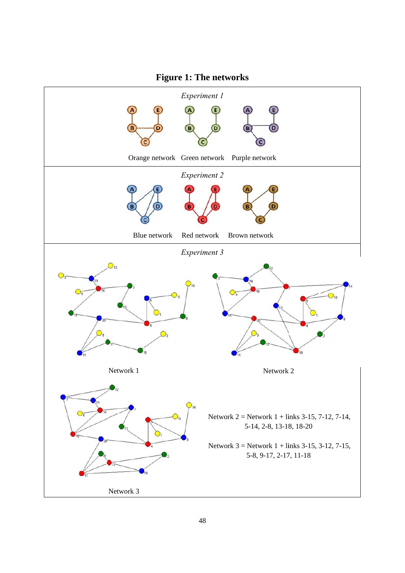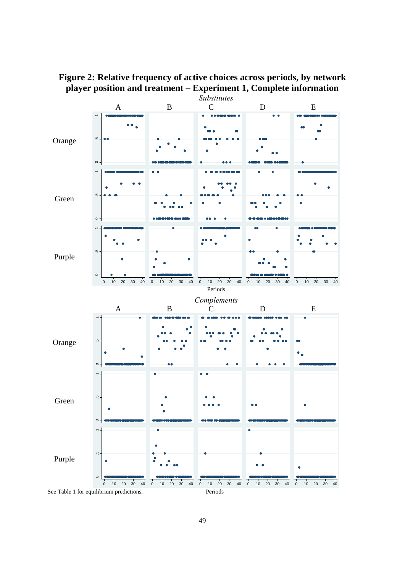

**Figure 2: Relative frequency of active choices across periods, by network player position and treatment – Experiment 1, Complete information**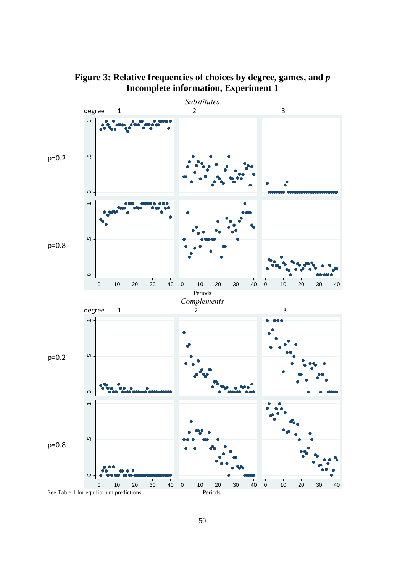

**Figure 3: Relative frequencies of choices by degree, games, and** *p* **Incomplete information, Experiment 1**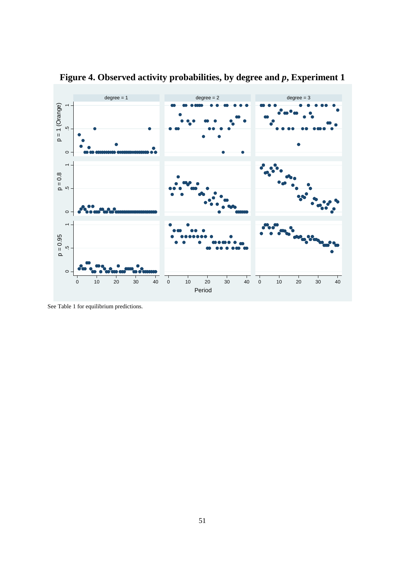

**Figure 4. Observed activity probabilities, by degree and** *p***, Experiment 1** 

See Table 1 for equilibrium predictions.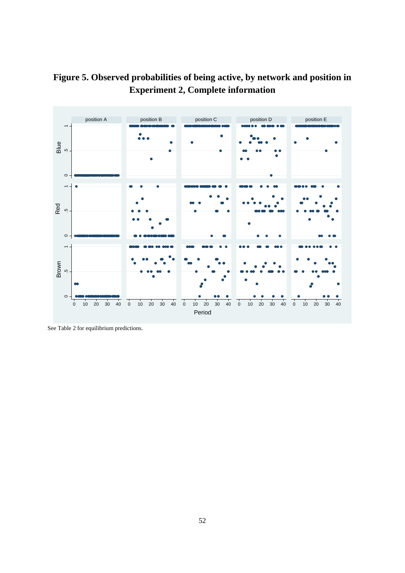



See Table 2 for equilibrium predictions.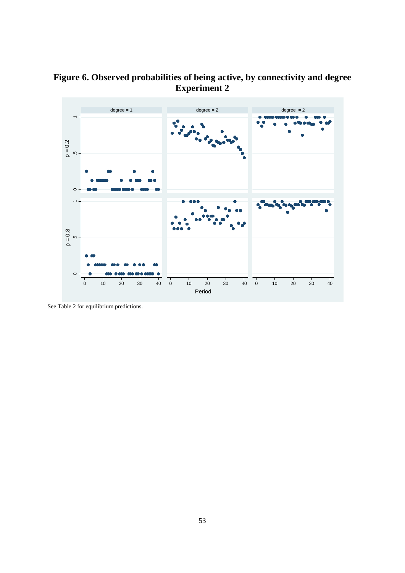



See Table 2 for equilibrium predictions.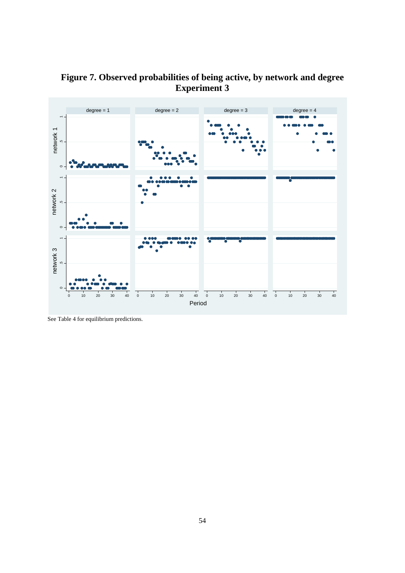

**Figure 7. Observed probabilities of being active, by network and degree Experiment 3** 

See Table 4 for equilibrium predictions.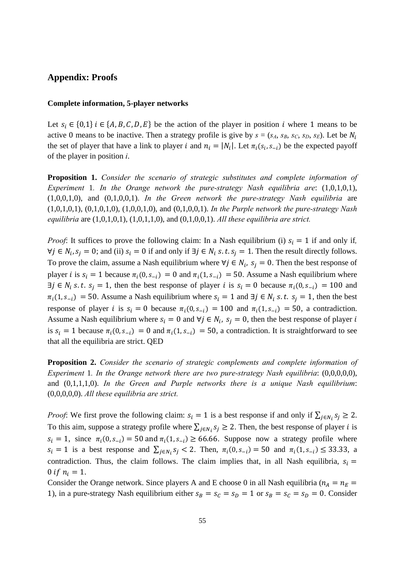#### **Appendix: Proofs**

#### **Complete information, 5-player networks**

Let  $s_i \in \{0,1\}$  i  $\in \{A, B, C, D, E\}$  be the action of the player in position i where 1 means to be active 0 means to be inactive. Then a strategy profile is give by  $s = (s_A, s_B, s_C, s_D, s_E)$ . Let be  $N_i$ the set of player that have a link to player *i* and  $n_i = |N_i|$ . Let  $\pi_i(s_i, s_{-i})$  be the expected payoff of the player in position *i*.

**Proposition 1.** *Consider the scenario of strategic substitutes and complete information of Experiment* 1*. In the Orange network the pure-strategy Nash equilibria are*: (1,0,1,0,1), (1,0,0,1,0), and (0,1,0,0,1). *In the Green network the pure-strategy Nash equilibria* are (1,0,1,0,1), (0,1,0,1,0), (1,0,0,1,0), and (0,1,0,0,1). *In the Purple network the pure-strategy Nash equilibria* are (1,0,1,0,1), (1,0,1,1,0), and (0,1,0,0,1). *All these equilibria are strict.*

*Proof*: It suffices to prove the following claim: In a Nash equilibrium (i)  $s_i = 1$  if and only if,  $\forall j \in N_i$ ,  $s_i = 0$ ; and (ii)  $s_i = 0$  if and only if  $\exists j \in N_i$  s. t.  $s_i = 1$ . Then the result directly follows. To prove the claim, assume a Nash equilibrium where  $\forall j \in N_i$ ,  $s_j = 0$ . Then the best response of player *i* is  $s_i = 1$  because  $\pi_i(0, s_{-i}) = 0$  and  $\pi_i(1, s_{-i}) = 50$ . Assume a Nash equilibrium where  $\exists j \in N_i \text{ s.t. } s_j = 1$ , then the best response of player *i* is  $s_i = 0$  because  $\pi_i(0, s_{-i}) = 100$  and  $\pi_i(1, s_{-i}) = 50$ . Assume a Nash equilibrium where  $s_i = 1$  and  $\exists j \in N_i$  s. t.  $s_j = 1$ , then the best response of player *i* is  $s_i = 0$  because  $\pi_i(0, s_{-i}) = 100$  and  $\pi_i(1, s_{-i}) = 50$ , a contradiction. Assume a Nash equilibrium where  $s_i = 0$  and  $\forall j \in N_i$ ,  $s_j = 0$ , then the best response of player i is  $s_i = 1$  because  $\pi_i(0, s_{-i}) = 0$  and  $\pi_i(1, s_{-i}) = 50$ , a contradiction. It is straightforward to see that all the equilibria are strict. QED

**Proposition 2.** *Consider the scenario of strategic complements and complete information of Experiment* 1*. In the Orange network there are two pure-strategy Nash equilibria*: (0,0,0,0,0), and (0,1,1,1,0). *In the Green and Purple networks there is a unique Nash equilibrium*: (0,0,0,0,0). *All these equilibria are strict.* 

*Proof*: We first prove the following claim:  $s_i = 1$  is a best response if and only if  $\sum_{j \in N_i} s_j \ge 2$ . To this aim, suppose a strategy profile where  $\sum_{i \in N_i} s_i \ge 2$ . Then, the best response of player *i* is  $s_i = 1$ , since  $\pi_i(0, s_{-i}) = 50$  and  $\pi_i(1, s_{-i}) \ge 66.66$ . Suppose now a strategy profile where  $s_i = 1$  is a best response and  $\sum_{j \in N_i} s_j < 2$ . Then,  $\pi_i(0, s_{-i}) = 50$  and  $\pi_i(1, s_{-i}) \le 33.33$ , a contradiction. Thus, the claim follows. The claim implies that, in all Nash equilibria,  $s_i =$ 0 if  $n_i = 1$ .

Consider the Orange network. Since players A and E choose 0 in all Nash equilibria ( $n_A = n_E =$ 1), in a pure-strategy Nash equilibrium either  $s_B = s_C = s_D = 1$  or  $s_B = s_C = s_D = 0$ . Consider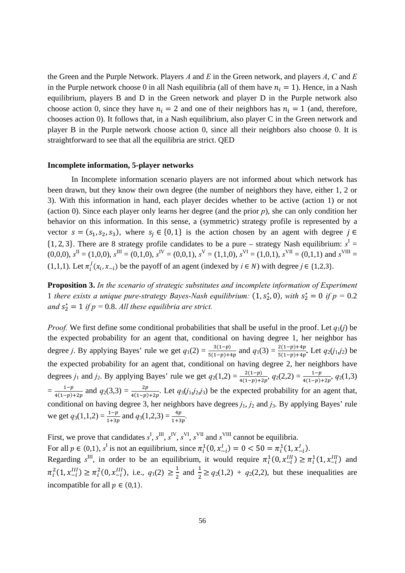the Green and the Purple Network. Players *A* and *E* in the Green network, and players *A*, *C* and *E* in the Purple network choose 0 in all Nash equilibria (all of them have  $n_i = 1$ ). Hence, in a Nash equilibrium, players B and D in the Green network and player D in the Purple network also choose action 0, since they have  $n_i = 2$  and one of their neighbors has  $n_i = 1$  (and, therefore, chooses action 0). It follows that, in a Nash equilibrium, also player C in the Green network and player B in the Purple network choose action 0, since all their neighbors also choose 0. It is straightforward to see that all the equilibria are strict. QED

#### **Incomplete information, 5-player networks**

In Incomplete information scenario players are not informed about which network has been drawn, but they know their own degree (the number of neighbors they have, either 1, 2 or 3). With this information in hand, each player decides whether to be active (action 1) or not (action 0). Since each player only learns her degree (and the prior *p*), she can only condition her behavior on this information. In this sense, a (symmetric) strategy profile is represented by a vector  $s = (s_1, s_2, s_3)$ , where  $s_i \in \{0, 1\}$  is the action chosen by an agent with degree  $j \in$  $\{1, 2, 3\}$ . There are 8 strategy profile candidates to be a pure – strategy Nash equilibrium:  $s<sup>I</sup>$  =  $(0,0,0)$ ,  $s^{\text{II}} = (1,0,0)$ ,  $s^{\text{III}} = (0,1,0)$ ,  $s^{\text{IV}} = (0,0,1)$ ,  $s^{\text{V}} = (1,1,0)$ ,  $s^{\text{VI}} = (1,0,1)$ ,  $s^{\text{VII}} = (0,1,1)$  and  $s^{\text{VIII}} =$ (1,1,1). Let  $\pi_i^j(x_i, x_{-i})$  be the payoff of an agent (indexed by  $i \in N$ ) with degree  $j \in \{1,2,3\}$ .

**Proposition 3.** *In the scenario of strategic substitutes and incomplete information of Experiment*  1 there exists a unique pure-strategy Bayes-Nash equilibrium:  $(1, s_2^*, 0)$ , with  $s_2^* = 0$  if  $p = 0.2$ and  $s_2^* = 1$  if  $p = 0.8$ . All these equilibria are strict.

*Proof.* We first define some conditional probabilities that shall be useful in the proof. Let  $q_1(i)$  be the expected probability for an agent that, conditional on having degree 1, her neighbor has degree *j*. By applying Bayes' rule we get  $q_1(2) = \frac{3(1-p)}{5(1-p)+4p}$  and  $q_1(3) = \frac{2(1-p)+4p}{5(1-p)+4p}$ . Let  $q_2(j_1,j_2)$  be the expected probability for an agent that, conditional on having degree 2, her neighbors have degrees *j*<sub>1</sub> and *j*<sub>2</sub>. By applying Bayes' rule we get  $q_2(1,2) = \frac{2(1-p)}{4(1-p)+2p}$ ,  $q_2(2,2) = \frac{1-p}{4(1-p)+2p}$ ,  $q_2(1,3)$  $=\frac{1-p}{4(1-p)}$  $\frac{1-p}{4(1-p)+2p}$  and  $q_2(3,3) = \frac{2p}{4(1-p)+2p}$ . Let  $q_3(j_1,j_2,j_3)$  be the expected probability for an agent that, conditional on having degree 3, her neighbors have degrees *j*1, *j*2 and *j*3. By applying Bayes' rule we get  $q_3(1,1,2) = \frac{1-p}{1+3p}$  and  $q_3(1,2,3) = \frac{4p}{1+3p}$ .

First, we prove that candidates  $s^I$ ,  $s^{III}$ ,  $s^{IV}$ ,  $s^{VI}$ ,  $s^{VII}$  and  $s^{VIII}$  cannot be equilibria. For all  $p \in (0,1)$ ,  $s^I$  is not an equilibrium, since  $\pi_i^1(0, x_{-i}^I) = 0 < 50 = \pi_i^1(1, x_{-i}^I)$ .

Regarding  $s^{III}$ , in order to be an equilibrium, it would require  $\pi_i^1(0, x_{-i}^{III}) \ge \pi_i^1(1, x_{-i}^{III})$  and  $\pi_i^2(1, x_{-i}^{III}) \ge \pi_i^2(0, x_{-i}^{III})$ , i.e.,  $q_1(2) \ge \frac{1}{2}$  and  $\frac{1}{2} \ge q_2(1,2) + q_2(2,2)$ , but these inequalities are incompatible for all  $p \in (0,1)$ .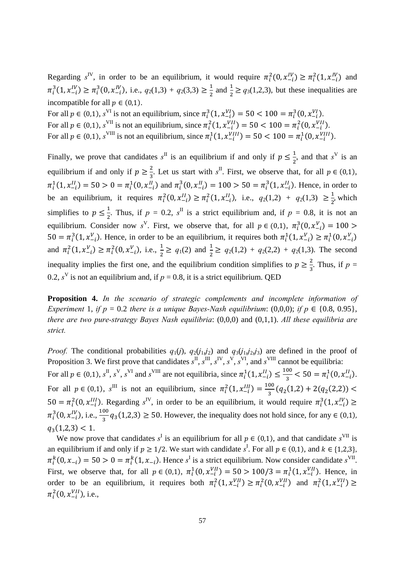Regarding  $s^{\text{IV}}$ , in order to be an equilibrium, it would require  $\pi_i^2(0, x_{-i}^{\text{IV}}) \geq \pi_i^2(1, x_{-i}^{\text{IV}})$  and  $\pi_i^3(1, x_{-i}^{IV}) \ge \pi_i^3(0, x_{-i}^{IV})$ , i.e.,  $q_2(1,3) + q_2(3,3) \ge \frac{1}{2}$  and  $\frac{1}{2} \ge q_3(1,2,3)$ , but these inequalities are incompatible for all  $p \in (0,1)$ .

For all  $p \in (0,1)$ ,  $s^{VI}$  is not an equilibrium, since  $\pi_i^3(1, x_{-i}^{VI}) = 50 < 100 = \pi_i^3(0, x_{-i}^{VI})$ . For all  $p \in (0,1)$ ,  $s^{VII}$  is not an equilibrium, since  $\pi_i^2(1, x_{-i}^{VII}) = 50 < 100 = \pi_i^2(0, x_{-i}^{VII})$ . For all  $p \in (0,1)$ ,  $s^{\text{VIII}}$  is not an equilibrium, since  $\pi_i^1(1, x_{-i}^{\text{VIII}}) = 50 < 100 = \pi_i^1(0, x_{-i}^{\text{VIII}})$ .

Finally, we prove that candidates  $s^{\text{II}}$  is an equilibrium if and only if  $p \leq \frac{1}{2}$ , and that  $s^{\text{V}}$  is an equilibrium if and only if  $p \geq \frac{2}{3}$ . Let us start with  $s^{\text{II}}$ . First, we observe that, for all  $p \in (0,1)$ ,  $\pi_i^1(1, x_{-i}^{II}) = 50 > 0 = \pi_i^1(0, x_{-i}^{II})$  and  $\pi_i^3(0, x_{-i}^{II}) = 100 > 50 = \pi_i^3(1, x_{-i}^{II})$ . Hence, in order to be an equilibrium, it requires  $\pi_i^2(0, x_{-i}^{II}) \ge \pi_i^2(1, x_{-i}^{II})$ , i.e.,  $q_2(1,2) + q_2(1,3) \ge \frac{1}{2}$ , which simplifies to  $p \le \frac{1}{2}$ . Thus, if  $p = 0.2$ ,  $s^{\text{II}}$  is a strict equilibrium and, if  $p = 0.8$ , it is not an equilibrium. Consider now  $s^V$ . First, we observe that, for all  $p \in (0,1)$ ,  $\pi_i^3(0, x_{-i}^V) = 100$  $50 = \pi_i^3(1, x_{-i}^V)$ . Hence, in order to be an equilibrium, it requires both  $\pi_i^1(1, x_{-i}^V) \ge \pi_i^1(0, x_{-i}^V)$ and  $\pi_i^2(1, x_{-i}^V) \ge \pi_i^2(0, x_{-i}^V)$ , i.e.,  $\frac{1}{2} \ge q_1(2)$  and  $\frac{1}{2} \ge q_2(1,2) + q_2(2,2) + q_2(1,3)$ . The second inequality implies the first one, and the equilibrium condition simplifies to  $p \geq \frac{2}{3}$ . Thus, if  $p =$ 0.2,  $s^V$  is not an equilibrium and, if  $p = 0.8$ , it is a strict equilibrium. QED

**Proposition 4.** *In the scenario of strategic complements and incomplete information of Experiment 1, if*  $p = 0.2$  *there is a unique Bayes-Nash equilibrium:* (0,0,0); *if*  $p \in \{0.8, 0.95\}$ , *there are two pure-strategy Bayes Nash equilibria*: (0,0,0) and (0,1,1). *All these equilibria are strict.*

*Proof.* The conditional probabilities  $q_1(j)$ ,  $q_2(j_1,j_2)$  and  $q_3(j_1,j_2,j_3)$  are defined in the proof of Proposition 3. We first prove that candidates  $s^{\text{II}}, s^{\text{II}}, s^{\text{IV}}, s^{\text{V}}, s^{\text{VI}}$ , and  $s^{\text{VIII}}$  cannot be equilibria: For all  $p \in (0,1)$ ,  $s^{\text{II}}$ ,  $s^{\text{V}}$ ,  $s^{\text{VII}}$  and  $s^{\text{VIII}}$  are not equilibria, since  $\pi_i^1(1, x_{-i}^{\text{II}}) \le \frac{100}{3} < 50 = \pi_i^1(0, x_{-i}^{\text{II}})$ . For all  $p \in (0,1)$ ,  $s^{III}$  is not an equilibrium, since  $\pi_i^2(1, x_{-i}^{III}) = \frac{100}{3}(q_2(1,2) + 2(q_2(2,2))$  $50 = \pi_i^2(0, x_{-i}^{III})$ . Regarding s<sup>IV</sup>, in order to be an equilibrium, it would require  $\pi_i^3(1, x_{-i}^{IV}) \ge$  $\pi_i^3(0, x_{-i}^{IV})$ , i.e.,  $\frac{100}{3}q_3(1,2,3) \ge 50$ . However, the inequality does not hold since, for any  $\in (0,1)$ ,  $q_3(1,2,3) < 1.$ 

We now prove that candidates  $s^I$  is an equilibrium for all  $p \in (0,1)$ , and that candidate  $s^{\text{VII}}$  is an equilibrium if and only if  $p \ge 1/2$ . We start with candidate  $s^I$ . For all  $p \in (0,1)$ , and  $k \in \{1,2,3\}$ ,  $\pi_i^k(0, x_{-i}) = 50 > 0 = \pi_i^k(1, x_{-i})$ . Hence *s*<sup>1</sup> is a strict equilibrium. Now consider candidate *s*<sup>VII</sup>. First, we observe that, for all  $p \in (0,1)$ ,  $\pi_i^1(0, x_{-i}^{VII}) = 50 > 100/3 = \pi_i^1(1, x_{-i}^{VII})$ . Hence, in order to be an equilibrium, it requires both  $\pi_i^2(1, x_{-i}^{VII}) \ge \pi_i^2(0, x_{-i}^{VII})$  and  $\pi_i^2(1, x_{-i}^{VII}) \ge$  $\pi_i^2(0, x_{-i}^{VII})$ , i.e.,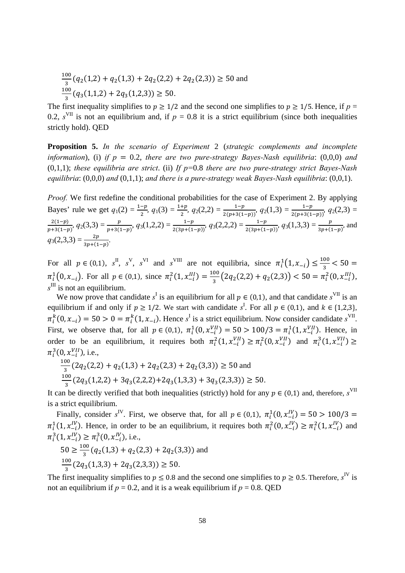$$
\frac{100}{3}(q_2(1,2) + q_2(1,3) + 2q_2(2,2) + 2q_2(2,3)) \ge 50
$$
 and 
$$
\frac{100}{3}(q_3(1,1,2) + 2q_3(1,2,3)) \ge 50.
$$

The first inequality simplifies to  $p \ge 1/2$  and the second one simplifies to  $p \ge 1/5$ . Hence, if  $p =$ 0.2,  $s<sup>VII</sup>$  is not an equilibrium and, if  $p = 0.8$  it is a strict equilibrium (since both inequalities strictly hold). QED

**Proposition 5.** *In the scenario of Experiment* 2 (*strategic complements and incomplete information*), (i) *if*  $p = 0.2$ , *there are two pure-strategy Bayes-Nash equilibria*: (0,0,0) *and* (0,1,1); *these equilibria are strict*. (ii) *If p=*0.8 *there are two pure-strategy strict Bayes-Nash equilibria*: (0,0,0) *and* (0,1,1); *and there is a pure-strategy weak Bayes-Nash equilibria*: (0,0,1).

*Proof.* We first redefine the conditional probabilities for the case of Experiment 2. By applying Bayes' rule we get  $q_1(2) = \frac{1-p}{2}$ ,  $q_1(3) = \frac{1+p}{2}$ ,  $q_2(2,2) = \frac{1-p}{2(p+3(1-p))}$ ,  $q_2(1,3) = \frac{1-p}{2(p+3(1-p))}$ ,  $q_2(2,3) = \frac{1-p}{2}$  $\frac{2(1-p)}{p+3(1-p)}$ ,  $q_2(3,3) = \frac{p}{p+3(1-p)}$ ,  $q_3(1,2,2) = \frac{1-p}{2(3p+(1-p))}$ ,  $q_3(2,2,2) = \frac{1-p}{2(3p+(1-p))}$ ,  $q_3(1,3,3) = \frac{p}{3p+(1-p)}$ , and  $q_3(2,3,3) = \frac{2p}{3p + (1-p)}$ .

For all  $p \in (0,1)$ ,  $s^{\text{II}}$ ,  $s^{\text{V}}$ ,  $s^{\text{VI}}$  and  $s^{\text{VIII}}$  are not equilibria, since  $\pi_i^1(1, x_{-i}) \le \frac{100}{3} < 50$  $\pi_i^1(0, x_{-i})$ . For all  $p \in (0,1)$ , since  $\pi_i^2(1, x_{-i}^{III}) = \frac{100}{3} (2q_2(2,2) + q_2(2,3)) < 50 = \pi_i^2(0, x_{-i}^{III})$ ,  $s^{\text{III}}$  is not an equilibrium.

We now prove that candidate  $s^I$  is an equilibrium for all  $p \in (0,1)$ , and that candidate  $s^{\text{VII}}$  is an equilibrium if and only if  $p \ge 1/2$ . We start with candidate  $s^I$ . For all  $p \in (0,1)$ , and  $k \in \{1,2,3\}$ ,  $\pi_i^k(0, x_{-i}) = 50 > 0 = \pi_i^k(1, x_{-i})$ . Hence *s*<sup>1</sup> is a strict equilibrium. Now consider candidate *s*<sup>VII</sup>. First, we observe that, for all  $p \in (0,1)$ ,  $\pi_i^1(0, x_{-i}^{VII}) = 50 > 100/3 = \pi_i^1(1, x_{-i}^{VII})$ . Hence, in order to be an equilibrium, it requires both  $\pi_i^2(1, x_{-i}^{VII}) \ge \pi_i^2(0, x_{-i}^{VII})$  and  $\pi_i^3(1, x_{-i}^{VII}) \ge$  $\pi_i^3(0, x_{-i}^{VII})$ , i.e.,

$$
\frac{100}{3}(2q_2(2,2) + q_2(1,3) + 2q_2(2,3) + 2q_2(3,3)) \ge 50 \text{ and}
$$
  

$$
\frac{100}{3}(2q_3(1,2,2) + 3q_3(2,2,2) + 2q_3(1,3,3) + 3q_3(2,3,3)) \ge 50.
$$

It can be directly verified that both inequalities (strictly) hold for any  $p \in (0,1)$  and, therefore, s<sup>VII</sup> is a strict equilibrium.

Finally, consider  $s^{\text{IV}}$ . First, we observe that, for all  $p \in (0,1)$ ,  $\pi_i^1(0, x_{-i}^{\text{IV}}) = 50 > 100/3$  $\pi_i^1(1, x_{-i}^{IV})$ . Hence, in order to be an equilibrium, it requires both  $\pi_i^2(0, x_{-i}^{IV}) \ge \pi_i^2(1, x_{-i}^{IV})$  and  $\pi_i^3(1, x_{-i}^{IV}) \ge \pi_i^3(0, x_{-i}^{IV})$ , i.e.,

$$
50 \ge \frac{100}{3} (q_2(1,3) + q_2(2,3) + 2q_2(3,3))
$$
 and  

$$
\frac{100}{3} (2q_3(1,3,3) + 2q_3(2,3,3)) \ge 50.
$$

The first inequality simplifies to  $p \le 0.8$  and the second one simplifies to  $p \ge 0.5$ . Therefore,  $s^{\text{IV}}$  is not an equilibrium if  $p = 0.2$ , and it is a weak equilibrium if  $p = 0.8$ . QED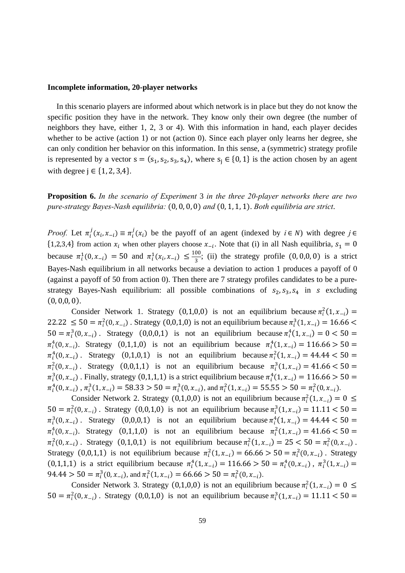#### **Incomplete information, 20-player networks**

In this scenario players are informed about which network is in place but they do not know the specific position they have in the network. They know only their own degree (the number of neighbors they have, either 1, 2, 3 or 4). With this information in hand, each player decides whether to be active (action 1) or not (action 0). Since each player only learns her degree, she can only condition her behavior on this information. In this sense, a (symmetric) strategy profile is represented by a vector  $s = (s_1, s_2, s_3, s_4)$ , where  $s_i \in \{0, 1\}$  is the action chosen by an agent with degree  $j \in \{1, 2, 3, 4\}$ .

**Proposition 6.** *In the scenario of Experiment* 3 *in the three 20-player networks there are two pure-strategy Bayes-Nash equilibria:*  $(0, 0, 0, 0)$  *and*  $(0, 1, 1, 1)$ . *Both equilibria are strict.* 

*Proof.* Let  $\pi_i^j(x_i, x_{-i}) \equiv \pi_i^j(x_i)$  be the payoff of an agent (indexed by  $i \in N$ ) with degree  $j \in N$  $\{1,2,3,4\}$  from action  $x_i$  when other players choose  $x_{-i}$ . Note that (i) in all Nash equilibria,  $s_1 = 0$ because  $\pi_i^1(0, x_{-i}) = 50$  and  $\pi_i^1(x_i, x_{-i}) \leq \frac{100}{3}$ ; (ii) the strategy profile  $(0, 0, 0, 0)$  is a strict Bayes-Nash equilibrium in all networks because a deviation to action 1 produces a payoff of 0 (against a payoff of 50 from action 0). Then there are 7 strategy profiles candidates to be a purestrategy Bayes-Nash equilibrium: all possible combinations of  $s_2, s_3, s_4$  in  $s$  excluding  $(0, 0, 0, 0).$ 

Consider Network 1. Strategy (0,1,0,0) is not an equilibrium because  $\pi_i^2(1, x_{-i}) =$  $22.22 \le 50 = \pi_i^2(0, x_{-i})$ . Strategy  $(0, 0, 1, 0)$  is not an equilibrium because  $\pi_i^3(1, x_{-i}) = 16.66$  $50 = \pi_i^3(0, x_{-i})$ . Strategy  $(0, 0, 0, 1)$  is not an equilibrium because  $\pi_i^4(1, x_{-i}) = 0 < 50$  $\pi_i^4(0, x_{-i})$ . Strategy  $(0,1,1,0)$  is not an equilibrium because  $\pi_i^4(1, x_{-i}) = 116.66 > 50$  $\pi_i^4(0, x_{-i})$ . Strategy  $(0, 1, 0, 1)$  is not an equilibrium because  $\pi_i^2(1, x_{-i}) = 44.44 < 50$  $\pi_i^2(0, x_{-i})$ . Strategy  $(0, 0, 1, 1)$  is not an equilibrium because  $\pi_i^3(1, x_{-i}) = 41.66 < 50$  $\pi_i^3(0, x_{-i})$ . Finally, strategy (0,1,1,1) is a strict equilibrium because  $\pi_i^4(1, x_{-i}) = 116.66 > 50$  $\pi_i^4(0, x_{-i})$ ,  $\pi_i^3(1, x_{-i}) = 58.33 > 50 = \pi_i^3(0, x_{-i})$ , and  $\pi_i^2(1, x_{-i}) = 55.55 > 50 = \pi_i^2(0, x_{-i})$ .

Consider Network 2. Strategy (0,1,0,0) is not an equilibrium because  $\pi_i^2(1, x_{-i}) = 0 \leq$  $50 = \pi_i^2(0, x_{-i})$ . Strategy  $(0, 0, 1, 0)$  is not an equilibrium because  $\pi_i^3(1, x_{-i}) = 11.11 < 50$  $\pi_i^3(0, x_{-i})$ . Strategy  $(0, 0, 0, 1)$  is not an equilibrium because  $\pi_i^4(1, x_{-i}) = 44.44 < 50$  $\pi_i^4(0, x_{-i})$ . Strategy (0,1,1,0) is not an equilibrium because  $\pi_i^2(1, x_{-i}) = 41.66 < 50$  $\pi_i^2(0, x_{-i})$ . Strategy (0,1,0,1) is not equilibrium because  $\pi_i^2(1, x_{-i}) = 25 < 50 = \pi_i^2(0, x_{-i})$ . Strategy (0,0,1,1) is not equilibrium because  $\pi_i^2(1, x_{-i}) = 66.66 > 50 = \pi_i^2(0, x_{-i})$ . Strategy  $(0,1,1,1)$  is a strict equilibrium because  $\pi_i^4(1, x_{-i}) = 116.66 > 50 = \pi_i^4(0, x_{-i})$ ,  $\pi_i^3(1, x_{-i}) =$  $94.44 > 50 = \pi_i^3(0, x_{-i})$ , and  $\pi_i^2(1, x_{-i}) = 66.66 > 50 = \pi_i^2(0, x_{-i})$ .

Consider Network 3. Strategy (0,1,0,0) is not an equilibrium because  $\pi_i^2(1, x_{-i}) = 0 \leq$  $50 = \pi_i^2(0, x_{-i})$ . Strategy  $(0, 0, 1, 0)$  is not an equilibrium because  $\pi_i^3(1, x_{-i}) = 11.11 < 50$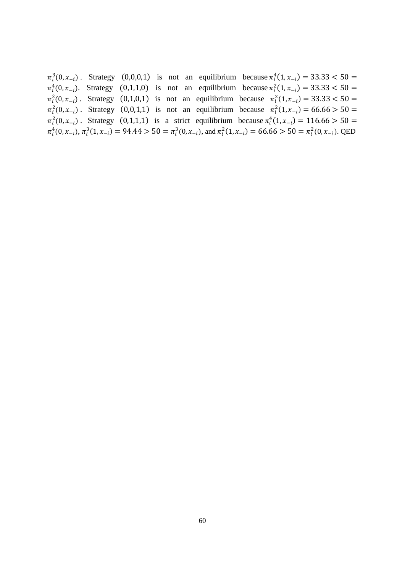$\pi_i^3(0, x_{-i})$ . Strategy  $(0, 0, 0, 1)$  is not an equilibrium because  $\pi_i^4(1, x_{-i}) = 33.33 < 50$  $\pi_i^4(0, x_{-i})$ . Strategy  $(0, 1, 1, 0)$  is not an equilibrium because  $\pi_i^2(1, x_{-i}) = 33.33 < 50$  $\pi_i^2(0, x_{-i})$ . Strategy  $(0, 1, 0, 1)$  is not an equilibrium because  $\pi_i^2(1, x_{-i}) = 33.33 < 50$  $\pi_i^2(0, x_{-i})$ . Strategy  $(0, 0, 1, 1)$  is not an equilibrium because  $\pi_i^2(1, x_{-i}) = 66.66 > 50$  $\pi_i^2(0, x_{-i})$ . Strategy  $(0, 1, 1, 1)$  is a strict equilibrium because  $\pi_i^4(1, x_{-i}) = 116.66 > 50$  $\pi_i^4(0, x_{-i}), \pi_i^3(1, x_{-i}) = 94.44 > 50 = \pi_i^3(0, x_{-i}), \text{ and } \pi_i^2(1, x_{-i}) = 66.66 > 50 = \pi_i^2(0, x_{-i}).$  QED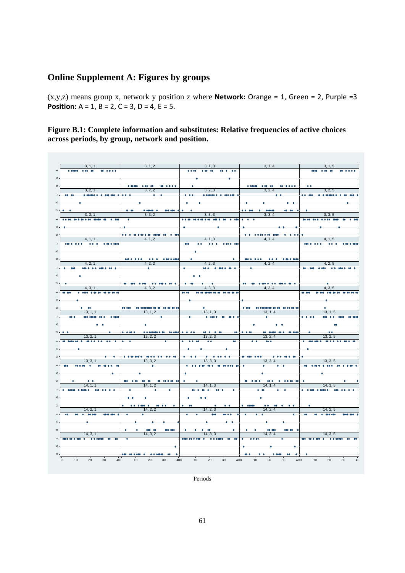# **Online Supplement A: Figures by groups**

(x,y,z) means group x, network y position z where **Network:** Orange = 1, Green = 2, Purple =3 **Position:** A = 1, B = 2, C = 3, D = 4, E = 5.

**Figure B.1: Complete information and substitutes: Relative frequencies of active choices across periods, by group, network and position.** 



Periods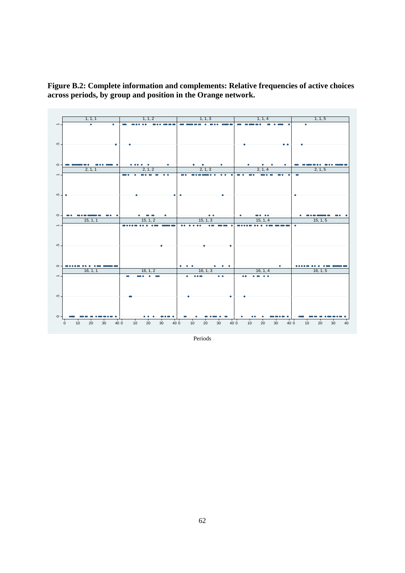**Figure B.2: Complete information and complements: Relative frequencies of active choices across periods, by group and position in the Orange network.** 



Periods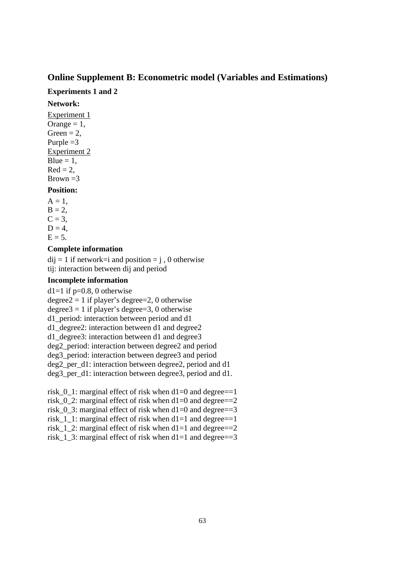#### **Online Supplement B: Econometric model (Variables and Estimations)**

#### **Experiments 1 and 2**

#### **Network:**

Experiment 1 Orange  $= 1$ , Green  $= 2$ , Purple  $=3$ Experiment 2  $Blue = 1$ .  $Red = 2$ . Brown  $=3$ **Position:** 

 $A = 1$ .  $B = 2$ ,  $C = 3$ ,  $D = 4$ ,  $E = 5$ .

#### **Complete information**

 $di$  = 1 if network=i and position = j, 0 otherwise tij: interaction between dij and period

#### **Incomplete information**

d1=1 if  $p=0.8$ , 0 otherwise degree2 = 1 if player's degree=2, 0 otherwise degree $3 = 1$  if player's degree=3, 0 otherwise d1\_period: interaction between period and d1 d1\_degree2: interaction between d1 and degree2 d1\_degree3: interaction between d1 and degree3 deg2\_period: interaction between degree2 and period deg3\_period: interaction between degree3 and period deg2 per d1: interaction between degree2, period and d1 deg3\_per\_d1: interaction between degree3, period and d1.

risk\_0\_1: marginal effect of risk when d1=0 and degree==1 risk  $0\,$  2: marginal effect of risk when d1=0 and degree==2 risk  $0, 3$ : marginal effect of risk when d1=0 and degree==3 risk  $1$  1: marginal effect of risk when d1=1 and degree==1 risk  $1\,2$ : marginal effect of risk when d1=1 and degree==2 risk 1 3: marginal effect of risk when d1=1 and degree==3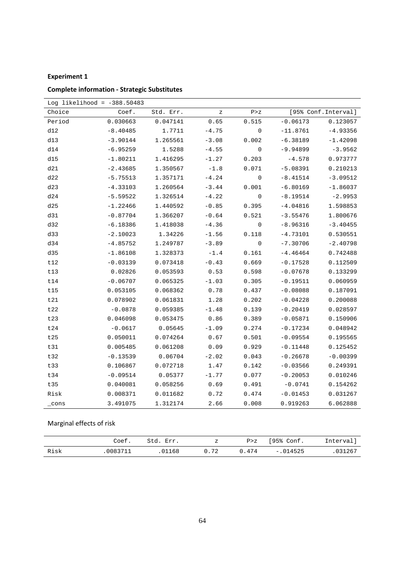#### **Experiment 1**

|        | Log likelihood = $-388.50483$ |           |          |             |            |                      |
|--------|-------------------------------|-----------|----------|-------------|------------|----------------------|
| Choice | Coef.                         | Std. Err. | $\rm{z}$ | P > Z       |            | [95% Conf. Interval] |
| Period | 0.030663                      | 0.047141  | 0.65     | 0.515       | $-0.06173$ | 0.123057             |
| d12    | $-8.40485$                    | 1.7711    | $-4.75$  | $\mathbf 0$ | $-11.8761$ | $-4.93356$           |
| d13    | $-3.90144$                    | 1.265561  | $-3.08$  | 0.002       | $-6.38189$ | $-1.42098$           |
| d14    | $-6.95259$                    | 1.5288    | $-4.55$  | $\mathbf 0$ | $-9.94899$ | $-3.9562$            |
| d15    | $-1.80211$                    | 1.416295  | $-1.27$  | 0.203       | $-4.578$   | 0.973777             |
| d21    | $-2.43685$                    | 1.350567  | $-1.8$   | 0.071       | $-5.08391$ | 0.210213             |
| d22    | $-5.75513$                    | 1.357171  | $-4.24$  | 0           | $-8.41514$ | $-3.09512$           |
| d23    | $-4.33103$                    | 1.260564  | $-3.44$  | 0.001       | $-6.80169$ | $-1.86037$           |
| d24    | $-5.59522$                    | 1.326514  | $-4.22$  | $\mathbf 0$ | $-8.19514$ | $-2.9953$            |
| d25    | $-1.22466$                    | 1.440592  | $-0.85$  | 0.395       | $-4.04816$ | 1.598853             |
| d31    | $-0.87704$                    | 1.366207  | $-0.64$  | 0.521       | $-3.55476$ | 1.800676             |
| d32    | $-6.18386$                    | 1.418038  | $-4.36$  | $\mathbf 0$ | $-8.96316$ | $-3.40455$           |
| d33    | $-2.10023$                    | 1.34226   | $-1.56$  | 0.118       | $-4.73101$ | 0.530551             |
| d34    | $-4.85752$                    | 1.249787  | $-3.89$  | $\mathbf 0$ | $-7.30706$ | $-2.40798$           |
| d35    | $-1.86108$                    | 1.328373  | $-1.4$   | 0.161       | $-4.46464$ | 0.742488             |
| t12    | $-0.03139$                    | 0.073418  | $-0.43$  | 0.669       | $-0.17528$ | 0.112509             |
| t13    | 0.02826                       | 0.053593  | 0.53     | 0.598       | $-0.07678$ | 0.133299             |
| t14    | $-0.06707$                    | 0.065325  | $-1.03$  | 0.305       | $-0.19511$ | 0.060959             |
| t15    | 0.053105                      | 0.068362  | 0.78     | 0.437       | $-0.08088$ | 0.187091             |
| t21    | 0.078902                      | 0.061831  | 1.28     | 0.202       | $-0.04228$ | 0.200088             |
| t22    | $-0.0878$                     | 0.059385  | $-1.48$  | 0.139       | $-0.20419$ | 0.028597             |
| t23    | 0.046098                      | 0.053475  | 0.86     | 0.389       | $-0.05871$ | 0.150906             |
| t24    | $-0.0617$                     | 0.05645   | $-1.09$  | 0.274       | $-0.17234$ | 0.048942             |
| t25    | 0.050011                      | 0.074264  | 0.67     | 0.501       | $-0.09554$ | 0.195565             |
| t31    | 0.005485                      | 0.061208  | 0.09     | 0.929       | $-0.11448$ | 0.125452             |
| t32    | $-0.13539$                    | 0.06704   | $-2.02$  | 0.043       | $-0.26678$ | $-0.00399$           |
| t33    | 0.106867                      | 0.072718  | 1.47     | 0.142       | $-0.03566$ | 0.249391             |
| t34    | $-0.09514$                    | 0.05377   | $-1.77$  | 0.077       | $-0.20053$ | 0.010246             |
| t35    | 0.040081                      | 0.058256  | 0.69     | 0.491       | $-0.0741$  | 0.154262             |
| Risk   | 0.008371                      | 0.011682  | 0.72     | 0.474       | $-0.01453$ | 0.031267             |
| cons   | 3.491075                      | 1.312174  | 2.66     | 0.008       | 0.919263   | 6.062888             |

# **Complete information ‐ Strategic Substitutes**

# Marginal effects of risk

|      | Coef.          | $C + 4$<br>Err | z     | P > Z | '95% Conf.        | Interval' |
|------|----------------|----------------|-------|-------|-------------------|-----------|
| Risk | <b>CORRACT</b> | 01168          | 0. 72 | 474   | .014525<br>$\sim$ | .031267   |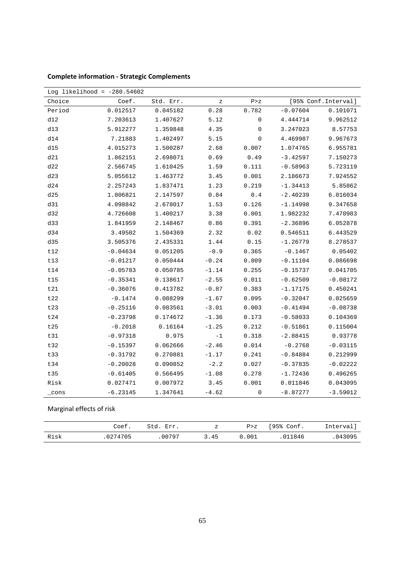| Log likelihood = $-280.54602$ |            |           |         |             |            |                      |  |
|-------------------------------|------------|-----------|---------|-------------|------------|----------------------|--|
| Choice                        | Coef.      | Std. Err. | Ζ       | P > Z       |            | [95% Conf. Interval] |  |
| Period                        | 0.012517   | 0.045182  | 0.28    | 0.782       | $-0.07604$ | 0.101071             |  |
| d12                           | 7.203613   | 1.407627  | 5.12    | $\mathbf 0$ | 4.444714   | 9.962512             |  |
| d13                           | 5.912277   | 1.359848  | 4.35    | $\mathbf 0$ | 3.247023   | 8.57753              |  |
| d14                           | 7.21883    | 1.402497  | 5.15    | 0           | 4.469987   | 9.967673             |  |
| d15                           | 4.015273   | 1.500287  | 2.68    | 0.007       | 1.074765   | 6.955781             |  |
| d21                           | 1.862151   | 2.698071  | 0.69    | 0.49        | $-3.42597$ | 7.150273             |  |
| d22                           | 2.566745   | 1.610425  | 1.59    | 0.111       | $-0.58963$ | 5.723119             |  |
| d23                           | 5.055612   | 1.463772  | 3.45    | 0.001       | 2.186673   | 7.924552             |  |
| d24                           | 2.257243   | 1.837471  | 1.23    | 0.219       | $-1.34413$ | 5.85862              |  |
| d25                           | 1.806821   | 2.147597  | 0.84    | 0.4         | $-2.40239$ | 6.016034             |  |
| d31                           | 4.098842   | 2.678017  | 1.53    | 0.126       | $-1.14998$ | 9.347658             |  |
| d32                           | 4.726608   | 1.400217  | 3.38    | 0.001       | 1.982232   | 7.470983             |  |
| d33                           | 1.841959   | 2.148467  | 0.86    | 0.391       | $-2.36896$ | 6.052878             |  |
| d34                           | 3.49502    | 1.504369  | 2.32    | 0.02        | 0.546511   | 6.443529             |  |
| d35                           | 3.505376   | 2.435331  | 1.44    | 0.15        | $-1.26779$ | 8.278537             |  |
| t12                           | $-0.04634$ | 0.051205  | $-0.9$  | 0.365       | $-0.1467$  | 0.05402              |  |
| t13                           | $-0.01217$ | 0.050444  | $-0.24$ | 0.809       | $-0.11104$ | 0.086698             |  |
| t14                           | $-0.05783$ | 0.050785  | $-1.14$ | 0.255       | $-0.15737$ | 0.041705             |  |
| t15                           | $-0.35341$ | 0.138617  | $-2.55$ | 0.011       | $-0.62509$ | $-0.08172$           |  |
| t21                           | $-0.36076$ | 0.413782  | $-0.87$ | 0.383       | $-1.17175$ | 0.450241             |  |
| t22                           | $-0.1474$  | 0.088299  | $-1.67$ | 0.095       | $-0.32047$ | 0.025659             |  |
| t23                           | $-0.25116$ | 0.083561  | $-3.01$ | 0.003       | $-0.41494$ | $-0.08738$           |  |
| t24                           | $-0.23798$ | 0.174672  | $-1.36$ | 0.173       | $-0.58033$ | 0.104369             |  |
| t25                           | $-0.2018$  | 0.16164   | $-1.25$ | 0.212       | $-0.51861$ | 0.115004             |  |
| t31                           | $-0.97318$ | 0.975     | $-1$    | 0.318       | $-2.88415$ | 0.93778              |  |
| t32                           | $-0.15397$ | 0.062666  | $-2.46$ | 0.014       | $-0.2768$  | $-0.03115$           |  |
| t33                           | $-0.31792$ | 0.270881  | $-1.17$ | 0.241       | $-0.84884$ | 0.212999             |  |
| t34                           | $-0.20028$ | 0.090852  | $-2.2$  | 0.027       | $-0.37835$ | $-0.02222$           |  |
| t35                           | $-0.61405$ | 0.566495  | $-1.08$ | 0.278       | $-1.72436$ | 0.496265             |  |
| Risk                          | 0.027471   | 0.007972  | 3.45    | 0.001       | 0.011846   | 0.043095             |  |
| $\_cons$                      | $-6.23145$ | 1.347641  | $-4.62$ | $\mathbf 0$ | $-8.87277$ | $-3.59012$           |  |

**Complete information ‐ Strategic Complements**

Marginal effects of risk

|      | Coef.   | ੀ ⊤ ∩<br>Err | Ζ    | P > Z | '95% Conf. | Interval |
|------|---------|--------------|------|-------|------------|----------|
| Risk | 0274705 | 00797        | 3.45 | .001  | 011846     | 043095   |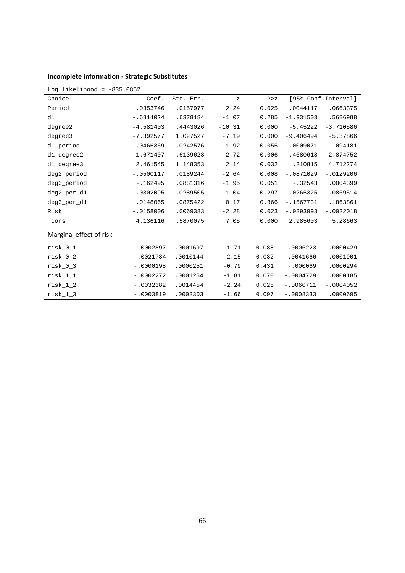|  | <b>Incomplete information - Strategic Substitutes</b> |  |  |
|--|-------------------------------------------------------|--|--|
|--|-------------------------------------------------------|--|--|

| Log likelihood = $-835.0852$ |             |           |          |       |             |                      |  |
|------------------------------|-------------|-----------|----------|-------|-------------|----------------------|--|
| Choice                       | Coef.       | Std. Err. | Ζ        | P > Z |             | [95% Conf. Interval] |  |
| Period                       | .0353746    | .0157977  | 2.24     | 0.025 | .0044117    | .0663375             |  |
| d1                           | $-.6814024$ | .6378184  | $-1.07$  | 0.285 | $-1.931503$ | .5686988             |  |
| degree2                      | $-4.581403$ | .4443026  | $-10.31$ | 0.000 | $-5.45222$  | $-3.710586$          |  |
| degree3                      | $-7.392577$ | 1.027527  | $-7.19$  | 0.000 | $-9.406494$ | $-5.37866$           |  |
| d1_period                    | .0466369    | .0242576  | 1.92     | 0.055 | $-.0009071$ | .094181              |  |
| d1_degree2                   | 1.671407    | .6139628  | 2.72     | 0.006 | .4680618    | 2.874752             |  |
| d1_degree3                   | 2.461545    | 1.148353  | 2.14     | 0.032 | .210815     | 4.712274             |  |
| deg2_period                  | $-.0500117$ | .0189244  | $-2.64$  | 0.008 | $-.0871029$ | $-.0129206$          |  |
| deg3_period                  | $-.162495$  | .0831316  | $-1.95$  | 0.051 | $-.32543$   | .0004399             |  |
| deg2_per_d1                  | .0302095    | .0289505  | 1.04     | 0.297 | $-.0265325$ | .0869514             |  |
| deg3_per_d1                  | .0148065    | .0875422  | 0.17     | 0.866 | $-.1567731$ | .1863861             |  |
| Risk                         | $-.0158006$ | .0069383  | $-2.28$  | 0.023 | $-10293993$ | $-.0022018$          |  |
| $_{\rm cons}$                | 4.136116    | .5870075  | 7.05     | 0.000 | 2.985603    | 5.28663              |  |
| Marginal effect of risk      |             |           |          |       |             |                      |  |
| $risk_0_1$                   | $-.0002897$ | .0001697  | $-1.71$  | 0.088 | $-.0006223$ | .0000429             |  |
| $risk_0_2$                   | $-.0021784$ | .0010144  | $-2.15$  | 0.032 | $-.0041666$ | $-.0001901$          |  |
| $risk_0_3$                   | $-.0000198$ | .0000251  | $-0.79$  | 0.431 | $-.000069$  | .0000294             |  |
| $risk_1_1$                   | $-.0002272$ | .0001254  | $-1.81$  | 0.070 | $-.0004729$ | .0000185             |  |
| $risk_1_2$                   | $-.0032382$ | .0014454  | $-2.24$  | 0.025 | $-.0060711$ | $-.0004052$          |  |
| $risk_1_3$                   | $-.0003819$ | .0002303  | $-1.66$  | 0.097 | $-.0008333$ | .0000695             |  |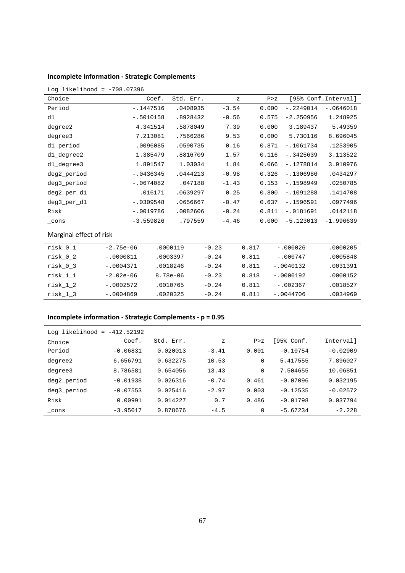|  | Incomplete information - Strategic Complements |  |  |
|--|------------------------------------------------|--|--|
|  |                                                |  |  |

| Log likelihood = $-708.07396$ |             |           |              |       |             |                     |
|-------------------------------|-------------|-----------|--------------|-------|-------------|---------------------|
| Choice                        | Coef.       | Std. Err. | $\mathbf{z}$ | P > Z |             | [95% Conf.Interval] |
| Period                        | $-.1447516$ | .0408935  | $-3.54$      | 0.000 | $-.2249014$ | $-.0646018$         |
| d1                            | $-.5010158$ | .8928432  | $-0.56$      | 0.575 | $-2.250956$ | 1.248925            |
| degree2                       | 4.341514    | .5878049  | 7.39         | 0.000 | 3.189437    | 5.49359             |
| degree3                       | 7.213081    | .7566286  | 9.53         | 0.000 | 5.730116    | 8.696045            |
| d1_period                     | .0096085    | .0590735  | 0.16         | 0.871 | $-1061734$  | .1253905            |
| d1_degree2                    | 1.385479    | .8816709  | 1.57         | 0.116 | $-.3425639$ | 3.113522            |
| d1_degree3                    | 1.891547    | 1.03034   | 1.84         | 0.066 | $-.1278814$ | 3.910976            |
| deg2_period                   | $-.0436345$ | .0444213  | $-0.98$      | 0.326 | $-.1306986$ | .0434297            |
| deg3_period                   | $-.0674082$ | .047188   | $-1.43$      | 0.153 | $-1598949$  | .0250785            |
| deg2_per_d1                   | .016171     | .0639297  | 0.25         | 0.800 | $-1091288$  | .1414708            |
| deg3_per_d1                   | $-.0309548$ | .0656667  | $-0.47$      | 0.637 | $-.1596591$ | .0977496            |
| Risk                          | $-.0019786$ | .0082606  | $-0.24$      | 0.811 | $-.0181691$ | .0142118            |
| $\_cons$                      | $-3.559826$ | .797559   | $-4.46$      | 0.000 | $-5.123013$ | $-1.996639$         |
| Marginal effect of risk       |             |           |              |       |             |                     |
|                               |             |           |              |       |             |                     |

| risk 0 1 | $-2.75e-06$ | .0000119     | $-0.23$ | 0.817 | $-.000026$  | .0000205 |
|----------|-------------|--------------|---------|-------|-------------|----------|
| risk 0 2 | $-.0000811$ | .0003397     | $-0.24$ | 0.811 | $-.000747$  | .0005848 |
| risk 0 3 | $-.0004371$ | .0018246     | $-0.24$ | 0.811 | $-.0040132$ | .0031391 |
| risk 1 1 | $-2.02e-06$ | $8.78e - 06$ | $-0.23$ | 0.818 | $-.0000192$ | .0000152 |
| risk 1 2 | $-.0002572$ | .0010765     | $-0.24$ | 0.811 | $-.002367$  | .0018527 |
| risk 1 3 | $-.0004869$ | .0020325     | $-0.24$ | 0.811 | $-.0044706$ | .0034969 |

# **Incomplete information ‐ Strategic Complements ‐ p = 0.95**

| Log likelihood<br>$=$ | $-412.52192$ |           |              |       |            |            |
|-----------------------|--------------|-----------|--------------|-------|------------|------------|
| Choice                | Coef.        | Std. Err. | $\mathbf{z}$ | P > Z | [95% Conf. | Interval]  |
| Period                | $-0.06831$   | 0.020013  | $-3.41$      | 0.001 | $-0.10754$ | $-0.02909$ |
| degree2               | 6.656791     | 0.632275  | 10.53        | 0     | 5.417555   | 7.896027   |
| degree3               | 8.786581     | 0.654056  | 13.43        | 0     | 7.504655   | 10.06851   |
| deg2_period           | $-0.01938$   | 0.026316  | $-0.74$      | 0.461 | $-0.07096$ | 0.032195   |
| deg3 period           | $-0.07553$   | 0.025416  | $-2.97$      | 0.003 | $-0.12535$ | $-0.02572$ |
| Risk                  | 0.00991      | 0.014227  | 0.7          | 0.486 | $-0.01798$ | 0.037794   |
| cons                  | $-3.95017$   | 0.878676  | $-4.5$       | 0     | $-5.67234$ | $-2.228$   |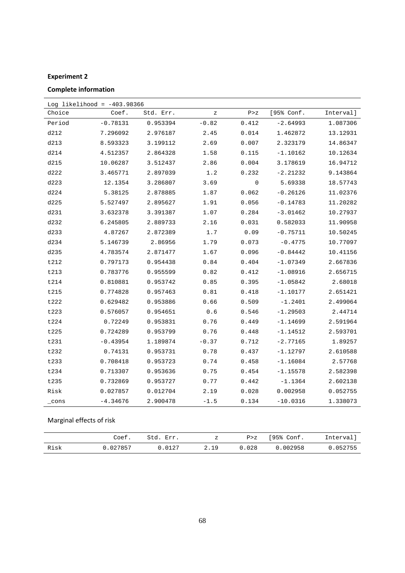# **Experiment 2**

# **Complete information**

| Log likelihood = $-403.98366$ |            |           |         |       |            |           |  |  |
|-------------------------------|------------|-----------|---------|-------|------------|-----------|--|--|
| Choice                        | Coef.      | Std. Err. | z       | P > Z | [95% Conf. | Interval] |  |  |
| Period                        | $-0.78131$ | 0.953394  | $-0.82$ | 0.412 | $-2.64993$ | 1.087306  |  |  |
| d212                          | 7.296092   | 2.976187  | 2.45    | 0.014 | 1.462872   | 13.12931  |  |  |
| d213                          | 8.593323   | 3.199112  | 2.69    | 0.007 | 2.323179   | 14.86347  |  |  |
| d214                          | 4.512357   | 2.864328  | 1.58    | 0.115 | $-1.10162$ | 10.12634  |  |  |
| d215                          | 10.06287   | 3.512437  | 2.86    | 0.004 | 3.178619   | 16.94712  |  |  |
| d222                          | 3.465771   | 2.897039  | 1.2     | 0.232 | $-2.21232$ | 9.143864  |  |  |
| d223                          | 12.1354    | 3.286807  | 3.69    | 0     | 5.69338    | 18.57743  |  |  |
| d224                          | 5.38125    | 2.878885  | 1.87    | 0.062 | $-0.26126$ | 11.02376  |  |  |
| d225                          | 5.527497   | 2.895627  | 1.91    | 0.056 | $-0.14783$ | 11.20282  |  |  |
| d231                          | 3.632378   | 3.391387  | 1.07    | 0.284 | $-3.01462$ | 10.27937  |  |  |
| d232                          | 6.245805   | 2.889733  | 2.16    | 0.031 | 0.582033   | 11.90958  |  |  |
| d233                          | 4.87267    | 2.872389  | 1.7     | 0.09  | $-0.75711$ | 10.50245  |  |  |
| d234                          | 5.146739   | 2.86956   | 1.79    | 0.073 | $-0.4775$  | 10.77097  |  |  |
| d235                          | 4.783574   | 2.871477  | 1.67    | 0.096 | $-0.84442$ | 10.41156  |  |  |
| t212                          | 0.797173   | 0.954438  | 0.84    | 0.404 | $-1.07349$ | 2.667836  |  |  |
| t213                          | 0.783776   | 0.955599  | 0.82    | 0.412 | $-1.08916$ | 2.656715  |  |  |
| t214                          | 0.810881   | 0.953742  | 0.85    | 0.395 | $-1.05842$ | 2.68018   |  |  |
| t215                          | 0.774828   | 0.957463  | 0.81    | 0.418 | $-1.10177$ | 2.651421  |  |  |
| t222                          | 0.629482   | 0.953886  | 0.66    | 0.509 | $-1.2401$  | 2.499064  |  |  |
| t223                          | 0.576057   | 0.954651  | 0.6     | 0.546 | $-1.29503$ | 2.44714   |  |  |
| t224                          | 0.72249    | 0.953831  | 0.76    | 0.449 | $-1.14699$ | 2.591964  |  |  |
| t225                          | 0.724289   | 0.953799  | 0.76    | 0.448 | $-1.14512$ | 2.593701  |  |  |
| t231                          | $-0.43954$ | 1.189874  | $-0.37$ | 0.712 | $-2.77165$ | 1.89257   |  |  |
| t232                          | 0.74131    | 0.953731  | 0.78    | 0.437 | $-1.12797$ | 2.610588  |  |  |
| t233                          | 0.708418   | 0.953723  | 0.74    | 0.458 | $-1.16084$ | 2.57768   |  |  |
| t234                          | 0.713307   | 0.953636  | 0.75    | 0.454 | $-1.15578$ | 2.582398  |  |  |
| t235                          | 0.732869   | 0.953727  | 0.77    | 0.442 | $-1.1364$  | 2.602138  |  |  |
| Risk                          | 0.027857   | 0.012704  | 2.19    | 0.028 | 0.002958   | 0.052755  |  |  |
| _cons                         | $-4.34676$ | 2.900478  | $-1.5$  | 0.134 | $-10.0316$ | 1.338073  |  |  |

# Marginal effects of risk

|      | Coef.  | ユーゴ<br>Err |      | P > Z | 95% Conf. | Interval' |
|------|--------|------------|------|-------|-----------|-----------|
| Risk | 027857 | N N197     | 2.19 | .028  | 0.002958  | 052755    |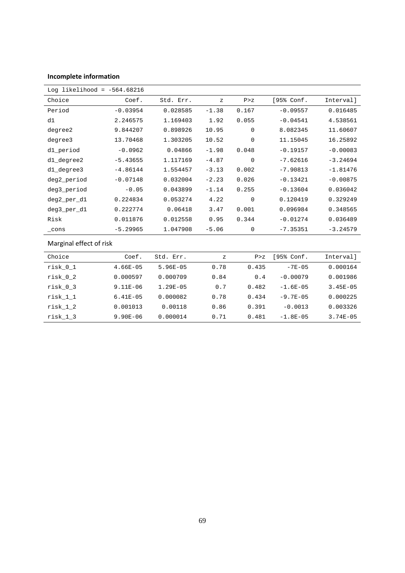#### **Incomplete information**

| Log likelihood = $-564.68216$ |            |           |         |             |            |            |
|-------------------------------|------------|-----------|---------|-------------|------------|------------|
| Choice                        | Coef.      | Std. Err. | Ζ       | P > Z       | [95% Conf. | Interval]  |
| Period                        | $-0.03954$ | 0.028585  | $-1.38$ | 0.167       | $-0.09557$ | 0.016485   |
| d1                            | 2.246575   | 1.169403  | 1.92    | 0.055       | $-0.04541$ | 4.538561   |
| degree2                       | 9.844207   | 0.898926  | 10.95   | 0           | 8.082345   | 11.60607   |
| degree3                       | 13.70468   | 1.303205  | 10.52   | $\mathbf 0$ | 11.15045   | 16.25892   |
| d1_period                     | $-0.0962$  | 0.04866   | $-1.98$ | 0.048       | $-0.19157$ | $-0.00083$ |
| d1_degree2                    | $-5.43655$ | 1.117169  | $-4.87$ | $\Omega$    | $-7.62616$ | $-3.24694$ |
| d1_degree3                    | $-4.86144$ | 1.554457  | $-3.13$ | 0.002       | $-7.90813$ | $-1.81476$ |
| deg2_period                   | $-0.07148$ | 0.032004  | $-2.23$ | 0.026       | $-0.13421$ | $-0.00875$ |
| deg3_period                   | $-0.05$    | 0.043899  | $-1.14$ | 0.255       | $-0.13604$ | 0.036042   |
| deg2_per_d1                   | 0.224834   | 0.053274  | 4.22    | $\mathbf 0$ | 0.120419   | 0.329249   |
| deg3_per_d1                   | 0.222774   | 0.06418   | 3.47    | 0.001       | 0.096984   | 0.348565   |
| Risk                          | 0.011876   | 0.012558  | 0.95    | 0.344       | $-0.01274$ | 0.036489   |
| cons                          | $-5.29965$ | 1.047908  | $-5.06$ | 0           | $-7.35351$ | $-3.24579$ |

# Marginal effect of risk

| Choice     | Coef.        | Std. Err.    | $\mathbf{z}$ | P > Z | 195% Conf.    | Intervall    |
|------------|--------------|--------------|--------------|-------|---------------|--------------|
| $risk_0_1$ | $4.66E - 05$ | $5.96E - 05$ | 0.78         | 0.435 | $-7E-05$      | 0.000164     |
| risk 0 2   | 0.000597     | 0.000709     | 0.84         | 0.4   | $-0.00079$    | 0.001986     |
| risk 0 3   | $9.11E-06$   | $1.29E - 05$ | 0.7          | 0.482 | $-1.6E - 05$  | $3.45E - 05$ |
| risk 1 1   | $6.41E - 05$ | 0.000082     | 0.78         | 0.434 | $-9.7E - 0.5$ | 0.000225     |
| risk 1 2   | 0.001013     | 0.00118      | 0.86         | 0.391 | $-0.0013$     | 0.003326     |
| risk 1 3   | $9.90E - 06$ | 0.000014     | 0.71         | 0.481 | $-1.8E - 05$  | $3.74E - 05$ |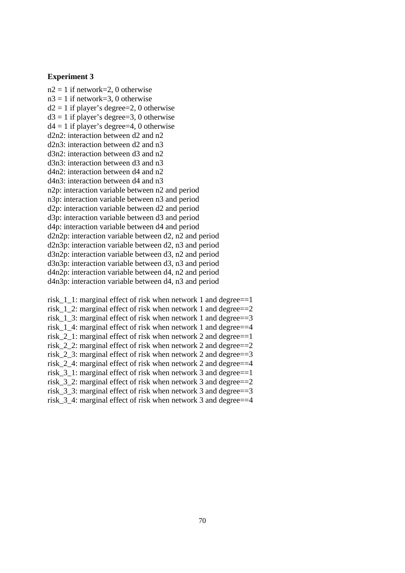#### **Experiment 3**

 $n2 = 1$  if network=2, 0 otherwise  $n3 = 1$  if network=3, 0 otherwise  $d2 = 1$  if player's degree=2, 0 otherwise  $d3 = 1$  if player's degree=3, 0 otherwise  $d4 = 1$  if player's degree=4, 0 otherwise d2n2: interaction between d2 and n2 d2n3: interaction between d2 and n3 d3n2: interaction between d3 and n2 d3n3: interaction between d3 and n3 d4n2: interaction between d4 and n2 d4n3: interaction between d4 and n3 n2p: interaction variable between n2 and period n3p: interaction variable between n3 and period d2p: interaction variable between d2 and period d3p: interaction variable between d3 and period d4p: interaction variable between d4 and period d2n2p: interaction variable between d2, n2 and period d2n3p: interaction variable between d2, n3 and period d3n2p: interaction variable between d3, n2 and period d3n3p: interaction variable between d3, n3 and period d4n2p: interaction variable between d4, n2 and period d4n3p: interaction variable between d4, n3 and period

risk\_1\_1: marginal effect of risk when network 1 and degree==1 risk  $1\,2$ : marginal effect of risk when network 1 and degree==2 risk 1 3: marginal effect of risk when network 1 and degree==3 risk 1 4: marginal effect of risk when network 1 and degree==4 risk\_2\_1: marginal effect of risk when network 2 and degree==1 risk\_2\_2: marginal effect of risk when network 2 and degree==2 risk 2 3: marginal effect of risk when network 2 and degree== $3$ risk\_2\_4: marginal effect of risk when network 2 and degree==4 risk\_3\_1: marginal effect of risk when network 3 and degree==1 risk\_3\_2: marginal effect of risk when network 3 and degree==2 risk  $3\,3$ : marginal effect of risk when network 3 and degree==3 risk 3 4: marginal effect of risk when network 3 and degree==4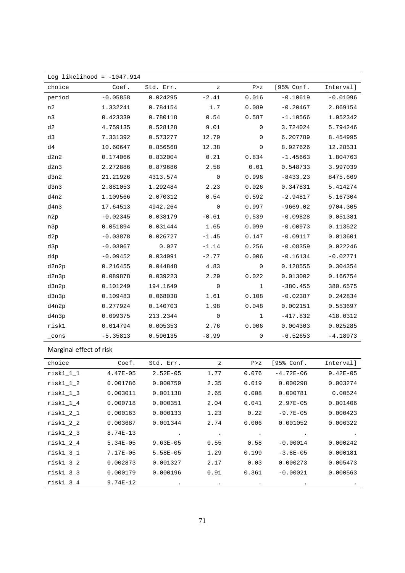| Log likelihood = $-1047.914$ |            |           |         |       |            |            |  |
|------------------------------|------------|-----------|---------|-------|------------|------------|--|
| choice                       | Coef.      | Std. Err. | z       | P > Z | [95% Conf. | Interval]  |  |
| period                       | $-0.05858$ | 0.024295  | $-2.41$ | 0.016 | $-0.10619$ | $-0.01096$ |  |
| n2                           | 1.332241   | 0.784154  | 1.7     | 0.089 | $-0.20467$ | 2.869154   |  |
| n3                           | 0.423339   | 0.780118  | 0.54    | 0.587 | $-1.10566$ | 1.952342   |  |
| d2                           | 4.759135   | 0.528128  | 9.01    | 0     | 3.724024   | 5.794246   |  |
| d3                           | 7.331392   | 0.573277  | 12.79   | 0     | 6.207789   | 8.454995   |  |
| d4                           | 10.60647   | 0.856568  | 12.38   | 0     | 8.927626   | 12.28531   |  |
| d2n2                         | 0.174066   | 0.832004  | 0.21    | 0.834 | $-1.45663$ | 1.804763   |  |
| d2n3                         | 2.272886   | 0.879686  | 2.58    | 0.01  | 0.548733   | 3.997039   |  |
| d3n2                         | 21.21926   | 4313.574  | 0       | 0.996 | $-8433.23$ | 8475.669   |  |
| d3n3                         | 2.881053   | 1.292484  | 2.23    | 0.026 | 0.347831   | 5.414274   |  |
| d4n2                         | 1.109566   | 2.070312  | 0.54    | 0.592 | $-2.94817$ | 5.167304   |  |
| d4n3                         | 17.64513   | 4942.264  | 0       | 0.997 | $-9669.02$ | 9704.305   |  |
| n2p                          | $-0.02345$ | 0.038179  | $-0.61$ | 0.539 | $-0.09828$ | 0.051381   |  |
| n3p                          | 0.051894   | 0.031444  | 1.65    | 0.099 | $-0.00973$ | 0.113522   |  |
| d2p                          | $-0.03878$ | 0.026727  | $-1.45$ | 0.147 | $-0.09117$ | 0.013601   |  |
| d3p                          | $-0.03067$ | 0.027     | $-1.14$ | 0.256 | $-0.08359$ | 0.022246   |  |
| d4p                          | $-0.09452$ | 0.034091  | $-2.77$ | 0.006 | $-0.16134$ | $-0.02771$ |  |
| d2n2p                        | 0.216455   | 0.044848  | 4.83    | 0     | 0.128555   | 0.304354   |  |
| d2n3p                        | 0.089878   | 0.039223  | 2.29    | 0.022 | 0.013002   | 0.166754   |  |
| d3n2p                        | 0.101249   | 194.1649  | 0       | 1     | $-380.455$ | 380.6575   |  |
| d3n3p                        | 0.109483   | 0.068038  | 1.61    | 0.108 | $-0.02387$ | 0.242834   |  |
| d4n2p                        | 0.277924   | 0.140703  | 1.98    | 0.048 | 0.002151   | 0.553697   |  |
| d4n3p                        | 0.099375   | 213.2344  | 0       | 1     | $-417.832$ | 418.0312   |  |
| risk1                        | 0.014794   | 0.005353  | 2.76    | 0.006 | 0.004303   | 0.025285   |  |
| $_{\rm \_cons}$              | $-5.35813$ | 0.596135  | $-8.99$ | 0     | $-6.52653$ | $-4.18973$ |  |

# Marginal effect of risk

| choice      | Coef.        | Std. Err.    | $\mathbf{z}$ | P > Z     | [95% Conf.   | Interval]    |
|-------------|--------------|--------------|--------------|-----------|--------------|--------------|
| $risk1_1_1$ | $4.47E - 05$ | $2.52E - 05$ | 1.77         | 0.076     | $-4.72E-06$  | $9.42E - 05$ |
| $risk1_1_2$ | 0.001786     | 0.000759     | 2.35         | 0.019     | 0.000298     | 0.003274     |
| $risk1_1_3$ | 0.003011     | 0.001138     | 2.65         | 0.008     | 0.000781     | 0.00524      |
| $risk1_1_4$ | 0.000718     | 0.000351     | 2.04         | 0.041     | $2.97E-05$   | 0.001406     |
| $risk1_2_1$ | 0.000163     | 0.000133     | 1.23         | 0.22      | $-9.7E-05$   | 0.000423     |
| $risk1_2_2$ | 0.003687     | 0.001344     | 2.74         | 0.006     | 0.001052     | 0.006322     |
| $risk1_2_3$ | $8.74E - 13$ | $\bullet$    | $\bullet$    | $\bullet$ |              |              |
| $risk1_2_4$ | $5.34E - 05$ | $9.63E - 05$ | 0.55         | 0.58      | $-0.00014$   | 0.000242     |
| $risk1_3_1$ | $7.17E - 05$ | $5.58E - 05$ | 1.29         | 0.199     | $-3.8E - 05$ | 0.000181     |
| $risk1_3_2$ | 0.002873     | 0.001327     | 2.17         | 0.03      | 0.000273     | 0.005473     |
| $risk1_3_3$ | 0.000179     | 0.000196     | 0.91         | 0.361     | $-0.00021$   | 0.000563     |
| $risk1_3_4$ | $9.74E-12$   | $\bullet$    | $\bullet$    | $\bullet$ | $\bullet$    |              |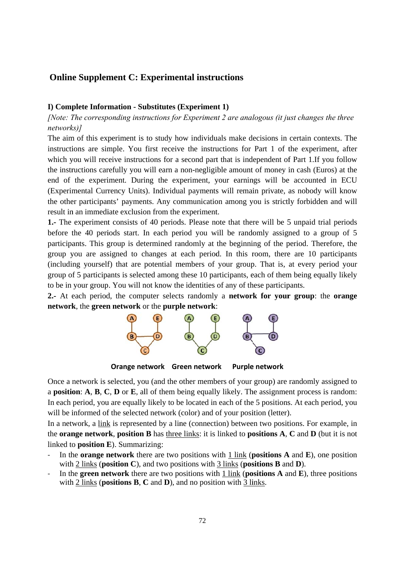# **Online Supplement C: Experimental instructions**

### I) Complete Information - Substitutes (Experiment 1)

[Note: The corresponding instructions for Experiment 2 are analogous (it just changes the three networks)]

The aim of this experiment is to study how individuals make decisions in certain contexts. The instructions are simple. You first receive the instructions for Part 1 of the experiment, after which you will receive instructions for a second part that is independent of Part 1. If you follow the instructions carefully you will earn a non-negligible amount of money in cash (Euros) at the end of the experiment. During the experiment, your earnings will be accounted in ECU (Experimental Currency Units). Individual payments will remain private, as nobody will know the other participants' payments. Any communication among you is strictly forbidden and will result in an immediate exclusion from the experiment.

1. The experiment consists of 40 periods. Please note that there will be 5 unpaid trial periods before the 40 periods start. In each period you will be randomly assigned to a group of 5 participants. This group is determined randomly at the beginning of the period. Therefore, the group you are assigned to changes at each period. In this room, there are 10 participants (including yourself) that are potential members of your group. That is, at every period your group of 5 participants is selected among these 10 participants, each of them being equally likely to be in your group. You will not know the identities of any of these participants.

2.- At each period, the computer selects randomly a network for your group: the orange network, the green network or the purple network:



Orange network Green network **Purple network** 

Once a network is selected, you (and the other members of your group) are randomly assigned to a position:  $A, B, C, D$  or  $E$ , all of them being equally likely. The assignment process is random: In each period, you are equally likely to be located in each of the 5 positions. At each period, you will be informed of the selected network (color) and of your position (letter).

In a network, a link is represented by a line (connection) between two positions. For example, in the **orange network**, **position B** has three links: it is linked to **positions** A, C and D (but it is not linked to **position E**). Summarizing:

- In the **orange network** there are two positions with 1 link (**positions A** and  $\bf{E}$ ), one position with 2 links (**position C**), and two positions with 3 links (**positions B** and **D**).
- In the **green network** there are two positions with  $1$  link (**positions A** and **E**), three positions with 2 links (**positions B**,  $C$  and  $D$ ), and no position with 3 links.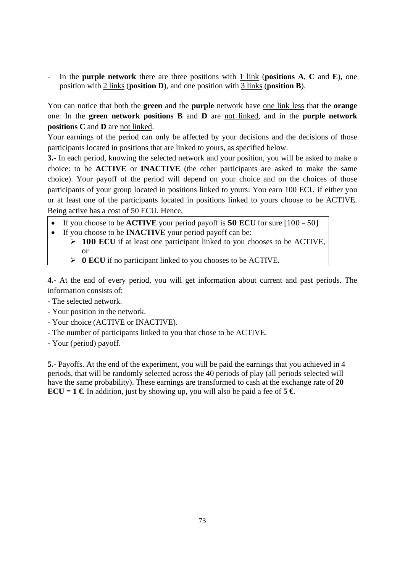‐ In the **purple network** there are three positions with 1 link (**positions A**, **C** and **E**), one position with 2 links (**position D**), and one position with 3 links (**position B**).

You can notice that both the **green** and the **purple** network have one link less that the **orange** one: In the **green network positions B** and **D** are not linked, and in the **purple network positions C** and **D** are not linked.

Your earnings of the period can only be affected by your decisions and the decisions of those participants located in positions that are linked to yours, as specified below.

**3.-** In each period, knowing the selected network and your position, you will be asked to make a choice: to be **ACTIVE** or **INACTIVE** (the other participants are asked to make the same choice). Your payoff of the period will depend on your choice and on the choices of those participants of your group located in positions linked to yours: You earn 100 ECU if either you or at least one of the participants located in positions linked to yours choose to be ACTIVE. Being active has a cost of 50 ECU. Hence,

- If you choose to be **ACTIVE** your period payoff is  **ECU** for sure [100 – 50]
- If you choose to be **INACTIVE** your period payoff can be:
	- **ECU** if at least one participant linked to you chooses to be ACTIVE, or
	- $\triangleright$  **0 ECU** if no participant linked to you chooses to be ACTIVE.

**4.-** At the end of every period, you will get information about current and past periods. The information consists of:

- The selected network.
- Your position in the network.
- Your choice (ACTIVE or INACTIVE).
- The number of participants linked to you that chose to be ACTIVE.
- Your (period) payoff.

**5.-** Payoffs. At the end of the experiment, you will be paid the earnings that you achieved in 4 periods, that will be randomly selected across the 40 periods of play (all periods selected will have the same probability). These earnings are transformed to cash at the exchange rate of **20 ECU** = 1 **€**. In addition, just by showing up, you will also be paid a fee of 5 **€**.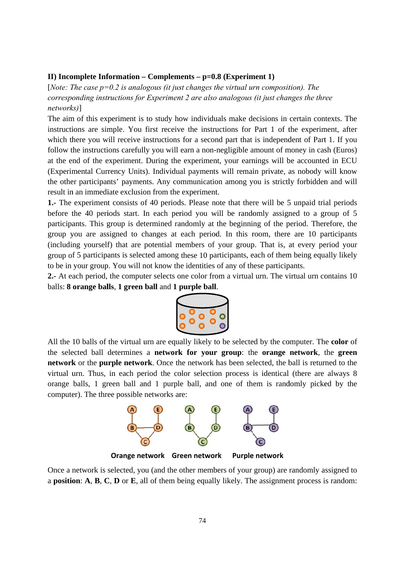### II) Incomplete Information – Complements –  $p=0.8$  (Experiment 1)

[Note: The case  $p=0.2$  is analogous (it just changes the virtual urn composition). The corresponding instructions for Experiment 2 are also analogous (it just changes the three networks)]

The aim of this experiment is to study how individuals make decisions in certain contexts. The instructions are simple. You first receive the instructions for Part 1 of the experiment, after which there you will receive instructions for a second part that is independent of Part 1. If you follow the instructions carefully you will earn a non-negligible amount of money in cash (Euros) at the end of the experiment. During the experiment, your earnings will be accounted in ECU (Experimental Currency Units). Individual payments will remain private, as nobody will know the other participants' payments. Any communication among you is strictly forbidden and will result in an immediate exclusion from the experiment.

1. The experiment consists of 40 periods. Please note that there will be 5 unpaid trial periods before the 40 periods start. In each period you will be randomly assigned to a group of 5 participants. This group is determined randomly at the beginning of the period. Therefore, the group you are assigned to changes at each period. In this room, there are 10 participants (including yourself) that are potential members of your group. That is, at every period your group of 5 participants is selected among these 10 participants, each of them being equally likely to be in your group. You will not know the identities of any of these participants.

2.- At each period, the computer selects one color from a virtual urn. The virtual urn contains 10 balls: 8 orange balls, 1 green ball and 1 purple ball.



All the 10 balls of the virtual urn are equally likely to be selected by the computer. The color of the selected ball determines a network for your group: the orange network, the green network or the purple network. Once the network has been selected, the ball is returned to the virtual urn. Thus, in each period the color selection process is identical (there are always 8 orange balls, 1 green ball and 1 purple ball, and one of them is randomly picked by the computer). The three possible networks are:



Orange network Green network **Purple network** 

Once a network is selected, you (and the other members of your group) are randomly assigned to a position:  $A, B, C, D$  or  $E$ , all of them being equally likely. The assignment process is random: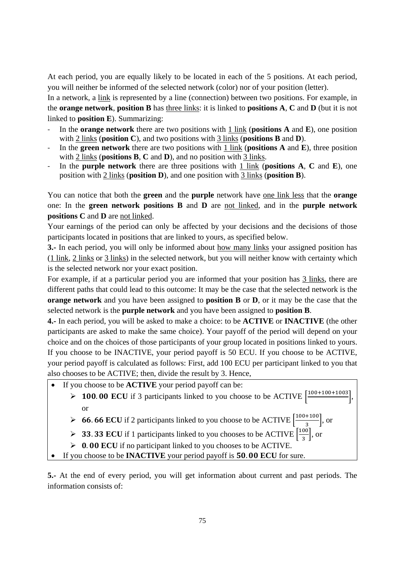At each period, you are equally likely to be located in each of the 5 positions. At each period, you will neither be informed of the selected network (color) nor of your position (letter).

In a network, a link is represented by a line (connection) between two positions. For example, in the **orange network**, **position B** has three links: it is linked to **positions A**, **C** and **D** (but it is not linked to **position E**). Summarizing:

- ‐ In the **orange network** there are two positions with 1 link (**positions A** and **E**), one position with 2 links (**position C**), and two positions with 3 links (**positions B** and **D**).
- ‐ In the **green network** there are two positions with 1 link (**positions A** and **E**), three position with 2 links (**positions B**, **C** and **D**), and no position with 3 links.
- ‐ In the **purple network** there are three positions with 1 link (**positions A**, **C** and **E**), one position with 2 links (**position D**), and one position with 3 links (**position B**).

You can notice that both the **green** and the **purple** network have one link less that the **orange** one: In the **green network positions B** and **D** are not linked, and in the **purple network positions C** and **D** are not linked.

Your earnings of the period can only be affected by your decisions and the decisions of those participants located in positions that are linked to yours, as specified below.

**3.-** In each period, you will only be informed about how many links your assigned position has (1 link, 2 links or 3 links) in the selected network, but you will neither know with certainty which is the selected network nor your exact position.

For example, if at a particular period you are informed that your position has 3 links, there are different paths that could lead to this outcome: It may be the case that the selected network is the **orange network** and you have been assigned to **position B** or **D**, or it may be the case that the selected network is the **purple network** and you have been assigned to **position B**.

**4.-** In each period, you will be asked to make a choice: to be **ACTIVE** or **INACTIVE** (the other participants are asked to make the same choice). Your payoff of the period will depend on your choice and on the choices of those participants of your group located in positions linked to yours. If you choose to be INACTIVE, your period payoff is 50 ECU. If you choose to be ACTIVE, your period payoff is calculated as follows: First, add 100 ECU per participant linked to you that also chooses to be ACTIVE; then, divide the result by 3. Hence,

- If you choose to be **ACTIVE** your period payoff can be:
	- $\geq 100.00$  ECU if 3 participants linked to you choose to be ACTIVE  $\left[ \frac{100+100+1003}{2} \right]$ , or
	- **► 66.66 ECU** if 2 participants linked to you choose to be ACTIVE  $\left[\frac{100+100}{3}\right]$ , or
	- **► 33.33 ECU** if 1 participants linked to you chooses to be ACTIVE  $\left[\frac{100}{3}\right]$ , or
	- ▶ 0.00 ECU if no participant linked to you chooses to be ACTIVE.
- If you choose to be **INACTIVE** your period payoff is **50.00 ECU** for sure.

**5.-** At the end of every period, you will get information about current and past periods. The information consists of: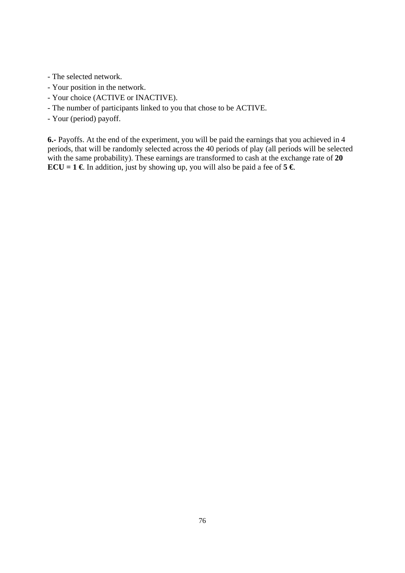- The selected network.
- Your position in the network.
- Your choice (ACTIVE or INACTIVE).
- The number of participants linked to you that chose to be ACTIVE.
- Your (period) payoff.

**6.-** Payoffs. At the end of the experiment, you will be paid the earnings that you achieved in 4 periods, that will be randomly selected across the 40 periods of play (all periods will be selected with the same probability). These earnings are transformed to cash at the exchange rate of **20 ECU** = **1 €**. In addition, just by showing up, you will also be paid a fee of 5 **€**.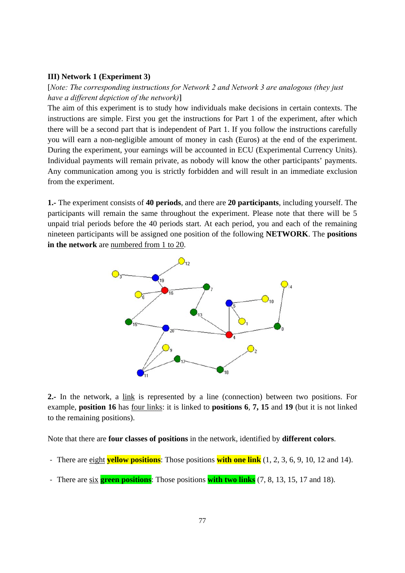### **III)** Network 1 (Experiment 3)

[Note: The corresponding instructions for Network 2 and Network 3 are analogous (they just have a different depiction of the network)]

The aim of this experiment is to study how individuals make decisions in certain contexts. The instructions are simple. First you get the instructions for Part 1 of the experiment, after which there will be a second part that is independent of Part 1. If you follow the instructions carefully you will earn a non-negligible amount of money in cash (Euros) at the end of the experiment. During the experiment, your earnings will be accounted in ECU (Experimental Currency Units). Individual payments will remain private, as nobody will know the other participants' payments. Any communication among you is strictly forbidden and will result in an immediate exclusion from the experiment.

1. The experiment consists of 40 periods, and there are 20 participants, including yourself. The participants will remain the same throughout the experiment. Please note that there will be 5 unpaid trial periods before the 40 periods start. At each period, you and each of the remaining nineteen participants will be assigned one position of the following NETWORK. The positions in the network are numbered from 1 to 20.



2.- In the network, a link is represented by a line (connection) between two positions. For example, position 16 has four links: it is linked to positions 6, 7, 15 and 19 (but it is not linked to the remaining positions).

Note that there are **four classes of positions** in the network, identified by **different colors**.

- There are eight **vellow positions**: Those positions **with one link**  $(1, 2, 3, 6, 9, 10, 12, 14)$ .
- There are  $\sin \theta$  green positions: Those positions with two links (7, 8, 13, 15, 17 and 18).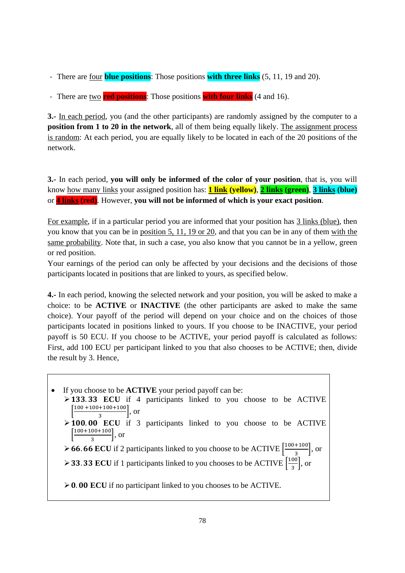- ‐ There are four **blue positions**: Those positions **with three links** (5, 11, 19 and 20).
- ‐ There are two **red positions**: Those positions **with four links** (4 and 16).

**3.-** In each period, you (and the other participants) are randomly assigned by the computer to a **position from 1 to 20 in the network**, all of them being equally likely. The assignment process is random: At each period, you are equally likely to be located in each of the 20 positions of the network.

**3.-** In each period, **you will only be informed of the color of your position**, that is, you will know how many links your assigned position has: **1 link (yellow)**, **2 links (green)**, **3 links (blue)** or **4 links (red)**. However, **you will not be informed of which is your exact position**.

For example, if in a particular period you are informed that your position has 3 links (blue), then you know that you can be in position 5, 11, 19 or 20, and that you can be in any of them with the same probability. Note that, in such a case, you also know that you cannot be in a yellow, green or red position.

Your earnings of the period can only be affected by your decisions and the decisions of those participants located in positions that are linked to yours, as specified below.

**4.-** In each period, knowing the selected network and your position, you will be asked to make a choice: to be **ACTIVE** or **INACTIVE** (the other participants are asked to make the same choice). Your payoff of the period will depend on your choice and on the choices of those participants located in positions linked to yours. If you choose to be INACTIVE, your period payoff is 50 ECU. If you choose to be ACTIVE, your period payoff is calculated as follows: First, add 100 ECU per participant linked to you that also chooses to be ACTIVE; then, divide the result by 3. Hence,

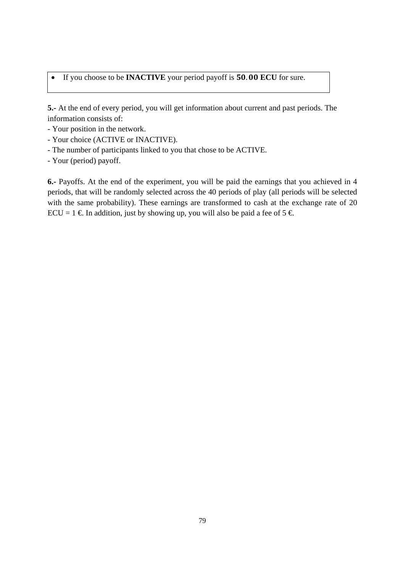• If you choose to be **INACTIVE** your period payoff is **50.00 ECU** for sure.

**5.-** At the end of every period, you will get information about current and past periods. The information consists of:

- Your position in the network.
- Your choice (ACTIVE or INACTIVE).
- The number of participants linked to you that chose to be ACTIVE.
- Your (period) payoff.

**6.-** Payoffs. At the end of the experiment, you will be paid the earnings that you achieved in 4 periods, that will be randomly selected across the 40 periods of play (all periods will be selected with the same probability). These earnings are transformed to cash at the exchange rate of 20 ECU = 1  $\in$  In addition, just by showing up, you will also be paid a fee of 5  $\in$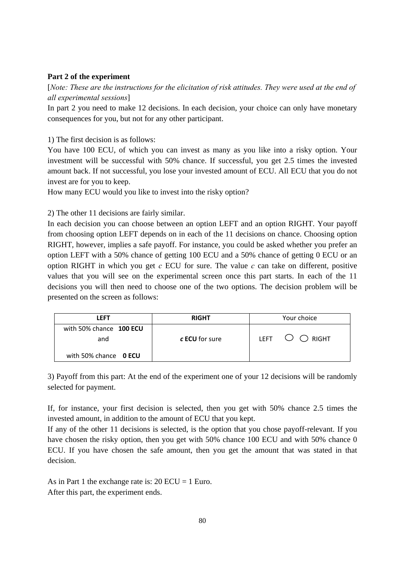# **Part 2 of the experiment**

[*Note: These are the instructions for the elicitation of risk attitudes. They were used at the end of all experimental sessions*]

In part 2 you need to make 12 decisions. In each decision, your choice can only have monetary consequences for you, but not for any other participant.

1) The first decision is as follows:

You have 100 ECU, of which you can invest as many as you like into a risky option. Your investment will be successful with 50% chance. If successful, you get 2.5 times the invested amount back. If not successful, you lose your invested amount of ECU. All ECU that you do not invest are for you to keep.

How many ECU would you like to invest into the risky option?

2) The other 11 decisions are fairly similar.

In each decision you can choose between an option LEFT and an option RIGHT. Your payoff from choosing option LEFT depends on in each of the 11 decisions on chance. Choosing option RIGHT, however, implies a safe payoff. For instance, you could be asked whether you prefer an option LEFT with a 50% chance of getting 100 ECU and a 50% chance of getting 0 ECU or an option RIGHT in which you get  $c$  ECU for sure. The value  $c$  can take on different, positive values that you will see on the experimental screen once this part starts. In each of the 11 decisions you will then need to choose one of the two options. The decision problem will be presented on the screen as follows:

| LEFT                           | <b>RIGHT</b>          | Your choice                      |  |  |
|--------------------------------|-----------------------|----------------------------------|--|--|
| with 50% chance 100 ECU<br>and | c <b>ECU</b> for sure | LEFT $\bigcirc$ $\bigcirc$ right |  |  |
| with 50% chance OECU           |                       |                                  |  |  |

3) Payoff from this part: At the end of the experiment one of your 12 decisions will be randomly selected for payment.

If, for instance, your first decision is selected, then you get with 50% chance 2.5 times the invested amount, in addition to the amount of ECU that you kept.

If any of the other 11 decisions is selected, is the option that you chose payoff-relevant. If you have chosen the risky option, then you get with 50% chance 100 ECU and with 50% chance 0 ECU. If you have chosen the safe amount, then you get the amount that was stated in that decision.

As in Part 1 the exchange rate is:  $20$  ECU = 1 Euro. After this part, the experiment ends.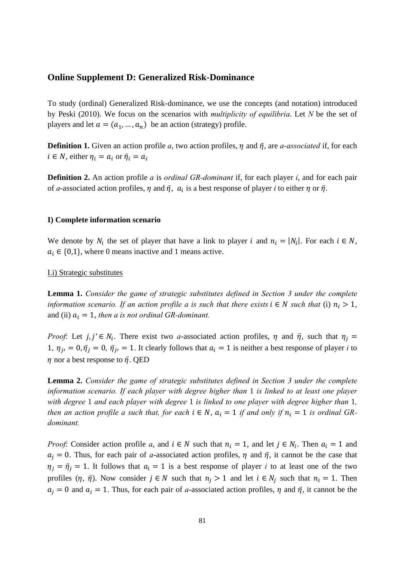# **Online Supplement D: Generalized Risk-Dominance**

To study (ordinal) Generalized Risk-dominance, we use the concepts (and notation) introduced by Peski (2010). We focus on the scenarios with *multiplicity of equilibria*. Let *N* be the set of players and let  $a = (a_1, ..., a_n)$  be an action (strategy) profile.

**Definition 1.** Given an action profile *a*, two action profiles,  $\eta$  and  $\bar{\eta}$ , are *a-associated* if, for each  $i \in N$ , either  $\eta_i = a_i$  or  $\bar{\eta}_i = a_i$ 

**Definition 2.** An action profile *a* is *ordinal GR-dominant* if, for each player *i*, and for each pair of *a*-associated action profiles,  $\eta$  and  $\bar{\eta}$ ,  $\alpha_i$  is a best response of player *i* to either  $\eta$  or  $\bar{\eta}$ .

# **I) Complete information scenario**

We denote by  $N_i$  the set of player that have a link to player i and  $n_i = |N_i|$ . For each  $i \in N$ ,  $a_i \in \{0,1\}$ , where 0 means inactive and 1 means active.

#### I.i) Strategic substitutes

**Lemma 1.** *Consider the game of strategic substitutes defined in Section 3 under the complete information scenario. If an action profile a is such that there exists*  $i \in N$  *such that* (i)  $n_i > 1$ , and (ii)  $a_i = 1$ , *then a is not ordinal GR-dominant.* 

*Proof*: Let  $j, j' \in N_i$ . There exist two *a*-associated action profiles,  $\eta$  and  $\bar{\eta}$ , such that  $\eta_j =$ 1,  $\eta_{ji} = 0$ ,  $\bar{\eta}_j = 0$ ,  $\bar{\eta}_{ji} = 1$ . It clearly follows that  $a_i = 1$  is neither a best response of player *i* to  $\eta$  nor a best response to  $\bar{\eta}$ . QED

**Lemma 2.** *Consider the game of strategic substitutes defined in Section 3 under the complete information scenario. If each player with degree higher than* 1 *is linked to at least one player with degree* 1 *and each player with degree* 1 *is linked to one player with degree higher than* 1*, then an action profile a such that, for each i*  $\in$  *N*,  $a_i = 1$  *if and only if*  $n_i = 1$  *is ordinal GRdominant.* 

*Proof*: Consider action profile *a*, and  $i \in N$  such that  $n_i = 1$ , and let  $j \in N_i$ . Then  $a_i = 1$  and  $a_i = 0$ . Thus, for each pair of *a*-associated action profiles,  $\eta$  and  $\bar{\eta}$ , it cannot be the case that  $\eta_j = \overline{\eta}_j = 1$ . It follows that  $a_i = 1$  is a best response of player *i* to at least one of the two profiles  $(\eta, \bar{\eta})$ . Now consider  $j \in N$  such that  $n_i > 1$  and let  $i \in N_i$  such that  $n_i = 1$ . Then  $a_i = 0$  and  $a_i = 1$ . Thus, for each pair of *a*-associated action profiles,  $\eta$  and  $\bar{\eta}$ , it cannot be the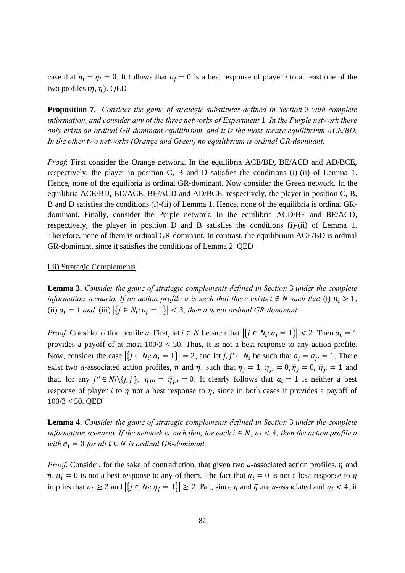case that  $\eta_i = \overline{\eta}_i = 0$ . It follows that  $a_j = 0$  is a best response of player *i* to at least one of the two profiles  $(\eta, \bar{\eta})$ . QED

**Proposition 7.** *Consider the game of strategic substitutes defined in Section* 3 *with complete information, and consider any of the three networks of Experiment* 1*. In the Purple network there only exists an ordinal GR-dominant equilibrium, and it is the most secure equilibrium ACE/BD. In the other two networks (Orange and Green) no equilibrium is ordinal GR-dominant.* 

*Proof*: First consider the Orange network. In the equilibria ACE/BD, BE/ACD and AD/BCE, respectively, the player in position C, B and D satisfies the conditions (i)-(ii) of Lemma 1. Hence, none of the equilibria is ordinal GR-dominant. Now consider the Green network. In the equilibria ACE/BD, BD/ACE, BE/ACD and AD/BCE, respectively, the player in position C, B, B and D satisfies the conditions (i)-(ii) of Lemma 1. Hence, none of the equilibria is ordinal GRdominant. Finally, consider the Purple network. In the equilibria ACD/BE and BE/ACD, respectively, the player in position D and B satisfies the conditions (i)-(ii) of Lemma 1. Therefore, none of them is ordinal GR-dominant. In contrast, the equilibrium ACE/BD is ordinal GR-dominant, since it satisfies the conditions of Lemma 2. QED

#### I.ii) Strategic Complements

**Lemma 3.** *Consider the game of strategic complements defined in Section* 3 *under the complete information scenario. If an action profile a is such that there exists*  $i \in N$  *such that* (i)  $n_i > 1$ , (ii)  $a_i = 1$  *and* (iii)  $\left| \{ j \in N_i : a_i = 1 \} \right| < 3$ , *then a is not ordinal GR-dominant.* 

*Proof.* Consider action profile *a*. First, let  $i \in N$  be such that  $\left| \{ j \in N_i : a_j = 1 \} \right| < 2$ . Then  $a_i = 1$ provides a payoff of at most  $100/3 < 50$ . Thus, it is not a best response to any action profile. Now, consider the case  $|\{j \in N_i : a_j = 1\}| = 2$ , and let  $j, j' \in N_i$  be such that  $a_j = a_{j'} = 1$ . There exist two *a*-associated action profiles,  $\eta$  and  $\bar{\eta}$ , such that  $\eta_j = 1$ ,  $\eta_{j'} = 0$ ,  $\bar{\eta}_j = 0$ ,  $\bar{\eta}_{j'} = 1$  and that, for any  $j'' \in N_i \setminus \{j, j'\}$ ,  $\eta_{j''} = \overline{\eta}_{j''} = 0$ . It clearly follows that  $a_i = 1$  is neither a best response of player *i* to  $\eta$  nor a best response to  $\bar{\eta}$ , since in both cases it provides a payoff of 100/3 < 50. QED

**Lemma 4.** *Consider the game of strategic complements defined in Section* 3 *under the complete information scenario. If the network is such that, for each*  $i \in N$ ,  $n_i < 4$ , then the action profile a *with*  $a_i = 0$  *for all*  $i \in N$  *is ordinal GR-dominant.* 

*Proof.* Consider, for the sake of contradiction, that given two *a*-associated action profiles,  $\eta$  and  $\bar{\eta}$ ,  $a_i = 0$  is not a best response to any of them. The fact that  $a_i = 0$  is not a best response to  $\eta$ implies that  $n_i \geq 2$  and  $|\{j \in N_i : \eta_j = 1\}| \geq 2$ . But, since  $\eta$  and  $\overline{\eta}$  are *a*-associated and  $n_i < 4$ , it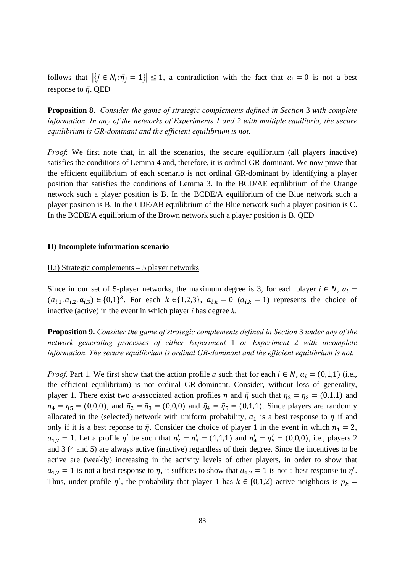follows that  $|\{j \in N_i : \overline{\eta}_i = 1\}| \leq 1$ , a contradiction with the fact that  $a_i = 0$  is not a best response to  $\bar{\eta}$ . QED

Proposition 8. Consider the game of strategic complements defined in Section 3 with complete information. In any of the networks of Experiments 1 and 2 with multiple equilibria, the secure equilibrium is GR-dominant and the efficient equilibrium is not.

*Proof*: We first note that, in all the scenarios, the secure equilibrium (all players inactive) satisfies the conditions of Lemma 4 and, therefore, it is ordinal GR-dominant. We now prove that the efficient equilibrium of each scenario is not ordinal GR-dominant by identifying a player position that satisfies the conditions of Lemma 3. In the BCD/AE equilibrium of the Orange network such a player position is B. In the BCDE/A equilibrium of the Blue network such a player position is B. In the CDE/AB equilibrium of the Blue network such a player position is C. In the BCDE/A equilibrium of the Brown network such a player position is B. QED

#### II) Incomplete information scenario

### $\overline{II}.$  Strategic complements  $-5$  player networks

Since in our set of 5-player networks, the maximum degree is 3, for each player  $i \in N$ ,  $a_i =$  $(a_{i,1}, a_{i,2}, a_{i,3}) \in \{0,1\}^3$ . For each  $k \in \{1,2,3\}$ ,  $a_{i,k} = 0$   $(a_{i,k} = 1)$  represents the choice of inactive (active) in the event in which player *i* has degree  $k$ .

**Proposition 9.** Consider the game of strategic complements defined in Section 3 under any of the network generating processes of either Experiment 1 or Experiment 2 with incomplete information. The secure equilibrium is ordinal GR-dominant and the efficient equilibrium is not.

*Proof.* Part 1. We first show that the action profile a such that for each  $i \in N$ ,  $a_i = (0,1,1)$  (i.e., the efficient equilibrium) is not ordinal GR-dominant. Consider, without loss of generality, player 1. There exist two *a*-associated action profiles  $\eta$  and  $\bar{\eta}$  such that  $\eta_2 = \eta_3 = (0,1,1)$  and  $\eta_4 = \eta_5 = (0,0,0)$ , and  $\bar{\eta}_2 = \bar{\eta}_3 = (0,0,0)$  and  $\bar{\eta}_4 = \bar{\eta}_5 = (0,1,1)$ . Since players are randomly allocated in the (selected) network with uniform probability,  $a_1$  is a best response to  $\eta$  if and only if it is a best reponse to  $\bar{\eta}$ . Consider the choice of player 1 in the event in which  $n_1 = 2$ ,  $a_{1,2} = 1$ . Let a profile  $\eta'$  be such that  $\eta'_2 = \eta'_3 = (1,1,1)$  and  $\eta'_4 = \eta'_5 = (0,0,0)$ , i.e., players 2 and 3 (4 and 5) are always active (inactive) regardless of their degree. Since the incentives to be active are (weakly) increasing in the activity levels of other players, in order to show that  $a_{1,2} = 1$  is not a best response to  $\eta$ , it suffices to show that  $a_{1,2} = 1$  is not a best response to  $\eta'$ . Thus, under profile  $\eta'$ , the probability that player 1 has  $k \in \{0,1,2\}$  active neighbors is  $p_k =$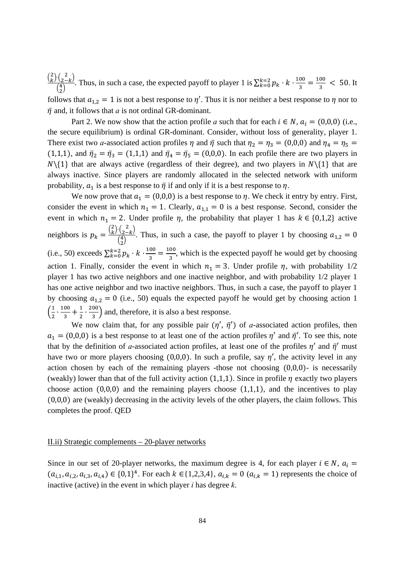$\frac{\binom{2}{k}\binom{2}{2-k}}{\binom{4}{1}}$ . Thus, in such a case, the expected payoff to player 1 is  $\sum_{k=0}^{k=2} p_k \cdot k \cdot \frac{100}{3} = \frac{100}{3} < 50$ . It follows that  $a_{1,2} = 1$  is not a best response to  $\eta'$ . Thus it is nor neither a best response to  $\eta$  nor to  $\bar{\eta}$  and, it follows that a is not ordinal GR-dominant.

Part 2. We now show that the action profile a such that for each  $i \in N$ ,  $a_i = (0,0,0)$  (i.e., the secure equilibrium) is ordinal GR-dominant. Consider, without loss of generality, player 1. There exist two *a*-associated action profiles  $\eta$  and  $\bar{\eta}$  such that  $\eta_2 = \eta_3 = (0,0,0)$  and  $\eta_4 = \eta_5 =$ (1,1,1), and  $\bar{\eta}_2 = \bar{\eta}_3 = (1,1,1)$  and  $\bar{\eta}_4 = \bar{\eta}_5 = (0,0,0)$ . In each profile there are two players in  $N\setminus\{1\}$  that are always active (regardless of their degree), and two players in  $N\setminus\{1\}$  that are always inactive. Since players are randomly allocated in the selected network with uniform probability,  $a_1$  is a best response to  $\bar{\eta}$  if and only if it is a best response to  $\eta$ .

We now prove that  $a_1 = (0,0,0)$  is a best response to  $\eta$ . We check it entry by entry. First, consider the event in which  $n_1 = 1$ . Clearly,  $a_{1,1} = 0$  is a best response. Second, consider the event in which  $n_1 = 2$ . Under profile  $\eta$ , the probability that player 1 has  $k \in \{0,1,2\}$  active neighbors is  $p_k = \frac{\binom{2}{k} \binom{2}{2-k}}{\binom{4}{2}}$ . Thus, in such a case, the payoff to player 1 by choosing  $a_{1,2} = 0$ (i.e., 50) exceeds  $\sum_{k=0}^{k=2} p_k \cdot k \cdot \frac{100}{3} = \frac{100}{3}$ , which is the expected payoff he would get by choosing action 1. Finally, consider the event in which  $n_1 = 3$ . Under profile  $\eta$ , with probability 1/2 player 1 has two active neighbors and one inactive neighbor, and with probability 1/2 player 1 has one active neighbor and two inactive neighbors. Thus, in such a case, the payoff to player 1 by choosing  $a_{1,2} = 0$  (i.e., 50) equals the expected payoff he would get by choosing action 1  $\left(\frac{1}{2}\cdot\frac{100}{3}+\frac{1}{2}\cdot\frac{200}{3}\right)$  and, therefore, it is also a best response.

We now claim that, for any possible pair  $(\eta', \bar{\eta}')$  of *a*-associated action profiles, then  $a_1 = (0,0,0)$  is a best response to at least one of the action profiles  $\eta'$  and  $\bar{\eta}'$ . To see this, note that by the definition of a-associated action profiles, at least one of the profiles  $\eta'$  and  $\bar{\eta}'$  must have two or more players choosing (0,0,0). In such a profile, say  $\eta'$ , the activity level in any action chosen by each of the remaining players -those not choosing  $(0,0,0)$ - is necessarily (weakly) lower than that of the full activity action  $(1,1,1)$ . Since in profile  $\eta$  exactly two players choose action  $(0,0,0)$  and the remaining players choose  $(1,1,1)$ , and the incentives to play  $(0,0,0)$  are (weakly) decreasing in the activity levels of the other players, the claim follows. This completes the proof. QED

#### II.ii) Strategic complements  $-20$ -player networks

Since in our set of 20-player networks, the maximum degree is 4, for each player  $i \in N$ ,  $a_i =$  $(a_{i,1}, a_{i,2}, a_{i,3}, a_{i,4}) \in \{0,1\}^4$ . For each  $k \in \{1,2,3,4\}$ ,  $a_{i,k} = 0$   $(a_{i,k} = 1)$  represents the choice of inactive (active) in the event in which player *i* has degree  $k$ .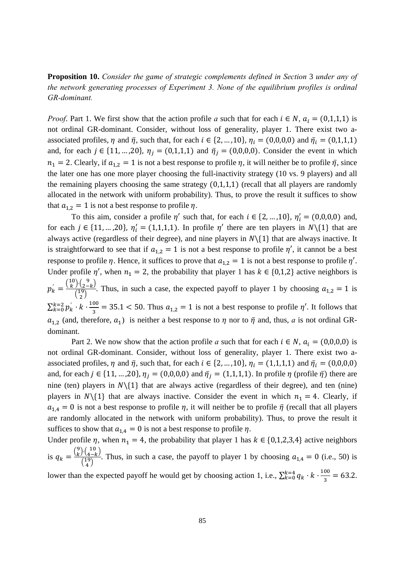**Proposition 10.** *Consider the game of strategic complements defined in Section* 3 *under any of the network generating processes of Experiment 3. None of the equilibrium profiles is ordinal GR-dominant.* 

*Proof.* Part 1. We first show that the action profile *a* such that for each  $i \in N$ ,  $a_i = (0,1,1,1)$  is not ordinal GR-dominant. Consider, without loss of generality, player 1. There exist two aassociated profiles,  $\eta$  and  $\bar{\eta}$ , such that, for each  $i \in \{2, ..., 10\}$ ,  $\eta_i = (0,0,0,0)$  and  $\bar{\eta}_i = (0,1,1,1)$ and, for each  $j \in \{11, ..., 20\}$ ,  $\eta_j = (0,1,1,1)$  and  $\bar{\eta}_j = (0,0,0,0)$ . Consider the event in which  $n_1 = 2$ . Clearly, if  $a_{1,2} = 1$  is not a best response to profile  $\eta$ , it will neither be to profile  $\bar{\eta}$ , since the later one has one more player choosing the full-inactivity strategy (10 vs. 9 players) and all the remaining players choosing the same strategy  $(0,1,1,1)$  (recall that all players are randomly allocated in the network with uniform probability). Thus, to prove the result it suffices to show that  $a_{1,2} = 1$  is not a best response to profile  $\eta$ .

To this aim, consider a profile  $\eta'$  such that, for each  $i \in \{2, ..., 10\}$ ,  $\eta'_i = (0,0,0,0)$  and, for each  $j \in \{11, ..., 20\}$ ,  $\eta'_i = (1,1,1,1)$ . In profile  $\eta'$  there are ten players in  $N\setminus\{1\}$  that are always active (regardless of their degree), and nine players in  $N\setminus\{1\}$  that are always inactive. It is straightforward to see that if  $a_{1,2} = 1$  is not a best response to profile  $\eta'$ , it cannot be a best response to profile  $\eta$ . Hence, it suffices to prove that  $a_{1,2} = 1$  is not a best response to profile  $\eta'$ . Under profile  $\eta'$ , when  $n_1 = 2$ , the probability that player 1 has  $k \in \{0, 1, 2\}$  active neighbors is  $p'_{k} = \frac{\binom{10}{k}\binom{9}{2-k}}{\binom{19}{2}}$  $\frac{f(2-k)}{2}$ . Thus, in such a case, the expected payoff to player 1 by choosing  $a_{1,2} = 1$  is  $\sum_{k=0}^{k=2} p_k^{'} \cdot k \cdot$ 100  $\frac{80}{3}$  = 35.1 < 50. Thus  $a_{1,2} = 1$  is not a best response to profile  $\eta'$ . It follows that  $a_{1,2}$  (and, therefore,  $a_1$ ) is neither a best response to  $\eta$  nor to  $\bar{\eta}$  and, thus, *a* is not ordinal GRdominant.

Part 2. We now show that the action profile *a* such that for each  $i \in N$ ,  $a_i = (0,0,0,0)$  is not ordinal GR-dominant. Consider, without loss of generality, player 1. There exist two aassociated profiles,  $\eta$  and  $\bar{\eta}$ , such that, for each  $i \in \{2, ..., 10\}$ ,  $\eta_i = (1,1,1,1)$  and  $\bar{\eta}_i = (0,0,0,0)$ and, for each  $j \in \{11, ..., 20\}$ ,  $\eta_j = (0,0,0,0)$  and  $\overline{\eta}_j = (1,1,1,1)$ . In profile  $\eta$  (profile  $\overline{\eta}$ ) there are nine (ten) players in  $N\setminus\{1\}$  that are always active (regardless of their degree), and ten (nine) players in  $N\{(1\}$  that are always inactive. Consider the event in which  $n_1 = 4$ . Clearly, if  $a_{1,4} = 0$  is not a best response to profile  $\eta$ , it will neither be to profile  $\bar{\eta}$  (recall that all players are randomly allocated in the network with uniform probability). Thus, to prove the result it suffices to show that  $a_{1,4} = 0$  is not a best response to profile  $\eta$ .

Under profile  $\eta$ , when  $n_1 = 4$ , the probability that player 1 has  $k \in \{0, 1, 2, 3, 4\}$  active neighbors is  $q_k = \frac{\binom{9}{k} \cdot \binom{10}{4-k}}{\binom{19}{}}$  $\frac{f(4-k)}{4}$ . Thus, in such a case, the payoff to player 1 by choosing  $a_{1,4} = 0$  (i.e., 50) is 100